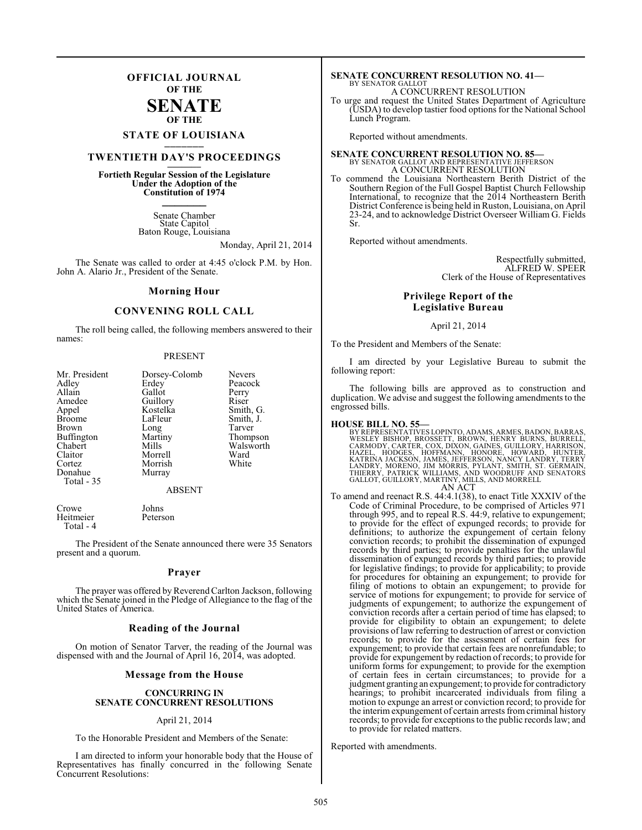### **OFFICIAL JOURNAL OF THE**

### **SENATE OF THE**

# **STATE OF LOUISIANA \_\_\_\_\_\_\_**

### **TWENTIETH DAY'S PROCEEDINGS \_\_\_\_\_\_\_**

**Fortieth Regular Session of the Legislature Under the Adoption of the Constitution of 1974 \_\_\_\_\_\_\_**

> Senate Chamber State Capitol Baton Rouge, Louisiana

> > Monday, April 21, 2014

The Senate was called to order at 4:45 o'clock P.M. by Hon. John A. Alario Jr., President of the Senate.

### **Morning Hour**

### **CONVENING ROLL CALL**

The roll being called, the following members answered to their names:

### PRESENT

| Mr. President     | Dorsey-Colomb | <b>Nevers</b> |
|-------------------|---------------|---------------|
| Adley             | Erdey         | Peacock       |
| Allain            | Gallot        | Perry         |
| Amedee            | Guillory      | Riser         |
| Appel             | Kostelka      | Smith, G.     |
| <b>Broome</b>     | LaFleur       | Smith, J.     |
| <b>Brown</b>      | Long          | Tarver        |
| <b>Buffington</b> | Martiny       | Thompson      |
| Chabert           | Mills         | Walsworth     |
| Claitor           | Morrell       | Ward          |
| Cortez            | Morrish       | White         |
| Donahue           | Murray        |               |
| Total - 35        |               |               |
|                   | ABSENT        |               |

Crowe Johns<br>Heitmeier Peterson Heitmeier Total - 4

The President of the Senate announced there were 35 Senators present and a quorum.

### **Prayer**

The prayer was offered by Reverend Carlton Jackson, following which the Senate joined in the Pledge of Allegiance to the flag of the United States of America.

### **Reading of the Journal**

On motion of Senator Tarver, the reading of the Journal was dispensed with and the Journal of April 16, 2014, was adopted.

### **Message from the House**

### **CONCURRING IN SENATE CONCURRENT RESOLUTIONS**

### April 21, 2014

To the Honorable President and Members of the Senate:

I am directed to inform your honorable body that the House of Representatives has finally concurred in the following Senate Concurrent Resolutions:

### **SENATE CONCURRENT RESOLUTION NO. 41—** BY SENATOR GALLOT

A CONCURRENT RESOLUTION

To urge and request the United States Department of Agriculture (USDA) to develop tastier food options for the National School Lunch Program.

Reported without amendments.

### **SENATE CONCURRENT RESOLUTION NO. 85—** BY SENATOR GALLOT AND REPRESENTATIVE JEFFERSON A CONCURRENT RESOLUTION

To commend the Louisiana Northeastern Berith District of the Southern Region of the Full Gospel Baptist Church Fellowship International, to recognize that the 2014 Northeastern Berith District Conference is being held in Ruston, Louisiana, on April 23-24, and to acknowledge District Overseer William G. Fields Sr.

Reported without amendments.

Respectfully submitted, ALFRED W. SPEER Clerk of the House of Representatives

### **Privilege Report of the Legislative Bureau**

### April 21, 2014

To the President and Members of the Senate:

I am directed by your Legislative Bureau to submit the following report:

The following bills are approved as to construction and duplication. We advise and suggest the following amendments to the engrossed bills.

**HOUSE BILL NO. 55—** BY REPRESENTATIVES LOPINTO, ADAMS, ARMES, BADON, BARRAS, WESLEY BISHOP, BROSSETT, BROWN, HENRY BURNS, BURRELL,<br>CARMODY, CARTER, COX, DIXON, GAINES, GUILLORY, HARRISON,<br>HAZEL, HODGES, HOFFMANN, HONORE, HOWARD, HURTER,<br>KATRINA JACKSON, JAMES, JEFFERSON, NANCY LANDRY, TERRY<br>LANDRY, AN ACT

To amend and reenact R.S. 44:4.1(38), to enact Title XXXIV of the Code of Criminal Procedure, to be comprised of Articles 971 through 995, and to repeal R.S. 44:9, relative to expungement; to provide for the effect of expunged records; to provide for definitions; to authorize the expungement of certain felony conviction records; to prohibit the dissemination of expunged records by third parties; to provide penalties for the unlawful dissemination of expunged records by third parties; to provide for legislative findings; to provide for applicability; to provide for procedures for obtaining an expungement; to provide for filing of motions to obtain an expungement; to provide for service of motions for expungement; to provide for service of judgments of expungement; to authorize the expungement of conviction records after a certain period of time has elapsed; to provide for eligibility to obtain an expungement; to delete provisions of law referring to destruction of arrest or conviction records; to provide for the assessment of certain fees for expungement; to provide that certain fees are nonrefundable; to provide for expungement by redaction of records; to provide for uniform forms for expungement; to provide for the exemption of certain fees in certain circumstances; to provide for a judgment granting an expungement; to provide for contradictory hearings; to prohibit incarcerated individuals from filing a motion to expunge an arrest or conviction record; to provide for the interim expungement of certain arrests from criminal history records; to provide for exceptions to the public records law; and to provide for related matters.

Reported with amendments.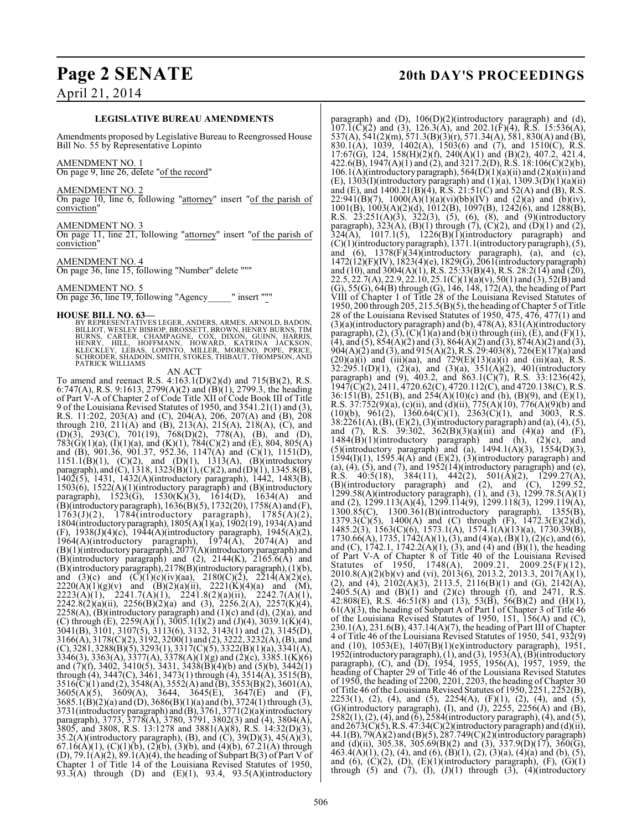## **Page 2 SENATE 20th DAY'S PROCEEDINGS**

### **LEGISLATIVE BUREAU AMENDMENTS**

Amendments proposed by Legislative Bureau to Reengrossed House Bill No. 55 by Representative Lopinto

### AMENDMENT NO. 1

On page 9, line 26, delete "of the record"

### AMENDMENT NO. 2

On page 10, line 6, following "attorney" insert "of the parish of conviction"

### AMENDMENT NO. 3

On page 11, line 21, following "attorney" insert "of the parish of conviction"

### AMENDMENT NO. 4

On page 36, line 15, following "Number" delete """

### AMENDMENT NO. 5

On page 36, line 19, following "Agency\_\_\_\_\_" insert """

**HOUSE BILL NO. 63**<br>BY REPRESENTATIVES LEGER, ANDERS, ARMES, ARNOLD, BADON,<br>BILLIOT, WESLEY BISHOP, BROSSETT, BROWN, HENRY BURNS, TIM<br>BURNS, CARTER, CHAMPAGNE, COX, DIXON, GUINN, HARRIS,<br>HENRY, HILL, HOFFMANN, HOWARD, KATR PATRICK WILLIAMS

AN ACT

To amend and reenact R.S. 4:163.1(D)(2)(d) and 715(B)(2), R.S. 6:747(A), R.S. 9:1613, 2799(A)(2) and  $(B)(1)$ , 2799.3, the heading of Part V-A of Chapter 2 of Code Title XII of Code Book III of Title 9 of the Louisiana Revised Statutes of 1950, and 3541.21(1) and (3), R.S. 11:202, 203(A) and (C), 204(A), 206, 207(A) and (B), 208 through 210, 211(A) and (B), 213(A), 215(A), 218(A), (C), and (D)(3), 293(C), 701(19), 768(D)(2), 778(A), (B), and (D),  $783(G)(1)(a)$ ,  $(I)(1)(a)$ , and  $(K)(1)$ ,  $784(C)(2)$  and  $(E)$ ,  $804$ ,  $805(A)$ and (B), 901.36, 901.37, 952.36, 1147(A) and (C)(1), 1151(D),  $1151.1(B)(1)$ ,  $(C)(2)$ , and  $(D)(1)$ ,  $1313(A)$ ,  $(B)(introducing$ paragraph), and (C), 1318, 1323(B)(1), (C)(2), and (D)(1), 1345.8(B), 1402(5), 1431, 1432(A)(introductory paragraph), 1442, 1483(B), 1503(6), 1522(A)(1)(introductory paragraph) and (B)(introductory paragraph), 1523(G), 1530(K)(3), 1614(D), 1634(A) and (B)(introductory paragraph),  $1636(B)(5)$ ,  $1732(20)$ ,  $1758(A)$  and (F),  $1763(J)(2)$ ,  $1784($ introductory paragraph),  $1785(A)(2)$ , 1804(introductory paragraph), 1805(A)(1)(a), 1902(19), 1934(A) and (F), 1938(J)(4)(c), 1944(A)(introductory paragraph), 1945(A)(2), 1964(A)(introductory paragraph),  $1974(\overline{A})$ ,  $2074(\overline{A})$  and (B)(1)(introductory paragraph), 2077(A)(introductory paragraph) and  $(B)$ (introductory paragraph) and (2), 2144 $(K)$ , 2165.6(A) and (B)(introductory paragraph), 2178(B)(introductory paragraph), (1)(b), and (3)(c) and  $(C)(1)(c)(iv)(aa)$ , 2180 $(C)(2)$ , 2214 $(A)(2)(e)$ ,  $2220(A)(1)(g)(v)$  and  $(B)(2)(a)(ii)$ ,  $2221(K)(4)(a)$  and  $(M)$ ,  $2223(A)(1)$ ,  $2241.7(A)(1)$ ,  $2241.8(2)(a)(ii)$ ,  $2242.7(A)(1)$ ,  $2242.\overline{8(2)}(a)(ii)$ ,  $2256(B)(2)(a)$  and  $(3)$ ,  $2256.2(A)$ ,  $2257(K)(4)$ ,  $2258(A)$ ,  $(B)$ (introductory paragraph) and  $(1)(c)$  and  $(d)$ ,  $(2)(a)$ , and (C) through (E),  $2259(A)(1)$ ,  $3005.1(1)(2)$  and  $(J)(4)$ ,  $3039.1(K)(4)$ , 3041(B), 3101, 3107(5), 3113(6), 3132, 3143(1) and (2), 3145(D), 3166(A), 3178(C)(2), 3192, 3200(1) and (2), 3222, 3232(A), (B), and  $(C)$ , 3281, 3288 $(B)$ (5), 3293(1), 3317 $(C)$ (5), 3322 $(B)$ (1)(a), 3341(A), 3346(3), 3363(A), 3377(A), 3378(A)(1)(g) and (2)(c), 3385.1(K)(6) and (7)(f), 3402, 3410(5), 3431, 3438(B)(4)(b) and (5)(b), 3442(1) through (4), 3447(C), 3461, 3473(1) through (4), 3514(A), 3515(B), 3516(C)(1) and (2), 3548(A), 3552(A) and (B), 3553(B)(2), 3601(A), 3605(A)(5), 3609(A), 3644, 3645(E), 3647(E) and (F), 3685.1(B)(2)(a) and (D), 3686(B)(1)(a) and (b), 3724(1) through (3), 3731(introductory paragraph) and (B), 3761, 3771(2)(a)(introductory paragraph), 3773, 3778(A), 3780, 3791, 3802(3) and (4), 3804(A), 3805, and 3808, R.S. 13:1278 and 3881(A)(8), R.S. 14:32(D)(3), 35.2(A)(introductory paragraph), (B), and (C),  $39(D)(3)$ ,  $45(A)(3)$ ,  $67.16(A)(1)$ ,  $(C)(1)(b)$ ,  $(2)(b)$ ,  $(3)(b)$ , and  $(4)(b)$ ,  $67.21(A)$  through (D), 79.1(A)(2), 89.1(A)(4), the heading of Subpart B(3) of Part V of Chapter 1 of Title 14 of the Louisiana Revised Statutes of 1950, 93.3(A) through (D) and  $(E)(1)$ , 93.4, 93.5(A)(introductory

paragraph) and (D), 106(D)(2)(introductory paragraph) and (d),  $107.\overline{1}$ (C)(2) and (3), 126.3(A), and 202.1(F)(4), R.S. 15:536(A), 537(A), 541(2)(m), 571.3(B)(3)(r), 571.34(A), 581, 830(A) and (B), 830.1(A), 1039, 1402(A), 1503(6) and (7), and 1510(C), R.S. 17:67(G), 124, 158(H)(2)(f), 240(A)(1) and (B)(2), 407.2, 421.4, 422.6(B),  $1947(A)(1)$  and  $(2)$ , and  $3217.2(D)$ , R.S.  $18:106(C)(2)(b)$ , 106.1(A)(introductory paragraph),  $564(D)(1)(a)(ii)$  and  $(2)(a)(ii)$  and  $(E)$ , 1303(I)(introductory paragraph) and  $(1)(a)$ , 1309.3(D)(1)(a)(ii) and (E), and 1400.21(B)(4), R.S. 21:51(C) and 52(A) and (B), R.S. 22:941(B)(7), 1000(A)(1)(a)(vi)(bb)(IV) and (2)(a) and (b)(iv), 1001(B), 1003(A)(2)(d), 1012(B), 1097(B), 1242(6), and 1288(B), R.S.  $23:251(A)(3)$ ,  $322(3)$ ,  $(5)$ ,  $(6)$ ,  $(8)$ , and  $(9)$ (introductory paragraph),  $323(A)$ ,  $(B)(1)$  through  $(7)$ ,  $(C)(2)$ , and  $(D)(1)$  and  $(2)$ ,  $324(A)$ ,  $1017.1(5)$ ,  $1226(B)(1)$ (introductory paragraph) and (C)(1)(introductory paragraph), 1371.1(introductory paragraph), (5), and  $(6)$ , 1378 $(F)(34)$ (introductory paragraph),  $(a)$ , and  $(c)$ , 1472(12)(F)(IV), 1823(4)(e), 1829(G), 2061(introductory paragraph) and (10), and 3004(A)(1), R.S. 25:33(B)(4), R.S. 28:2(14) and (20), 22.5, 22.7(A), 22.9, 22.10, 25.1(C)(1)(a)(v), 50(1) and (3), 52(B) and (G), 55(G), 64(B) through (G), 146, 148, 172(A), the heading of Part VIII of Chapter 1 of Title 28 of the Louisiana Revised Statutes of 1950, 200 through 205, 215.5(B)(5), the heading of Chapter 5 of Title 28 of the Louisiana Revised Statutes of 1950, 475, 476, 477(1) and (3)(a)(introductory paragraph) and (b), 478(A), 831(A)(introductory paragraph),  $(2)$ ,  $(3)$ ,  $(C)(1)(a)$  and  $(b)(i)$  through  $(iii)$ ,  $(E)$ , and  $(F)(1)$ , (4), and (5),  $854(A)(2)$  and (3),  $864(A)(2)$  and (3),  $874(A)(2)$  and (3), 904(A)(2) and (3), and 915(A)(2), R.S. 29:403(8), 726(E)(17)(a) and  $(20)(a)(i)$  and  $(iii)(aa)$ , and  $729(E)(13)(a)(i)$  and  $(iii)(aa)$ , R.S.  $32:295.1(D)(1)$ ,  $(2)(a)$ , and  $(3)(a)$ ,  $351(A)(2)$ ,  $401(introductor)$ paragraph) and (9), 403.2, and 863.1(C)(7), R.S. 33:1236(42), 1947(C)(2), 2411, 4720.62(C), 4720.112(C), and 4720.138(C), R.S. 36:151(B), 251(B), and 254(A)(10)(c) and (h), (B)(9), and (E)(1), R.S. 37:752(9)(a), (c)(ii), and (d)(ii), 775(A)(10), 776(A)(9)(b) and  $(10)(b)$ ,  $961(2)$ ,  $1360.64(C)(1)$ ,  $2363(C)(1)$ , and  $3003$ , R.S.  $38:2261(A), (B), (E)(2), (3)(introducing paragraph)$  and  $(a), (4), (5),$ and (7), R.S. 39:302, 362(B)(3)(a)(iii) and (4)(a) and (F),  $1484(\overline{B})(1)(introducing paragraph)$  and (h),  $(2)(c)$ , and (5)(introductory paragraph) and (a),  $1494.1(A)(3)$ ,  $1554(D)(3)$ ,  $1594(I)(1)$ ,  $1595.4(A)$  and  $(E)(2)$ ,  $(3)(introducing paragraph)$  and  $(a)$ ,  $(4)$ ,  $(5)$ , and  $(7)$ , and  $1952(14)$ (introductory paragraph) and  $(e)$ , R.S.  $40:5(18)$ ,  $384(11)$ ,  $442(2)$ ,  $501(A)(2)$ ,  $1299.27(A)$ , (B)(introductory paragraph) and (2), and (C), 1299.52, 1299.58(A)(introductory paragraph), (1), and (3), 1299.78.5(A)(1) and (2), 1299.113(A)(4), 1299.114(9), 1299.118(3), 1299.119(A), 1300.85(C), 1300.361(B)(introductory paragraph), 1355(B), 1379.3(C)(5), 1400(A) and (C) through  $(F)$ , 1472.3(E)(2)(d), 1485.2(3), 1563(C)(6), 1573.1(A), 1574.1(A)(13)(a), 1730.39(B), 1730.66(A), 1735, 1742(A)(1), (3), and (4)(a), (B)(1), (2)(c), and (6), and (C), 1742.1, 1742.2(A)(1), (3), and (4) and (B)(1), the heading of Part V-A of Chapter 8 of Title 40 of the Louisiana Revised Statutes of 1950, 1748(A), 2009.21, 2009.25(F)(12), 2010.8(A)(2)(b)(v) and (vi), 2013(6), 2013.2, 2013.3, 2017(A)(1), (2), and (4),  $2102(A)(3)$ ,  $2113.5$ ,  $2116(B)(1)$  and (G),  $2142(A)$ ,  $2405.5(A)$  and  $(B)(1)$  and  $(2)(c)$  through  $(f)$ , and  $2471$ , R.S. 42:808(E), R.S.  $46:51(8)$  and  $(13)$ ,  $53(B)$ ,  $56(B)(2)$  and  $(H)(1)$ , 61(A)(3), the heading of Subpart A of Part I of Chapter 3 of Title 46 of the Louisiana Revised Statutes of 1950, 151, 156(A) and (C), 230.1(A), 231.6(B), 437.14(A)(7), the heading of Part III of Chapter 4 of Title 46 of the Louisiana Revised Statutes of 1950, 541, 932(9) and (10), 1053(E), 1407(B)(1)(e)(introductory paragraph), 1951, 1952(introductory paragraph), (1), and (3), 1953(A), (B)(introductory paragraph), (C), and (D), 1954, 1955, 1956(A), 1957, 1959, the heading of Chapter 29 of Title 46 of the Louisiana Revised Statutes of 1950, the heading of 2200, 2201, 2203, the heading of Chapter 30 of Title 46 ofthe Louisiana Revised Statutes of 1950, 2251, 2252(B),  $2253(1)$ , (2), (4), and (5),  $2254(A)$ , (F)(1), (2), (4), and (5), (G)(introductory paragraph), (I), and (J),  $2255$ ,  $2256(A)$  and (B), 2582(1), (2), (4), and (6), 2584(introductory paragraph), (4), and (5), and  $2673(C)(5)$ , R.S.  $47:34(C)(2)$ (introductory paragraph) and (d)(ii), 44.1(B), 79(A)(2) and (B)(5), 287.749(C)(2)(introductory paragraph) and (d)(ii), 305.38, 305.69(B)(2) and (3), 337.9(D)(17), 360(G), 463.4(A)(1), (2), (4), and (6), (B)(1), (2), (3)(a), (4)(a) and (b), (5), and  $(6)$ ,  $(C)(2)$ ,  $(D)$ ,  $(E)(1)$ (introductory paragraph),  $(F)$ ,  $(G)(1)$ through  $(5)$  and  $(7)$ ,  $(1)$ ,  $(J)(1)$  through  $(3)$ ,  $(4)$ (introductory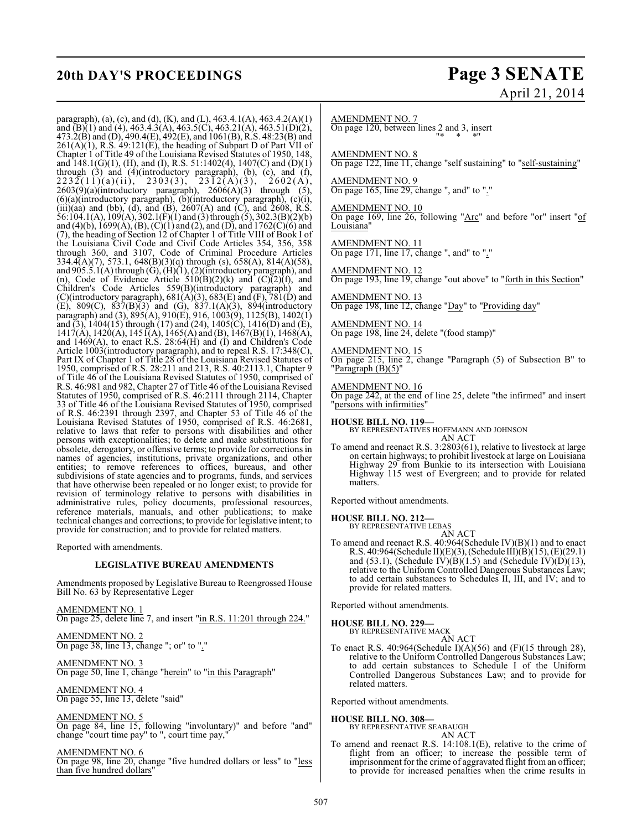# **20th DAY'S PROCEEDINGS Page 3 SENATE**

# April 21, 2014

paragraph), (a), (c), and (d), (K), and (L), 463.4.1(A), 463.4.2(A)(1) and (B)(1) and (4), 463.4.3(A), 463.5(C), 463.21(A), 463.51(D)(2), 473.2(B) and (D), 490.4(E), 492(E), and 1061(B), R.S. 48:23(B) and  $261(A)(1)$ , R.S.  $49:121(E)$ , the heading of Subpart D of Part VII of Chapter 1 of Title 49 of the Louisiana Revised Statutes of 1950, 148, and 148.1(G)(1), (H), and (I), R.S. 51:1402(4), 1407(C) and (D)(1) through  $(3)$  and  $(4)$ (introductory paragraph),  $(b)$ ,  $(c)$ , and  $(f)$ ,  $2232(11)(a)(ii), 2303(3), 2312(A)(3), 2602(A),$  $2603(9)(a)(introductory paragraph)$ ,  $2606(A)(3)$  through (5), (6)(a)(introductory paragraph), (b)(introductory paragraph), (c)(i), (iii)(aa) and (bb), (d), and (B), 2607(A) and (C), and 2608, R.S.  $56:104.1(A), 109(A), 302.1(F)(1)$  and (3) through (5), 302.3(B)(2)(b) and (4)(b),  $1699(A)$ , (B), (C)(1) and (2), and (D), and  $1762(C)(6)$  and (7), the heading of Section 12 of Chapter 1 of Title VIII of Book I of the Louisiana Civil Code and Civil Code Articles 354, 356, 358 through 360, and 3107, Code of Criminal Procedure Articles 334.4(A)(7), 573.1, 648(B)(3)(q) through (s), 658(A), 814(A)(58), and 905.5.1(A) through (G), (H)(1), (2)(introductory paragraph), and (n), Code of Evidence Article  $510(B)(2)(k)$  and  $(C)(2)(f)$ , and Children's Code Articles 559(B)(introductory paragraph) and (C)(introductory paragraph),  $681(A)(3)$ ,  $683(E)$  and  $(F)$ ,  $781(D)$  and (E), 809(C),  $837(B)(3)$  and (G),  $837.1(A)(3)$ , 894(introductory paragraph) and (3), 895(A), 910(E), 916, 1003(9), 1125(B), 1402(1) and (3), 1404(15) through (17) and (24), 1405(C), 1416(D) and (E),  $1417(A)$ ,  $1420(A)$ ,  $1451(A)$ ,  $1465(A)$  and (B),  $1467(B)(1)$ ,  $1468(A)$ , and 1469(A), to enact R.S. 28:64(H) and (I) and Children's Code Article 1003(introductory paragraph), and to repeal R.S. 17:348(C), Part IX of Chapter 1 of Title 28 of the Louisiana Revised Statutes of 1950, comprised of R.S. 28:211 and 213, R.S. 40:2113.1, Chapter 9 of Title 46 of the Louisiana Revised Statutes of 1950, comprised of R.S. 46:981 and 982, Chapter 27 of Title 46 of the Louisiana Revised Statutes of 1950, comprised of R.S. 46:2111 through 2114, Chapter 33 of Title 46 of the Louisiana Revised Statutes of 1950, comprised of R.S. 46:2391 through 2397, and Chapter 53 of Title 46 of the Louisiana Revised Statutes of 1950, comprised of R.S. 46:2681, relative to laws that refer to persons with disabilities and other persons with exceptionalities; to delete and make substitutions for obsolete, derogatory, or offensive terms; to provide for corrections in names of agencies, institutions, private organizations, and other entities; to remove references to offices, bureaus, and other subdivisions of state agencies and to programs, funds, and services that have otherwise been repealed or no longer exist; to provide for revision of terminology relative to persons with disabilities in administrative rules, policy documents, professional resources, reference materials, manuals, and other publications; to make technical changes and corrections; to provide for legislative intent; to provide for construction; and to provide for related matters.

Reported with amendments.

### **LEGISLATIVE BUREAU AMENDMENTS**

Amendments proposed by Legislative Bureau to Reengrossed House Bill No. 63 by Representative Leger

AMENDMENT NO. 1 On page 25, delete line 7, and insert "in R.S. 11:201 through 224."

AMENDMENT NO. 2 On page 38, line 13, change "; or" to "."

AMENDMENT NO. 3 On page 50, line 1, change "herein" to "in this Paragraph"

AMENDMENT NO. 4 On page 55, line 13, delete "said"

AMENDMENT NO. 5 On page 84, line 15, following "involuntary)" and before "and" change "court time pay" to ", court time pay,"

AMENDMENT NO. 6 On page 98, line 20, change "five hundred dollars or less" to "less than five hundred dollars"

AMENDMENT NO. 7 On page 120, between lines 2 and 3, insert "\* \* \*"

AMENDMENT NO. 8 On page 122, line 11, change "self sustaining" to "self-sustaining"

AMENDMENT NO. 9 On page 165, line 29, change ", and" to "."

AMENDMENT NO. 10 On page 169, line 26, following "Arc" and before "or" insert "of Louisiana'

AMENDMENT NO. 11 On page 171, line 17, change ", and" to "."

AMENDMENT NO. 12 On page 193, line 19, change "out above" to "forth in this Section"

AMENDMENT NO. 13 On page 198, line 12, change "Day" to "Providing day"

AMENDMENT NO. 14 On page 198, line 24, delete "(food stamp)"

AMENDMENT NO. 15 On page 215, line 2, change "Paragraph (5) of Subsection B" to Paragraph (B)(5)

AMENDMENT NO. 16 On page 242, at the end of line 25, delete "the infirmed" and insert "persons with infirmities"

**HOUSE BILL NO. 119—** BY REPRESENTATIVES HOFFMANN AND JOHNSON AN ACT

To amend and reenact R.S. 3:2803(61), relative to livestock at large on certain highways; to prohibit livestock at large on Louisiana Highway 29 from Bunkie to its intersection with Louisiana Highway 115 west of Evergreen; and to provide for related matters.

Reported without amendments.

**HOUSE BILL NO. 212—** BY REPRESENTATIVE LEBAS

AN ACT

To amend and reenact R.S. 40:964(Schedule IV)(B)(1) and to enact R.S. 40:964(Schedule II)(E)(3), (Schedule III)(B)(15), (E)(29.1) and (53.1), (Schedule IV)(B)(1.5) and (Schedule IV)(D)(13), relative to the Uniform Controlled Dangerous Substances Law; to add certain substances to Schedules II, III, and IV; and to provide for related matters.

Reported without amendments.

**HOUSE BILL NO. 229—**

BY REPRESENTATIVE MACK AN ACT

To enact R.S.  $40:964$ (Schedule I)(A)(56) and (F)(15 through 28), relative to the Uniform Controlled Dangerous Substances Law; to add certain substances to Schedule I of the Uniform Controlled Dangerous Substances Law; and to provide for related matters.

Reported without amendments.

**HOUSE BILL NO. 308—**

BY REPRESENTATIVE SEABAUGH AN ACT

To amend and reenact R.S. 14:108.1(E), relative to the crime of flight from an officer; to increase the possible term of imprisonment for the crime of aggravated flight from an officer; to provide for increased penalties when the crime results in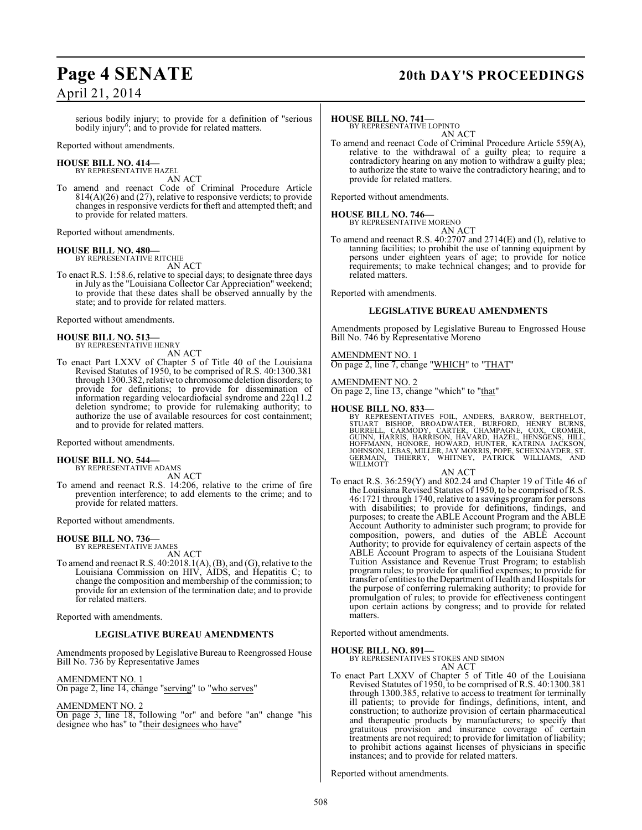### serious bodily injury; to provide for a definition of "serious bodily injury"; and to provide for related matters.

Reported without amendments.

### **HOUSE BILL NO. 414—** BY REPRESENTATIVE HAZEL

AN ACT

To amend and reenact Code of Criminal Procedure Article 814(A)(26) and (27), relative to responsive verdicts; to provide changes in responsive verdicts for theft and attempted theft; and to provide for related matters.

Reported without amendments.

### **HOUSE BILL NO. 480—**

BY REPRESENTATIVE RITCHIE AN ACT

To enact R.S. 1:58.6, relative to special days; to designate three days in July as the "Louisiana Collector Car Appreciation" weekend; to provide that these dates shall be observed annually by the state; and to provide for related matters.

Reported without amendments.

### **HOUSE BILL NO. 513—**

BY REPRESENTATIVE HENRY AN ACT

To enact Part LXXV of Chapter 5 of Title 40 of the Louisiana Revised Statutes of 1950, to be comprised of R.S. 40:1300.381 through 1300.382, relative to chromosome deletion disorders; to provide for definitions; to provide for dissemination of information regarding velocardiofacial syndrome and 22q11.2 deletion syndrome; to provide for rulemaking authority; to authorize the use of available resources for cost containment; and to provide for related matters.

Reported without amendments.

## **HOUSE BILL NO. 544—** BY REPRESENTATIVE ADAMS

AN ACT

To amend and reenact R.S. 14:206, relative to the crime of fire prevention interference; to add elements to the crime; and to provide for related matters.

Reported without amendments.

### **HOUSE BILL NO. 736—**

BY REPRESENTATIVE JAMES

AN ACT To amend and reenact R.S. 40:2018.1(A), (B), and (G), relative to the Louisiana Commission on HIV, AIDS, and Hepatitis C; to change the composition and membership of the commission; to provide for an extension of the termination date; and to provide for related matters.

Reported with amendments.

### **LEGISLATIVE BUREAU AMENDMENTS**

Amendments proposed by Legislative Bureau to Reengrossed House Bill No. 736 by Representative James

### AMENDMENT NO. 1

On page 2, line 14, change "serving" to "who serves"

### AMENDMENT NO. 2

On page 3, line 18, following "or" and before "an" change "his designee who has" to "their designees who have"

# **Page 4 SENATE 20th DAY'S PROCEEDINGS**

### **HOUSE BILL NO. 741—**

BY REPRESENTATIVE LOPINTO AN ACT

To amend and reenact Code of Criminal Procedure Article 559(A), relative to the withdrawal of a guilty plea; to require a contradictory hearing on any motion to withdraw a guilty plea; to authorize the state to waive the contradictory hearing; and to provide for related matters.

Reported without amendments.

### **HOUSE BILL NO. 746—**

BY REPRESENTATIVE MORENO

AN ACT To amend and reenact R.S. 40:2707 and 2714(E) and (I), relative to tanning facilities; to prohibit the use of tanning equipment by persons under eighteen years of age; to provide for notice requirements; to make technical changes; and to provide for related matters.

Reported with amendments.

### **LEGISLATIVE BUREAU AMENDMENTS**

Amendments proposed by Legislative Bureau to Engrossed House Bill No. 746 by Representative Moreno

### AMENDMENT NO. 1

On page 2, line 7, change "WHICH" to "THAT"

AMENDMENT NO. 2

On page 2, line 13, change "which" to "that"

### **HOUSE BILL NO. 833—**

BY REPRESENTATIVES FOIL, ANDERS, BARROW, BERTHELOT,<br>STUART BISHOP, BROADWATER, BURFORD, HENRY BURNS,<br>BURRELL, CARMODY, CARTER, CHAMPAGNE, COX, CROMER,<br>GUINN, HARRIS, HARRISON, HAVARD, HAZEL, HENSGENS, HILL,<br>HOFFMANN, HONOR WILLMOTT

### AN ACT

To enact R.S. 36:259(Y) and 802.24 and Chapter 19 of Title 46 of the Louisiana Revised Statutes of 1950, to be comprised of R.S. 46:1721 through 1740, relative to a savings program for persons with disabilities; to provide for definitions, findings, and purposes; to create the ABLE Account Program and the ABLE Account Authority to administer such program; to provide for composition, powers, and duties of the ABLE Account Authority; to provide for equivalency of certain aspects of the ABLE Account Program to aspects of the Louisiana Student Tuition Assistance and Revenue Trust Program; to establish program rules; to provide for qualified expenses; to provide for transfer of entitiesto the Department of Health and Hospitals for the purpose of conferring rulemaking authority; to provide for promulgation of rules; to provide for effectiveness contingent upon certain actions by congress; and to provide for related matters.

Reported without amendments.

### **HOUSE BILL NO. 891—**

BY REPRESENTATIVES STOKES AND SIMON AN ACT

To enact Part LXXV of Chapter 5 of Title 40 of the Louisiana Revised Statutes of 1950, to be comprised of R.S. 40:1300.381 through 1300.385, relative to access to treatment for terminally ill patients; to provide for findings, definitions, intent, and construction; to authorize provision of certain pharmaceutical and therapeutic products by manufacturers; to specify that gratuitous provision and insurance coverage of certain treatments are not required; to provide for limitation of liability; to prohibit actions against licenses of physicians in specific instances; and to provide for related matters.

Reported without amendments.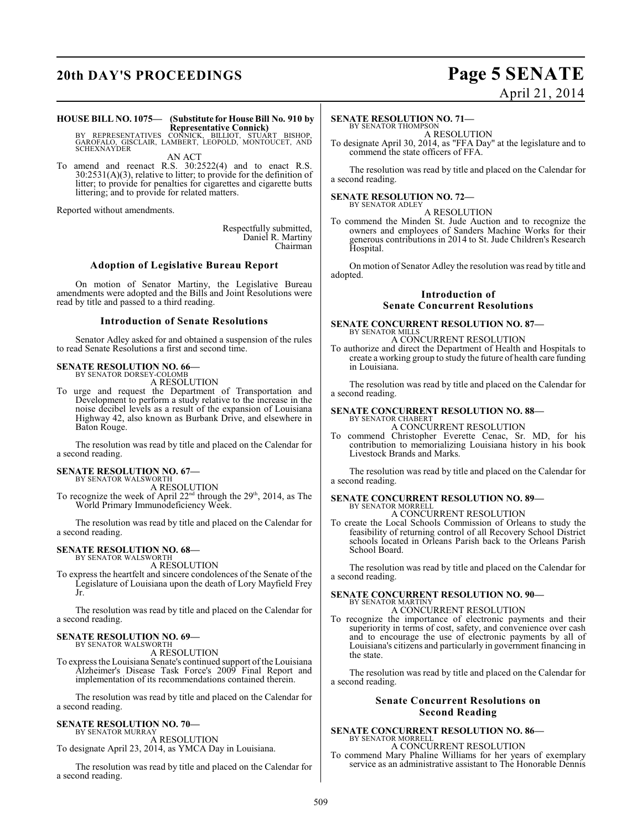# **20th DAY'S PROCEEDINGS Page 5 SENATE**

# April 21, 2014

### **HOUSE BILL NO. 1075— (Substitute for House Bill No. 910 by Representative Connick)** BY REPRESENTATIVES CONNICK, BILLIOT, STUART BISHOP, GAROFALO, GISCLAIR, LAMBERT, LEOPOLD, MONTOUCET, AND

SCHEXNAYDER AN ACT

To amend and reenact R.S. 30:2522(4) and to enact R.S. 30:2531(A)(3), relative to litter; to provide for the definition of litter; to provide for penalties for cigarettes and cigarette butts littering; and to provide for related matters.

Reported without amendments.

Respectfully submitted, Daniel R. Martiny Chairman

### **Adoption of Legislative Bureau Report**

On motion of Senator Martiny, the Legislative Bureau amendments were adopted and the Bills and Joint Resolutions were read by title and passed to a third reading.

### **Introduction of Senate Resolutions**

Senator Adley asked for and obtained a suspension of the rules to read Senate Resolutions a first and second time.

### **SENATE RESOLUTION NO. 66—**

BY SENATOR DORSEY-COLOMB A RESOLUTION

To urge and request the Department of Transportation and Development to perform a study relative to the increase in the noise decibel levels as a result of the expansion of Louisiana Highway 42, also known as Burbank Drive, and elsewhere in Baton Rouge.

The resolution was read by title and placed on the Calendar for a second reading.

### **SENATE RESOLUTION NO. 67—**

BY SENATOR WALSWORTH A RESOLUTION

To recognize the week of April  $22<sup>nd</sup>$  through the 29<sup>th</sup>, 2014, as The World Primary Immunodeficiency Week.

The resolution was read by title and placed on the Calendar for a second reading.

### **SENATE RESOLUTION NO. 68—** BY SENATOR WALSWORTH

A RESOLUTION

To express the heartfelt and sincere condolences of the Senate of the Legislature of Louisiana upon the death of Lory Mayfield Frey Jr.

The resolution was read by title and placed on the Calendar for a second reading.

### **SENATE RESOLUTION NO. 69—**

BY SENATOR WALSWORTH A RESOLUTION

To express the Louisiana Senate's continued support of the Louisiana Alzheimer's Disease Task Force's 2009 Final Report and implementation of its recommendations contained therein.

The resolution was read by title and placed on the Calendar for a second reading.

#### **SENATE RESOLUTION NO. 70—** BY SENATOR MURRAY

A RESOLUTION

To designate April 23, 2014, as YMCA Day in Louisiana.

The resolution was read by title and placed on the Calendar for a second reading.

### **SENATE RESOLUTION NO. 71—**

BY SENATOR THOMPSON A RESOLUTION

To designate April 30, 2014, as "FFA Day" at the legislature and to commend the state officers of FFA.

The resolution was read by title and placed on the Calendar for a second reading.

### **SENATE RESOLUTION NO. 72—**

BY SENATOR ADLEY A RESOLUTION

To commend the Minden St. Jude Auction and to recognize the owners and employees of Sanders Machine Works for their generous contributions in 2014 to St. Jude Children's Research Hospital.

On motion of Senator Adley the resolution was read by title and adopted.

### **Introduction of Senate Concurrent Resolutions**

#### **SENATE CONCURRENT RESOLUTION NO. 87—** BY SENATOR MILLS

A CONCURRENT RESOLUTION

To authorize and direct the Department of Health and Hospitals to create a working group to study the future of health care funding in Louisiana.

The resolution was read by title and placed on the Calendar for a second reading.

### **SENATE CONCURRENT RESOLUTION NO. 88—** BY SENATOR CHABERT

A CONCURRENT RESOLUTION

To commend Christopher Everette Cenac, Sr. MD, for his contribution to memorializing Louisiana history in his book Livestock Brands and Marks.

The resolution was read by title and placed on the Calendar for a second reading.

### **SENATE CONCURRENT RESOLUTION NO. 89—** BY SENATOR MORRELL A CONCURRENT RESOLUTION

To create the Local Schools Commission of Orleans to study the feasibility of returning control of all Recovery School District schools located in Orleans Parish back to the Orleans Parish School Board.

The resolution was read by title and placed on the Calendar for a second reading.

### **SENATE CONCURRENT RESOLUTION NO. 90—** BY SENATOR MARTINY

A CONCURRENT RESOLUTION To recognize the importance of electronic payments and their superiority in terms of cost, safety, and convenience over cash and to encourage the use of electronic payments by all of Louisiana's citizens and particularly in government financing in

The resolution was read by title and placed on the Calendar for a second reading.

### **Senate Concurrent Resolutions on Second Reading**

**SENATE CONCURRENT RESOLUTION NO. 86—** BY SENATOR MORRELL

A CONCURRENT RESOLUTION

To commend Mary Phaline Williams for her years of exemplary service as an administrative assistant to The Honorable Dennis

the state.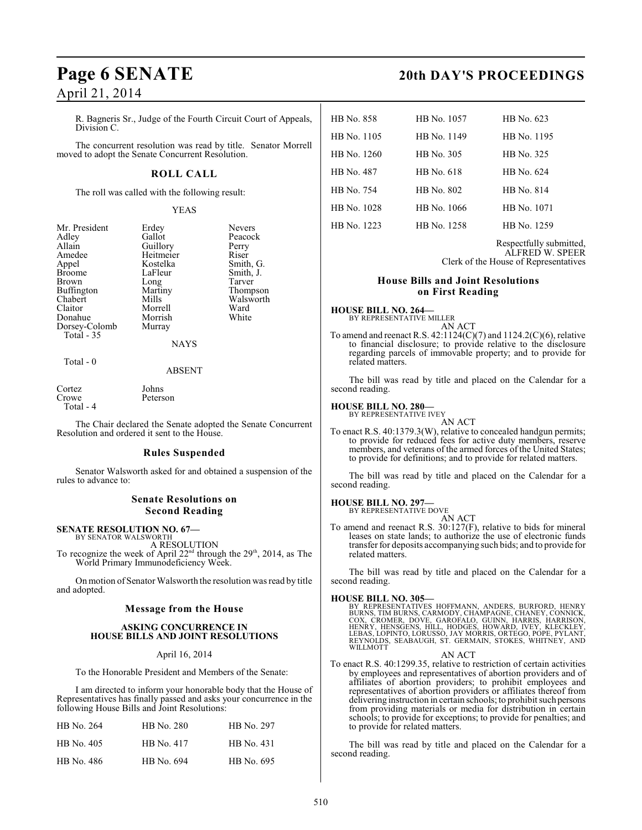R. Bagneris Sr., Judge of the Fourth Circuit Court of Appeals, Division C.

The concurrent resolution was read by title. Senator Morrell moved to adopt the Senate Concurrent Resolution.

### **ROLL CALL**

The roll was called with the following result:

Heitmeier<br>Kostelka

Long<br>Martiny

### YEAS

Erdey Nevers<br>Gallot Peacoc

Guillory Perry<br>Heitmeier Riser

Kostelka Smith, G.<br>LaFleur Smith, J.

Martiny Thompson<br>Mills Walsworth

Peacock<br>Perry

Smith, J.<br>Tarver

Walsworth<br>Ward

| Mr. President |
|---------------|
| Adley         |
| Allain        |
| Amedee        |
| Appel         |
| <b>Broome</b> |
| <b>Brown</b>  |
| Buffington    |
| Chabert       |
| Claitor       |
| Donahue       |
| Dorsey-Colomb |
| Total $-35$   |
|               |

Morrell Ward<br>
Morrish White Morrish Murray

NAYS

### Total - 0

### ABSENT

| Cortez    | Johns    |
|-----------|----------|
| Crowe     | Peterson |
| Total - 4 |          |

The Chair declared the Senate adopted the Senate Concurrent Resolution and ordered it sent to the House.

### **Rules Suspended**

Senator Walsworth asked for and obtained a suspension of the rules to advance to:

### **Senate Resolutions on Second Reading**

### **SENATE RESOLUTION NO. 67—** BY SENATOR WALSWORTH

A RESOLUTION To recognize the week of April 22<sup>nd</sup> through the 29<sup>th</sup>, 2014, as The

World Primary Immunodeficiency Week. On motion of Senator Walsworth the resolution was read by title

and adopted.

### **Message from the House**

### **ASKING CONCURRENCE IN HOUSE BILLS AND JOINT RESOLUTIONS**

### April 16, 2014

To the Honorable President and Members of the Senate:

I am directed to inform your honorable body that the House of Representatives has finally passed and asks your concurrence in the following House Bills and Joint Resolutions:

| HB No. 264 | HB No. 280 | HB No. 297 |
|------------|------------|------------|
| HB No. 405 | HB No. 417 | HB No. 431 |
| HB No. 486 | HB No. 694 | HB No. 695 |

## **Page 6 SENATE 20th DAY'S PROCEEDINGS**

| HB No. 858  | HB No. 1057 | HB No. 623  |
|-------------|-------------|-------------|
| HB No. 1105 | HB No. 1149 | HB No. 1195 |
| HB No. 1260 | HB No. 305  | HB No. 325  |
| HB No. 487  | HB No. 618  | HB No. 624  |
| HB No. 754  | HB No. 802  | HB No. 814  |
| HB No. 1028 | HB No. 1066 | HB No. 1071 |
| HB No. 1223 | HB No. 1258 | HB No. 1259 |
|             |             |             |

Respectfully submitted, ALFRED W. SPEER Clerk of the House of Representatives

### **House Bills and Joint Resolutions on First Reading**

### **HOUSE BILL NO. 264—** BY REPRESENTATIVE MILLER

AN ACT

To amend and reenact R.S. 42:1124(C)(7) and 1124.2(C)(6), relative to financial disclosure; to provide relative to the disclosure regarding parcels of immovable property; and to provide for related matters.

The bill was read by title and placed on the Calendar for a second reading.

### **HOUSE BILL NO. 280—**

BY REPRESENTATIVE IVEY AN ACT

To enact R.S. 40:1379.3(W), relative to concealed handgun permits; to provide for reduced fees for active duty members, reserve members, and veterans of the armed forces of the United States; to provide for definitions; and to provide for related matters.

The bill was read by title and placed on the Calendar for a second reading.

### **HOUSE BILL NO. 297—**

BY REPRESENTATIVE DOVE AN ACT

To amend and reenact R.S. 30:127(F), relative to bids for mineral leases on state lands; to authorize the use of electronic funds transfer for deposits accompanying such bids; and to provide for related matters.

The bill was read by title and placed on the Calendar for a second reading.

**HOUSE BILL NO. 305—**<br>BY REPRESENTATIVES HOFFMANN, ANDERS, BURFORD, HENRY<br>BURNS, TIM BURNS, CARMODY, CHÁMPAGNE, CHANEY, CONNICK,<br>COX, CROMER, DOVE, GAROFALO, GUINN, HARRIS, HARRISON,<br>HENRY, HENSGENS, HILL, HODGES, HOWARD, WILLMOTT

AN ACT

To enact R.S. 40:1299.35, relative to restriction of certain activities by employees and representatives of abortion providers and of affiliates of abortion providers; to prohibit employees and representatives of abortion providers or affiliates thereof from delivering instruction in certain schools; to prohibit such persons from providing materials or media for distribution in certain schools; to provide for exceptions; to provide for penalties; and to provide for related matters.

The bill was read by title and placed on the Calendar for a second reading.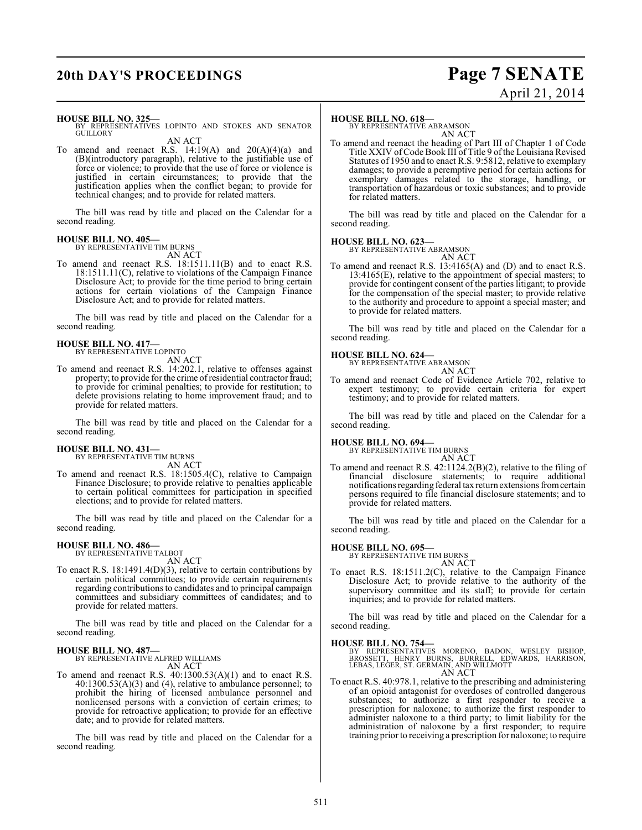## **20th DAY'S PROCEEDINGS Page 7 SENATE**

# April 21, 2014

### **HOUSE BILL NO. 325—**

BY REPRESENTATIVES LOPINTO AND STOKES AND SENATOR GUILLORY

AN ACT

To amend and reenact R.S.  $14:19(A)$  and  $20(A)(4)(a)$  and (B)(introductory paragraph), relative to the justifiable use of force or violence; to provide that the use of force or violence is justified in certain circumstances; to provide that the justification applies when the conflict began; to provide for technical changes; and to provide for related matters.

The bill was read by title and placed on the Calendar for a second reading.

### **HOUSE BILL NO. 405—**

BY REPRESENTATIVE TIM BURNS AN ACT

To amend and reenact R.S. 18:1511.11(B) and to enact R.S. 18:1511.11(C), relative to violations of the Campaign Finance Disclosure Act; to provide for the time period to bring certain actions for certain violations of the Campaign Finance Disclosure Act; and to provide for related matters.

The bill was read by title and placed on the Calendar for a second reading.

# **HOUSE BILL NO. 417—** BY REPRESENTATIVE LOPINTO

AN ACT

To amend and reenact R.S. 14:202.1, relative to offenses against property; to provide for the crime of residential contractor fraud; to provide for criminal penalties; to provide for restitution; to delete provisions relating to home improvement fraud; and to provide for related matters.

The bill was read by title and placed on the Calendar for a second reading.

# **HOUSE BILL NO. 431—** BY REPRESENTATIVE TIM BURNS

AN ACT

To amend and reenact R.S. 18:1505.4(C), relative to Campaign Finance Disclosure; to provide relative to penalties applicable to certain political committees for participation in specified elections; and to provide for related matters.

The bill was read by title and placed on the Calendar for a second reading.

### **HOUSE BILL NO. 486—** BY REPRESENTATIVE TALBOT

AN ACT

To enact R.S. 18:1491.4(D)(3), relative to certain contributions by certain political committees; to provide certain requirements regarding contributions to candidates and to principal campaign committees and subsidiary committees of candidates; and to provide for related matters.

The bill was read by title and placed on the Calendar for a second reading.

### **HOUSE BILL NO. 487—**

BY REPRESENTATIVE ALFRED WILLIAMS AN ACT

To amend and reenact R.S.  $40:1300.53(A)(1)$  and to enact R.S. 40:1300.53(A)(3) and (4), relative to ambulance personnel; to prohibit the hiring of licensed ambulance personnel and nonlicensed persons with a conviction of certain crimes; to provide for retroactive application; to provide for an effective date; and to provide for related matters.

The bill was read by title and placed on the Calendar for a second reading.

### **HOUSE BILL NO. 618—**

BY REPRESENTATIVE ABRAMSON AN ACT

To amend and reenact the heading of Part III of Chapter 1 of Code Title XXIV of Code Book III of Title 9 ofthe Louisiana Revised Statutes of 1950 and to enact R.S. 9:5812, relative to exemplary damages; to provide a peremptive period for certain actions for exemplary damages related to the storage, handling, or transportation of hazardous or toxic substances; and to provide for related matters.

The bill was read by title and placed on the Calendar for a second reading.

### **HOUSE BILL NO. 623—**

BY REPRESENTATIVE ABRAMSON

AN ACT

To amend and reenact R.S. 13:4165(A) and (D) and to enact R.S. 13:4165(E), relative to the appointment of special masters; to provide for contingent consent of the parties litigant; to provide for the compensation of the special master; to provide relative to the authority and procedure to appoint a special master; and to provide for related matters.

The bill was read by title and placed on the Calendar for a second reading.

## **HOUSE BILL NO. 624—** BY REPRESENTATIVE ABRAMSON



AN ACT To amend and reenact Code of Evidence Article 702, relative to expert testimony; to provide certain criteria for expert testimony; and to provide for related matters.

The bill was read by title and placed on the Calendar for a second reading.

### **HOUSE BILL NO. 694—**

BY REPRESENTATIVE TIM BURNS AN ACT

To amend and reenact R.S. 42:1124.2(B)(2), relative to the filing of financial disclosure statements; to require additional notifications regarding federal tax return extensions from certain persons required to file financial disclosure statements; and to provide for related matters.

The bill was read by title and placed on the Calendar for a second reading.

### **HOUSE BILL NO. 695—**

BY REPRESENTATIVE TIM BURNS AN ACT

To enact R.S. 18:1511.2(C), relative to the Campaign Finance Disclosure Act; to provide relative to the authority of the supervisory committee and its staff; to provide for certain inquiries; and to provide for related matters.

The bill was read by title and placed on the Calendar for a second reading.

### **HOUSE BILL NO. 754—**

- BY REPRESENTATIVES MORENO, BADON, WESLEY BISHOP,<br>BROSSETT, HENRY BURNS, BURRELL, EDWARDS, HARRISON,<br>LEBAS,LEGER,ST.GERMAIN,ANDWILLMOTT AN ACT
- To enact R.S. 40:978.1, relative to the prescribing and administering of an opioid antagonist for overdoses of controlled dangerous substances; to authorize a first responder to receive a prescription for naloxone; to authorize the first responder to administer naloxone to a third party; to limit liability for the administration of naloxone by a first responder; to require training prior to receiving a prescription for naloxone; to require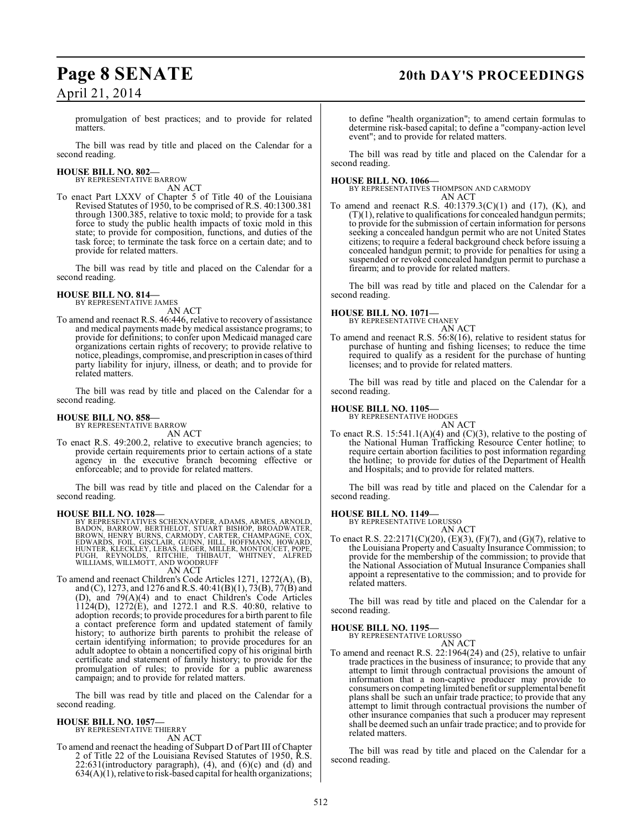### **Page 8 SENATE 20th DAY'S PROCEEDINGS**

promulgation of best practices; and to provide for related matters.

The bill was read by title and placed on the Calendar for a second reading.

# **HOUSE BILL NO. 802—** BY REPRESENTATIVE BARROW

AN ACT

To enact Part LXXV of Chapter 5 of Title 40 of the Louisiana Revised Statutes of 1950, to be comprised of R.S. 40:1300.381 through 1300.385, relative to toxic mold; to provide for a task force to study the public health impacts of toxic mold in this state; to provide for composition, functions, and duties of the task force; to terminate the task force on a certain date; and to provide for related matters.

The bill was read by title and placed on the Calendar for a second reading.

### **HOUSE BILL NO. 814—**

BY REPRESENTATIVE JAMES

AN ACT

To amend and reenact R.S. 46:446, relative to recovery of assistance and medical payments made by medical assistance programs; to provide for definitions; to confer upon Medicaid managed care organizations certain rights of recovery; to provide relative to notice, pleadings, compromise, and prescription in cases of third party liability for injury, illness, or death; and to provide for related matters.

The bill was read by title and placed on the Calendar for a second reading.

### **HOUSE BILL NO. 858—**

BY REPRESENTATIVE BARROW AN ACT

To enact R.S. 49:200.2, relative to executive branch agencies; to provide certain requirements prior to certain actions of a state agency in the executive branch becoming effective or enforceable; and to provide for related matters.

The bill was read by title and placed on the Calendar for a second reading.

### **HOUSE BILL NO. 1028—**

BY REPRESENTATIVES SCHEXNAYDER, ADAMS, ARMES, ARNOLD,<br>BADON, BARROW, BERTHELOT, STUART BISHOP, BROADWATER,<br>BROWN, HENRY BURNS, CARMODY, CARTER, CHAMPAGNE, COX,<br>EDWARDS, FOIL, GISCLAIR, GUINN, HILL, HOFFMANN, HOWARD,<br>HUNTER

AN ACT

To amend and reenact Children's Code Articles 1271, 1272(A), (B), and (C), 1273, and 1276 and R.S. 40:41(B)(1), 73(B), 77(B) and (D), and 79(A)(4) and to enact Children's Code Articles 1124(D), 1272(E), and 1272.1 and R.S. 40:80, relative to adoption records; to provide procedures for a birth parent to file a contact preference form and updated statement of family history; to authorize birth parents to prohibit the release of certain identifying information; to provide procedures for an adult adoptee to obtain a noncertified copy of his original birth certificate and statement of family history; to provide for the promulgation of rules; to provide for a public awareness campaign; and to provide for related matters.

The bill was read by title and placed on the Calendar for a second reading.

#### **HOUSE BILL NO. 1057—** BY REPRESENTATIVE THIERRY

AN ACT

To amend and reenact the heading of Subpart D of Part III of Chapter 2 of Title 22 of the Louisiana Revised Statutes of 1950, R.S. 22:631(introductory paragraph), (4), and (6)(c) and (d) and  $634(A)(1)$ , relative to risk-based capital for health organizations;

to define "health organization"; to amend certain formulas to determine risk-based capital; to define a "company-action level event"; and to provide for related matters.

The bill was read by title and placed on the Calendar for a second reading.

### **HOUSE BILL NO. 1066—**

BY REPRESENTATIVES THOMPSON AND CARMODY AN ACT

To amend and reenact R.S. 40:1379.3(C)(1) and (17), (K), and  $(T)(1)$ , relative to qualifications for concealed handgun permits; to provide for the submission of certain information for persons seeking a concealed handgun permit who are not United States citizens; to require a federal background check before issuing a concealed handgun permit; to provide for penalties for using a suspended or revoked concealed handgun permit to purchase a firearm; and to provide for related matters.

The bill was read by title and placed on the Calendar for a second reading.

### **HOUSE BILL NO. 1071—**

BY REPRESENTATIVE CHANEY AN ACT

To amend and reenact R.S. 56:8(16), relative to resident status for purchase of hunting and fishing licenses; to reduce the time required to qualify as a resident for the purchase of hunting licenses; and to provide for related matters.

The bill was read by title and placed on the Calendar for a second reading.

### **HOUSE BILL NO. 1105—**

BY REPRESENTATIVE HODGES AN ACT

To enact R.S. 15:541.1(A)(4) and (C)(3), relative to the posting of the National Human Trafficking Resource Center hotline; to require certain abortion facilities to post information regarding the hotline; to provide for duties of the Department of Health and Hospitals; and to provide for related matters.

The bill was read by title and placed on the Calendar for a second reading.

### **HOUSE BILL NO. 1149—**

BY REPRESENTATIVE LORUSSO AN ACT

To enact R.S. 22:2171(C)(20), (E)(3), (F)(7), and (G)(7), relative to the Louisiana Property and Casualty Insurance Commission; to provide for the membership of the commission; to provide that the National Association of Mutual Insurance Companies shall appoint a representative to the commission; and to provide for related matters.

The bill was read by title and placed on the Calendar for a second reading.

### **HOUSE BILL NO. 1195—**

BY REPRESENTATIVE LORUSSO

AN ACT To amend and reenact R.S. 22:1964(24) and (25), relative to unfair trade practices in the business of insurance; to provide that any attempt to limit through contractual provisions the amount of information that a non-captive producer may provide to consumers on competing limited benefit or supplemental benefit plans shall be such an unfair trade practice; to provide that any attempt to limit through contractual provisions the number of other insurance companies that such a producer may represent shall be deemed such an unfair trade practice; and to provide for related matters.

The bill was read by title and placed on the Calendar for a second reading.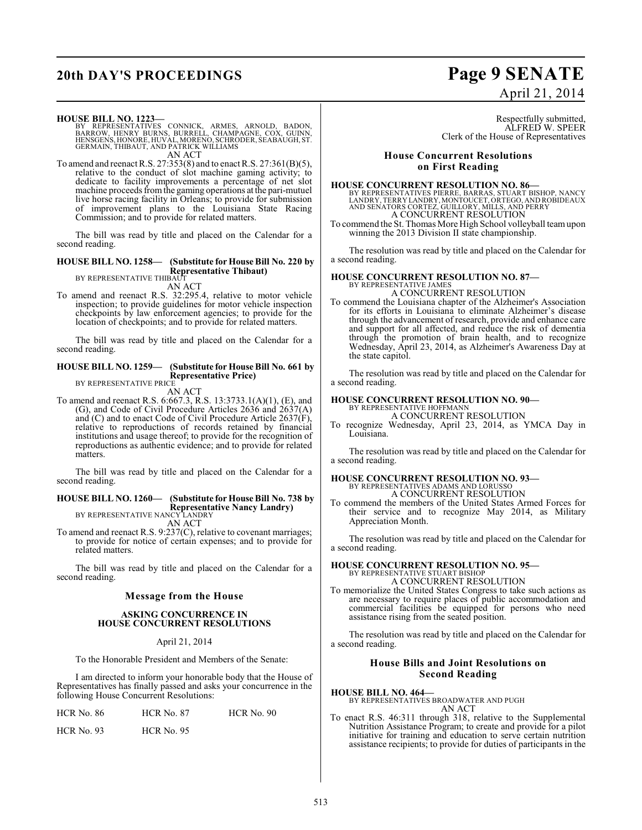# **20th DAY'S PROCEEDINGS Page 9 SENATE**

# April 21, 2014

**HOUSE BILL NO. 1223—**

- BY REPRESENTATIVES CONNICK, ARMES, ARNOLD, BADON,<br>BARROW, HENRY BURNS, BURRELL, CHAMPAGNE, COX, GUINN,<br>HENSGENS,HONORE,HUVAL,MORENO,SCHRODER,SEABAUGH,ST.<br>GERMAIN,THIBAUT,AND PATRICK WILLIAMS AN ACT
- To amend and reenact R.S. 27:353(8) and to enact R.S. 27:361(B)(5), relative to the conduct of slot machine gaming activity; to dedicate to facility improvements a percentage of net slot machine proceeds from the gaming operations at the pari-mutuel live horse racing facility in Orleans; to provide for submission of improvement plans to the Louisiana State Racing Commission; and to provide for related matters.

The bill was read by title and placed on the Calendar for a second reading.

### **HOUSE BILL NO. 1258— (Substitute for House Bill No. 220 by Representative Thibaut)**

BY REPRESENTATIVE THIBAUT

- AN ACT
- To amend and reenact R.S. 32:295.4, relative to motor vehicle inspection; to provide guidelines for motor vehicle inspection checkpoints by law enforcement agencies; to provide for the location of checkpoints; and to provide for related matters.

The bill was read by title and placed on the Calendar for a second reading.

#### **HOUSE BILL NO. 1259— (Substitute for House Bill No. 661 by Representative Price)** BY REPRESENTATIVE PRICE

AN ACT

To amend and reenact R.S. 6:667.3, R.S. 13:3733.1(A)(1), (E), and (G), and Code of Civil Procedure Articles 2636 and 2637(A) and (C) and to enact Code of Civil Procedure Article 2637(F), relative to reproductions of records retained by financial institutions and usage thereof; to provide for the recognition of reproductions as authentic evidence; and to provide for related matters.

The bill was read by title and placed on the Calendar for a second reading.

### **HOUSE BILL NO. 1260— (Substitute for House Bill No. 738 by Representative Nancy Landry)**

BY REPRESENTATIVE NANCY LANDRY AN ACT

To amend and reenact R.S. 9:237(C), relative to covenant marriages; to provide for notice of certain expenses; and to provide for related matters.

The bill was read by title and placed on the Calendar for a second reading.

### **Message from the House**

### **ASKING CONCURRENCE IN HOUSE CONCURRENT RESOLUTIONS**

April 21, 2014

To the Honorable President and Members of the Senate:

I am directed to inform your honorable body that the House of Representatives has finally passed and asks your concurrence in the following House Concurrent Resolutions:

| <b>HCR No. 86</b> | <b>HCR No. 87</b> | HCR No. 90 |
|-------------------|-------------------|------------|
| HCR No. 93        | <b>HCR</b> No. 95 |            |

Respectfully submitted, ALFRED W. SPEER Clerk of the House of Representatives

### **House Concurrent Resolutions on First Reading**

### **HOUSE CONCURRENT RESOLUTION NO. 86—**

BY REPRESENTATIVES PIERRE, BARRAS, STUART BISHOP, NANCY<br>LANDRY, TERRY LANDRY, MONTOUCET, ÒRTEGO, AND ROBIDEAUX<br>AND SENATORS CORTEZ, GUILLORY, MILLS, AND PERRY A CONCURRENT RESOLUTION

To commend the St. Thomas More High School volleyball team upon winning the 2013 Division II state championship.

The resolution was read by title and placed on the Calendar for a second reading.

# **HOUSE CONCURRENT RESOLUTION NO. 87—** BY REPRESENTATIVE JAMES

A CONCURRENT RESOLUTION

To commend the Louisiana chapter of the Alzheimer's Association for its efforts in Louisiana to eliminate Alzheimer's disease through the advancement of research, provide and enhance care and support for all affected, and reduce the risk of dementia through the promotion of brain health, and to recognize Wednesday, April 23, 2014, as Alzheimer's Awareness Day at the state capitol.

The resolution was read by title and placed on the Calendar for a second reading.

### **HOUSE CONCURRENT RESOLUTION NO. 90—**

BY REPRESENTATIVE HOFFMANN A CONCURRENT RESOLUTION

To recognize Wednesday, April 23, 2014, as YMCA Day in Louisiana.

The resolution was read by title and placed on the Calendar for a second reading.

### **HOUSE CONCURRENT RESOLUTION NO. 93—** BY REPRESENTATIVES ADAMS AND LORUSSO

A CONCURRENT RESOLUTION

To commend the members of the United States Armed Forces for their service and to recognize May 2014, as Military Appreciation Month.

The resolution was read by title and placed on the Calendar for a second reading.

### **HOUSE CONCURRENT RESOLUTION NO. 95—** BY REPRESENTATIVE STUART BISHOP A CONCURRENT RESOLUTION

To memorialize the United States Congress to take such actions as are necessary to require places of public accommodation and commercial facilities be equipped for persons who need assistance rising from the seated position.

The resolution was read by title and placed on the Calendar for a second reading.

### **House Bills and Joint Resolutions on Second Reading**

**HOUSE BILL NO. 464—**

### BY REPRESENTATIVES BROADWATER AND PUGH AN ACT

To enact R.S. 46:311 through 318, relative to the Supplemental Nutrition Assistance Program; to create and provide for a pilot initiative for training and education to serve certain nutrition assistance recipients; to provide for duties of participants in the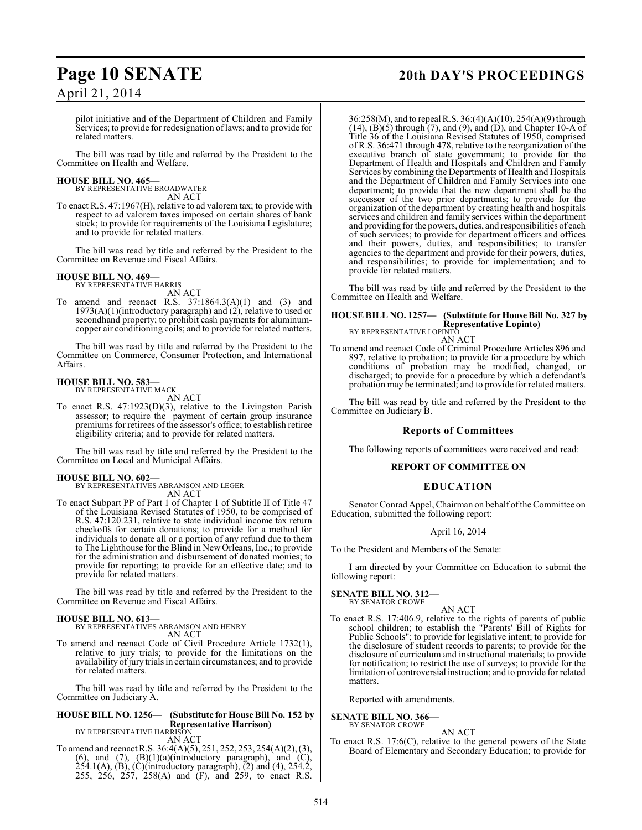pilot initiative and of the Department of Children and Family Services; to provide for redesignation of laws; and to provide for related matters.

The bill was read by title and referred by the President to the Committee on Health and Welfare.

### **HOUSE BILL NO. 465—**

BY REPRESENTATIVE BROADWATER AN ACT

To enact R.S. 47:1967(H), relative to ad valorem tax; to provide with respect to ad valorem taxes imposed on certain shares of bank stock; to provide for requirements of the Louisiana Legislature; and to provide for related matters.

The bill was read by title and referred by the President to the Committee on Revenue and Fiscal Affairs.

### **HOUSE BILL NO. 469—**

BY REPRESENTATIVE HARRIS AN ACT

To amend and reenact R.S.  $37:1864.3(A)(1)$  and  $(3)$  and 1973(A)(1)(introductory paragraph) and (2), relative to used or secondhand property; to prohibit cash payments for aluminumcopper air conditioning coils; and to provide for related matters.

The bill was read by title and referred by the President to the Committee on Commerce, Consumer Protection, and International Affairs.

### **HOUSE BILL NO. 583—** BY REPRESENTATIVE MACK

AN ACT

To enact R.S. 47:1923(D)(3), relative to the Livingston Parish assessor; to require the payment of certain group insurance premiums for retirees of the assessor's office; to establish retiree eligibility criteria; and to provide for related matters.

The bill was read by title and referred by the President to the Committee on Local and Municipal Affairs.

### **HOUSE BILL NO. 602—**

BY REPRESENTATIVES ABRAMSON AND LEGER AN ACT

To enact Subpart PP of Part 1 of Chapter 1 of Subtitle II of Title 47 of the Louisiana Revised Statutes of 1950, to be comprised of R.S. 47:120.231, relative to state individual income tax return checkoffs for certain donations; to provide for a method for individuals to donate all or a portion of any refund due to them to The Lighthouse for the Blind in New Orleans, Inc.; to provide for the administration and disbursement of donated monies; to provide for reporting; to provide for an effective date; and to provide for related matters.

The bill was read by title and referred by the President to the Committee on Revenue and Fiscal Affairs.

### **HOUSE BILL NO. 613—**

BY REPRESENTATIVES ABRAMSON AND HENRY AN ACT

To amend and reenact Code of Civil Procedure Article 1732(1), relative to jury trials; to provide for the limitations on the availability of jury trials in certain circumstances; and to provide for related matters.

The bill was read by title and referred by the President to the Committee on Judiciary A.

### **HOUSE BILL NO. 1256— (Substitute for House Bill No. 152 by Representative Harrison)** BY REPRESENTATIVE HARRISON

AN ACT To amend and reenact R.S. 36:4(A)(5), 251, 252, 253, 254(A)(2), (3), (6), and (7),  $(B)(1)(a)$ (introductory paragraph), and  $(C)$ , 254.1(A), (B), (C)(introductory paragraph),  $(2)$  and  $(4)$ , 254.2, 255, 256, 257, 258(A) and (F), and 259, to enact R.S.

## **Page 10 SENATE 20th DAY'S PROCEEDINGS**

36:258(M), and to repeal R.S. 36:(4)(A)(10), 254(A)(9) through  $(14)$ ,  $(B)(5)$  through  $(7)$ , and  $(9)$ , and  $(D)$ , and Chapter 10-A of Title 36 of the Louisiana Revised Statutes of 1950, comprised of R.S. 36:471 through 478, relative to the reorganization of the executive branch of state government; to provide for the Department of Health and Hospitals and Children and Family Services by combining the Departments of Health and Hospitals and the Department of Children and Family Services into one department; to provide that the new department shall be the successor of the two prior departments; to provide for the organization of the department by creating health and hospitals services and children and family services within the department and providing for the powers, duties, and responsibilities of each of such services; to provide for department officers and offices and their powers, duties, and responsibilities; to transfer agencies to the department and provide for their powers, duties, and responsibilities; to provide for implementation; and to provide for related matters.

The bill was read by title and referred by the President to the Committee on Health and Welfare.

### **HOUSE BILL NO. 1257— (Substitute for House Bill No. 327 by Representative Lopinto)** BY REPRESENTATIVE LOPINTO AN ACT

To amend and reenact Code of Criminal Procedure Articles 896 and 897, relative to probation; to provide for a procedure by which conditions of probation may be modified, changed, or discharged; to provide for a procedure by which a defendant's probation may be terminated; and to provide for related matters.

The bill was read by title and referred by the President to the Committee on Judiciary B.

### **Reports of Committees**

The following reports of committees were received and read:

### **REPORT OF COMMITTEE ON**

### **EDUCATION**

Senator Conrad Appel, Chairman on behalf of the Committee on Education, submitted the following report:

### April 16, 2014

To the President and Members of the Senate:

I am directed by your Committee on Education to submit the following report:

### **SENATE BILL NO. 312—** BY SENATOR CROWE

AN ACT

To enact R.S. 17:406.9, relative to the rights of parents of public school children; to establish the "Parents' Bill of Rights for Public Schools"; to provide for legislative intent; to provide for the disclosure of student records to parents; to provide for the disclosure of curriculum and instructional materials; to provide for notification; to restrict the use of surveys; to provide for the limitation of controversial instruction; and to provide for related matters.

Reported with amendments.

### **SENATE BILL NO. 366—** BY SENATOR CROWE

### AN ACT

To enact R.S. 17:6(C), relative to the general powers of the State Board of Elementary and Secondary Education; to provide for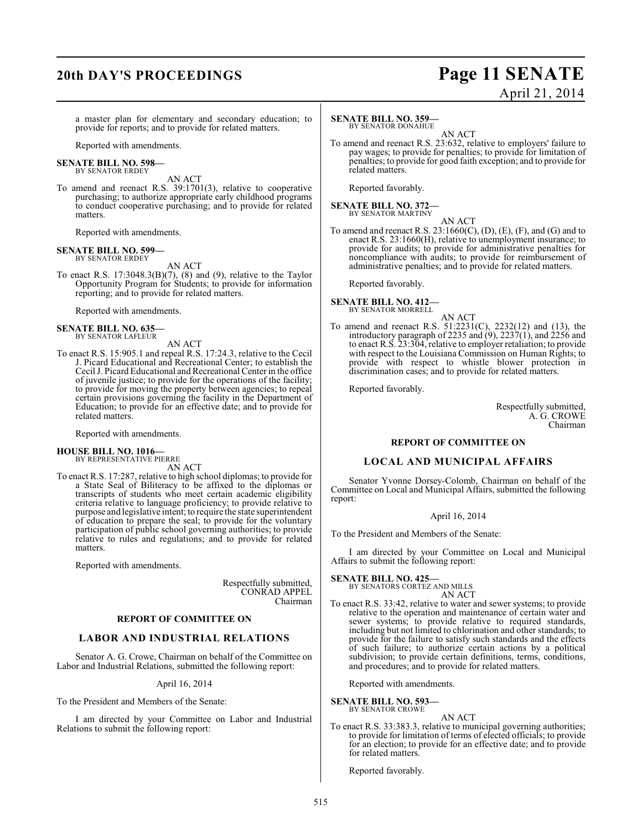## **20th DAY'S PROCEEDINGS Page 11 SENATE**

# April 21, 2014

a master plan for elementary and secondary education; to provide for reports; and to provide for related matters.

Reported with amendments.

#### **SENATE BILL NO. 598—** BY SENATOR ERDEY

AN ACT

To amend and reenact R.S. 39:1701(3), relative to cooperative purchasing; to authorize appropriate early childhood programs to conduct cooperative purchasing; and to provide for related matters.

Reported with amendments.

#### **SENATE BILL NO. 599—** BY SENATOR ERDEY

AN ACT

To enact R.S. 17:3048.3(B)(7), (8) and (9), relative to the Taylor Opportunity Program for Students; to provide for information reporting; and to provide for related matters.

Reported with amendments.

**SENATE BILL NO. 635—** BY SENATOR LAFLEUR

AN ACT

To enact R.S. 15:905.1 and repeal R.S. 17:24.3, relative to the Cecil J. Picard Educational and Recreational Center; to establish the Cecil J. Picard Educational and Recreational Center in the office of juvenile justice; to provide for the operations of the facility; to provide for moving the property between agencies; to repeal certain provisions governing the facility in the Department of Education; to provide for an effective date; and to provide for related matters.

Reported with amendments.

### **HOUSE BILL NO. 1016—**

BY REPRESENTATIVE PIERRE AN ACT

To enact R.S. 17:287, relative to high school diplomas; to provide for a State Seal of Biliteracy to be affixed to the diplomas or transcripts of students who meet certain academic eligibility criteria relative to language proficiency; to provide relative to purpose and legislative intent; to require the state superintendent of education to prepare the seal; to provide for the voluntary participation of public school governing authorities; to provide relative to rules and regulations; and to provide for related matters.

Reported with amendments.

Respectfully submitted, CONRAD APPEL Chairman

### **REPORT OF COMMITTEE ON**

### **LABOR AND INDUSTRIAL RELATIONS**

Senator A. G. Crowe, Chairman on behalf of the Committee on Labor and Industrial Relations, submitted the following report:

### April 16, 2014

To the President and Members of the Senate:

I am directed by your Committee on Labor and Industrial Relations to submit the following report:

### **SENATE BILL NO. 359** BY SENATOR DONAHUE

AN ACT

To amend and reenact R.S. 23:632, relative to employers' failure to pay wages; to provide for penalties; to provide for limitation of penalties; to provide for good faith exception; and to provide for related matters.

Reported favorably.

**SENATE BILL NO. 372—** BY SENATOR MARTINY

AN ACT To amend and reenact R.S.  $23:1660(C)$ , (D), (E), (F), and (G) and to enact R.S. 23:1660(H), relative to unemployment insurance; to provide for audits; to provide for administrative penalties for noncompliance with audits; to provide for reimbursement of administrative penalties; and to provide for related matters.

Reported favorably.

#### **SENATE BILL NO. 412—** BY SENATOR MORRELL

AN ACT

To amend and reenact R.S. 51:2231(C), 2232(12) and (13), the introductory paragraph of 2235 and (9), 2237(1), and 2256 and to enact R.S. 23:304, relative to employer retaliation; to provide with respect to the Louisiana Commission on Human Rights; to provide with respect to whistle blower protection in discrimination cases; and to provide for related matters.

Reported favorably.

Respectfully submitted, A. G. CROWE Chairman

### **REPORT OF COMMITTEE ON**

### **LOCAL AND MUNICIPAL AFFAIRS**

Senator Yvonne Dorsey-Colomb, Chairman on behalf of the Committee on Local and Municipal Affairs, submitted the following report:

### April 16, 2014

To the President and Members of the Senate:

I am directed by your Committee on Local and Municipal Affairs to submit the following report:

### **SENATE BILL NO. 425—**

BY SENATORS CORTEZ AND MILLS AN ACT

To enact R.S. 33:42, relative to water and sewer systems; to provide relative to the operation and maintenance of certain water and sewer systems; to provide relative to required standards, including but not limited to chlorination and other standards; to provide for the failure to satisfy such standards and the effects of such failure; to authorize certain actions by a political subdivision; to provide certain definitions, terms, conditions, and procedures; and to provide for related matters.

Reported with amendments.

### **SENATE BILL NO. 593—**

BY SENATOR CROWE

AN ACT To enact R.S. 33:383.3, relative to municipal governing authorities; to provide for limitation of terms of elected officials; to provide for an election; to provide for an effective date; and to provide for related matters.

Reported favorably.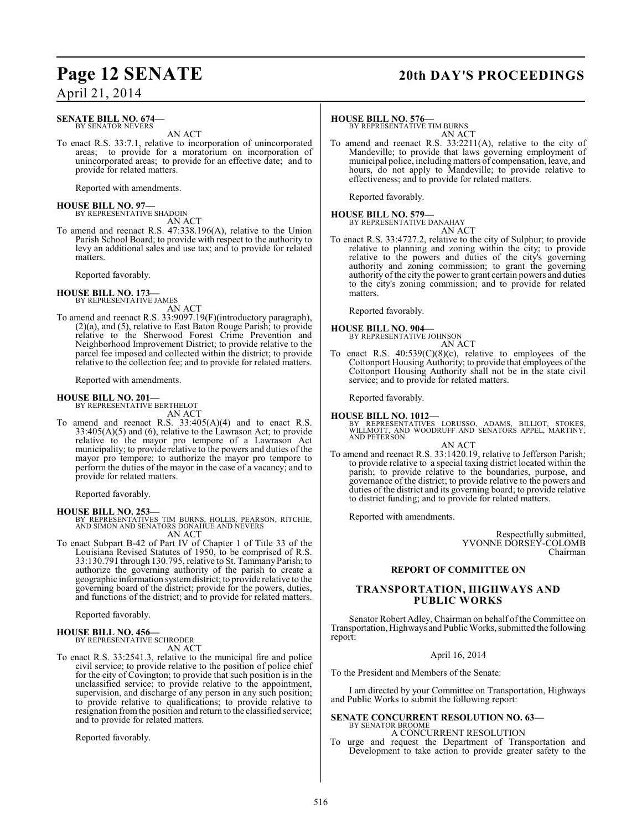### **Page 12 SENATE 20th DAY'S PROCEEDINGS**

### April 21, 2014

### **SENATE BILL NO. 674—** BY SENATOR NEVERS

AN ACT

To enact R.S. 33:7.1, relative to incorporation of unincorporated areas; to provide for a moratorium on incorporation of unincorporated areas; to provide for an effective date; and to provide for related matters.

Reported with amendments.

# **HOUSE BILL NO. 97—** BY REPRESENTATIVE SHADOIN

AN ACT

To amend and reenact R.S. 47:338.196(A), relative to the Union Parish School Board; to provide with respect to the authority to levy an additional sales and use tax; and to provide for related matters.

Reported favorably.

### **HOUSE BILL NO. 173—**

BY REPRESENTATIVE JAMES AN ACT

To amend and reenact R.S. 33:9097.19(F)(introductory paragraph), (2)(a), and (5), relative to East Baton Rouge Parish; to provide relative to the Sherwood Forest Crime Prevention and Neighborhood Improvement District; to provide relative to the parcel fee imposed and collected within the district; to provide relative to the collection fee; and to provide for related matters.

Reported with amendments.

### **HOUSE BILL NO. 201—**

BY REPRESENTATIVE BERTHELOT AN ACT

To amend and reenact R.S.  $33:405(A)(4)$  and to enact R.S. 33:405(A)(5) and (6), relative to the Lawrason Act; to provide relative to the mayor pro tempore of a Lawrason Act municipality; to provide relative to the powers and duties of the mayor pro tempore; to authorize the mayor pro tempore to perform the duties of the mayor in the case of a vacancy; and to provide for related matters.

Reported favorably.

**HOUSE BILL NO. 253—** BY REPRESENTATIVES TIM BURNS, HOLLIS, PEARSON, RITCHIE, AND SIMON AND SENATORS DONAHUE AND NEVERS AN ACT

To enact Subpart B-42 of Part IV of Chapter 1 of Title 33 of the Louisiana Revised Statutes of 1950, to be comprised of R.S. 33:130.791 through 130.795, relative to St. Tammany Parish; to authorize the governing authority of the parish to create a geographic information system district; to provide relative to the governing board of the district; provide for the powers, duties, and functions of the district; and to provide for related matters.

Reported favorably.

#### **HOUSE BILL NO. 456—** BY REPRESENTATIVE SCHRODER

AN ACT

To enact R.S. 33:2541.3, relative to the municipal fire and police civil service; to provide relative to the position of police chief for the city of Covington; to provide that such position is in the unclassified service; to provide relative to the appointment, supervision, and discharge of any person in any such position; to provide relative to qualifications; to provide relative to resignation from the position and return to the classified service; and to provide for related matters.

Reported favorably.

### **HOUSE BILL NO. 576—**

BY REPRESENTATIVE TIM BURNS AN ACT

To amend and reenact R.S. 33:2211(A), relative to the city of Mandeville; to provide that laws governing employment of municipal police, including matters of compensation, leave, and hours, do not apply to Mandeville; to provide relative to effectiveness; and to provide for related matters.

Reported favorably.

# **HOUSE BILL NO. 579—** BY REPRESENTATIVE DANAHAY

AN ACT

To enact R.S. 33:4727.2, relative to the city of Sulphur; to provide relative to planning and zoning within the city; to provide relative to the powers and duties of the city's governing authority and zoning commission; to grant the governing authority of the city the power to grant certain powers and duties to the city's zoning commission; and to provide for related matters.

Reported favorably.

**HOUSE BILL NO. 904—** BY REPRESENTATIVE JOHNSON

AN ACT To enact R.S.  $40:539(C)(8)(c)$ , relative to employees of the Cottonport Housing Authority; to provide that employees of the Cottonport Housing Authority shall not be in the state civil service; and to provide for related matters.

Reported favorably.

**HOUSE BILL NO. 1012—** BY REPRESENTATIVES LORUSSO, ADAMS, BILLIOT, STOKES, WILLMOTT, AND WOODRUFF AND SENATORS APPEL, MARTINY, AND PETERSON

- AN ACT
- To amend and reenact R.S. 33:1420.19, relative to Jefferson Parish; to provide relative to a special taxing district located within the parish; to provide relative to the boundaries, purpose, and governance of the district; to provide relative to the powers and duties of the district and its governing board; to provide relative to district funding; and to provide for related matters.

Reported with amendments.

Respectfully submitted, YVONNE DORSEY-COLOMB Chairman

### **REPORT OF COMMITTEE ON**

### **TRANSPORTATION, HIGHWAYS AND PUBLIC WORKS**

Senator Robert Adley, Chairman on behalf of the Committee on Transportation, Highways and Public Works, submitted the following report:

### April 16, 2014

To the President and Members of the Senate:

I am directed by your Committee on Transportation, Highways and Public Works to submit the following report:

### **SENATE CONCURRENT RESOLUTION NO. 63—** BY SENATOR BROOME

A CONCURRENT RESOLUTION

To urge and request the Department of Transportation and Development to take action to provide greater safety to the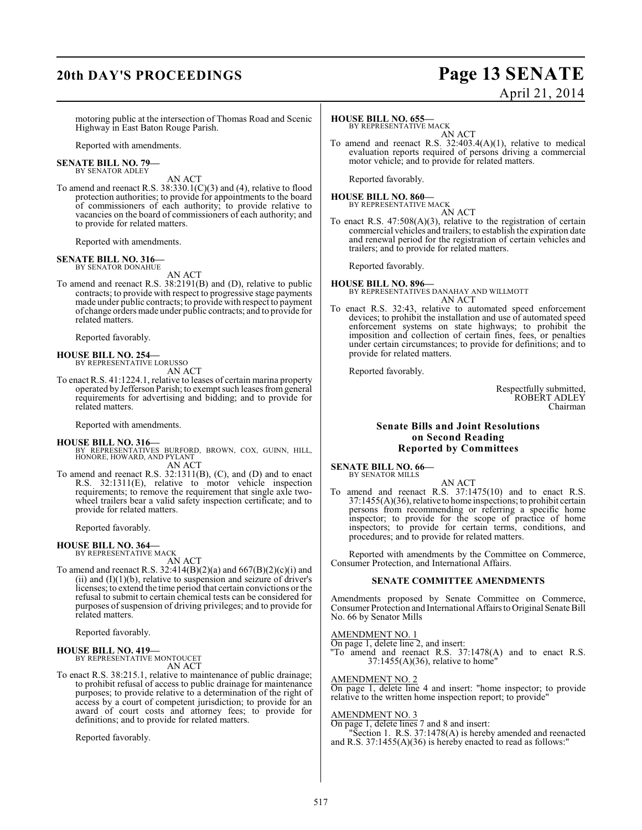## **20th DAY'S PROCEEDINGS Page 13 SENATE**

# April 21, 2014

motoring public at the intersection of Thomas Road and Scenic Highway in East Baton Rouge Parish.

Reported with amendments.

#### **SENATE BILL NO. 79—** BY SENATOR ADLEY

AN ACT

To amend and reenact R.S. 38:330.1(C)(3) and (4), relative to flood protection authorities; to provide for appointments to the board of commissioners of each authority; to provide relative to vacancies on the board of commissioners of each authority; and to provide for related matters.

Reported with amendments.

## **SENATE BILL NO. 316—** BY SENATOR DONAHUE

AN ACT

To amend and reenact R.S. 38:2191(B) and (D), relative to public contracts; to provide with respect to progressive stage payments made under public contracts; to provide with respect to payment of change orders made under public contracts; and to provide for related matters.

Reported favorably.

# **HOUSE BILL NO. 254—** BY REPRESENTATIVE LORUSSO

AN ACT

To enact R.S. 41:1224.1, relative to leases of certain marina property operated by Jefferson Parish; to exempt such leases from general requirements for advertising and bidding; and to provide for related matters.

Reported with amendments.

### **HOUSE BILL NO. 316—**

- BY REPRESENTATIVES BURFORD, BROWN, COX, GUINN, HILL, HONORE, HOWARD, AND PYLANT AN ACT
- To amend and reenact R.S. 32:1311(B), (C), and (D) and to enact R.S. 32:1311(E), relative to motor vehicle inspection requirements; to remove the requirement that single axle twowheel trailers bear a valid safety inspection certificate; and to provide for related matters.

Reported favorably.

### **HOUSE BILL NO. 364—** BY REPRESENTATIVE MACK

AN ACT

To amend and reenact R.S.  $32:414(B)(2)(a)$  and  $667(B)(2)(c)(i)$  and (ii) and  $(I)(1)(b)$ , relative to suspension and seizure of driver's licenses; to extend the time period that certain convictions or the refusal to submit to certain chemical tests can be considered for purposes of suspension of driving privileges; and to provide for related matters.

Reported favorably.

### **HOUSE BILL NO. 419—**

BY REPRESENTATIVE MONTOUCET AN ACT

To enact R.S. 38:215.1, relative to maintenance of public drainage; to prohibit refusal of access to public drainage for maintenance purposes; to provide relative to a determination of the right of access by a court of competent jurisdiction; to provide for an award of court costs and attorney fees; to provide for definitions; and to provide for related matters.

Reported favorably.

### **HOUSE BILL NO. 655—**

BY REPRESENTATIVE MACK AN ACT

To amend and reenact R.S. 32:403.4(A)(1), relative to medical evaluation reports required of persons driving a commercial motor vehicle; and to provide for related matters.

Reported favorably.

### **HOUSE BILL NO. 860—** BY REPRESENTATIVE MACK

AN ACT

To enact R.S. 47:508(A)(3), relative to the registration of certain commercial vehicles and trailers; to establish the expiration date and renewal period for the registration of certain vehicles and trailers; and to provide for related matters.

Reported favorably.

#### **HOUSE BILL NO. 896—** BY REPRESENTATIVES DANAHAY AND WILLMOTT AN ACT

To enact R.S. 32:43, relative to automated speed enforcement devices; to prohibit the installation and use of automated speed enforcement systems on state highways; to prohibit the imposition and collection of certain fines, fees, or penalties under certain circumstances; to provide for definitions; and to provide for related matters.

Reported favorably.

Respectfully submitted, ROBERT ADLEY Chairman

### **Senate Bills and Joint Resolutions on Second Reading Reported by Committees**

**SENATE BILL NO. 66—** BY SENATOR MILLS

AN ACT

To amend and reenact R.S. 37:1475(10) and to enact R.S. 37:1455(A)(36), relative to home inspections; to prohibit certain persons from recommending or referring a specific home inspector; to provide for the scope of practice of home inspectors; to provide for certain terms, conditions, and procedures; and to provide for related matters.

Reported with amendments by the Committee on Commerce, Consumer Protection, and International Affairs.

### **SENATE COMMITTEE AMENDMENTS**

Amendments proposed by Senate Committee on Commerce, Consumer Protection and International Affairs to Original Senate Bill No. 66 by Senator Mills

### AMENDMENT NO. 1

On page 1, delete line 2, and insert:

"To amend and reenact R.S. 37:1478(A) and to enact R.S. 37:1455(A)(36), relative to home"

### AMENDMENT NO. 2

On page 1, delete line 4 and insert: "home inspector; to provide relative to the written home inspection report; to provide"

### AMENDMENT NO. 3

On page 1, delete lines 7 and 8 and insert:

"Section 1. R.S. 37:1478(A) is hereby amended and reenacted and R.S. 37:1455(A)(36) is hereby enacted to read as follows:"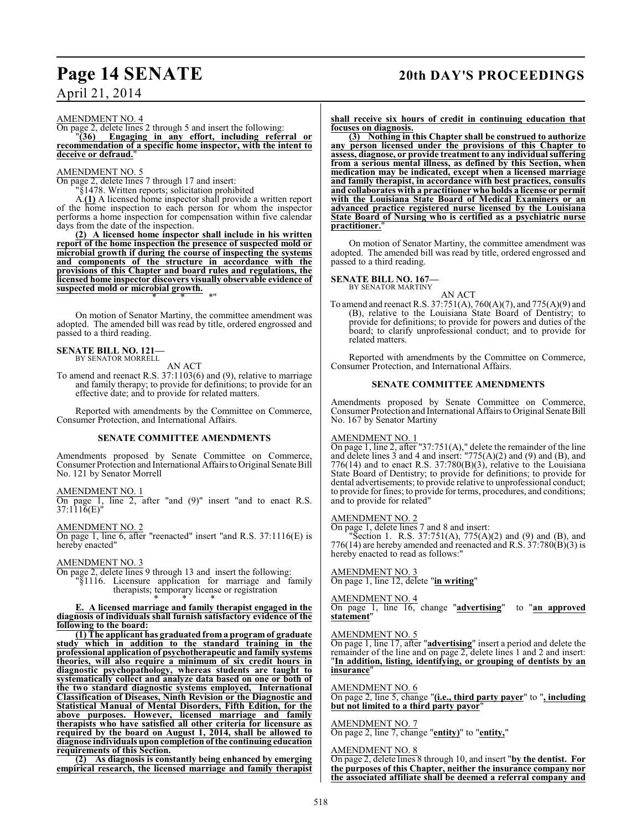### **Page 14 SENATE 20th DAY'S PROCEEDINGS**

### April 21, 2014

AMENDMENT NO. 4

On page 2, delete lines 2 through 5 and insert the following:<br> $"36$  Engaging in any effort, including refer

**Engaging in any effort, including referral or recommendation of a specific home inspector, with the intent to deceive or defraud.**"

### AMENDMENT NO. 5

On page 2, delete lines 7 through 17 and insert:

"§1478. Written reports; solicitation prohibited

A.**(1)** A licensed home inspector shall provide a written report of the home inspection to each person for whom the inspector performs a home inspection for compensation within five calendar days from the date of the inspection.

**(2) A licensed home inspector shall include in his written report of the home inspection the presence of suspected mold or microbial growth if during the course of inspecting the systems and components of the structure in accordance with the provisions of this Chapter and board rules and regulations, the licensed home inspector discovers visually observable evidence of suspected mold or microbial growth.** \* \* \*"

On motion of Senator Martiny, the committee amendment was adopted. The amended bill was read by title, ordered engrossed and passed to a third reading.

### **SENATE BILL NO. 121—** BY SENATOR MORRELL

AN ACT

To amend and reenact R.S. 37:1103(6) and (9), relative to marriage and family therapy; to provide for definitions; to provide for an effective date; and to provide for related matters.

Reported with amendments by the Committee on Commerce, Consumer Protection, and International Affairs.

### **SENATE COMMITTEE AMENDMENTS**

Amendments proposed by Senate Committee on Commerce, Consumer Protection and International Affairs to Original Senate Bill No. 121 by Senator Morrell

### AMENDMENT NO. 1

On page 1, line 2, after "and (9)" insert "and to enact R.S. 37:1116(E)"

AMENDMENT NO. 2

On page 1, line 6, after "reenacted" insert "and R.S. 37:1116(E) is hereby enacted"

### AMENDMENT NO. 3

On page 2, delete lines 9 through 13 and insert the following: "§1116. Licensure application for marriage and family therapists; temporary license or registration

\* \* \* **E. A licensed marriage and family therapist engaged in the diagnosis of individuals shall furnish satisfactory evidence of the following to the board:**

**(1) The applicant has graduated from a program of graduate** study which in addition to the standard training in the **professional application of psychotherapeutic and family systems theories, will also require a minimum of six credit hours in diagnostic psychopathology, whereas students are taught to systematically collect and analyze data based on one or both of the two standard diagnostic systems employed, International Classification of Diseases, Ninth Revision or the Diagnostic and Statistical Manual of Mental Disorders, Fifth Edition, for the above purposes. However, licensed marriage and family therapists who have satisfied all other criteria for licensure as required by the board on August 1, 2014, shall be allowed to diagnose individuals upon completion of the continuing education requirements of this Section.**<br>(2) As diagnosis is cons

**(2) As diagnosis is constantly being enhanced by emerging empirical research, the licensed marriage and family therapist** **shall receive six hours of credit in continuing education that focuses on diagnosis.**

**(3) Nothing in this Chapter shall be construed to authorize any person licensed under the provisions of this Chapter to assess, diagnose, or provide treatment to any individual suffering from a serious mental illness, as defined by this Section, when medication may be indicated, except when a licensed marriage and family therapist, in accordance with best practices, consults and collaborates with a practitioner who holds a license or permit with the Louisiana State Board of Medical Examiners or an advanced practice registered nurse licensed by the Louisiana State Board of Nursing who is certified as a psychiatric nurse** practitioner.

On motion of Senator Martiny, the committee amendment was adopted. The amended bill was read by title, ordered engrossed and passed to a third reading.

### **SENATE BILL NO. 167—**

BY SENATOR MARTINY

AN ACT To amend and reenact R.S. 37:751(A), 760(A)(7), and 775(A)(9) and (B), relative to the Louisiana State Board of Dentistry; to provide for definitions; to provide for powers and duties of the board; to clarify unprofessional conduct; and to provide for related matters.

Reported with amendments by the Committee on Commerce, Consumer Protection, and International Affairs.

### **SENATE COMMITTEE AMENDMENTS**

Amendments proposed by Senate Committee on Commerce, Consumer Protection and International Affairs to Original Senate Bill No. 167 by Senator Martiny

### AMENDMENT NO. 1

On page 1, line 2, after "37:751(A)," delete the remainder of the line and delete lines 3 and 4 and insert: "775(A)(2) and (9) and (B), and 776(14) and to enact R.S.  $37:780(B)(3)$ , relative to the Louisiana State Board of Dentistry; to provide for definitions; to provide for dental advertisements; to provide relative to unprofessional conduct; to provide for fines; to provide for terms, procedures, and conditions; and to provide for related"

### AMENDMENT NO. 2

On page 1, delete lines 7 and 8 and insert:

"Section 1. R.S. 37:751(A), 775(A)(2) and (9) and (B), and 776(14) are hereby amended and reenacted and R.S.  $37:780(B)(3)$  is hereby enacted to read as follows:"

### AMENDMENT NO. 3

On page 1, line 12, delete "**in writing**"

### AMENDMENT NO. 4

On page 1, line 16, change "**advertising**" to "**an approved statement**"

### AMENDMENT NO. 5

On page 1, line 17, after "**advertising**" insert a period and delete the remainder of the line and on page 2, delete lines 1 and 2 and insert: "**In addition, listing, identifying, or grouping of dentists by an insurance**"

### AMENDMENT NO. 6

On page 2, line 5, change "**(i.e., third party payer**" to "**, including but not limited to a third party payor**"

### AMENDMENT NO. 7

On page 2, line 7, change "**entity)**" to "**entity,**"

### AMENDMENT NO. 8

On page 2, delete lines 8 through 10, and insert "**by the dentist. For the purposes of this Chapter, neither the insurance company nor the associated affiliate shall be deemed a referral company and**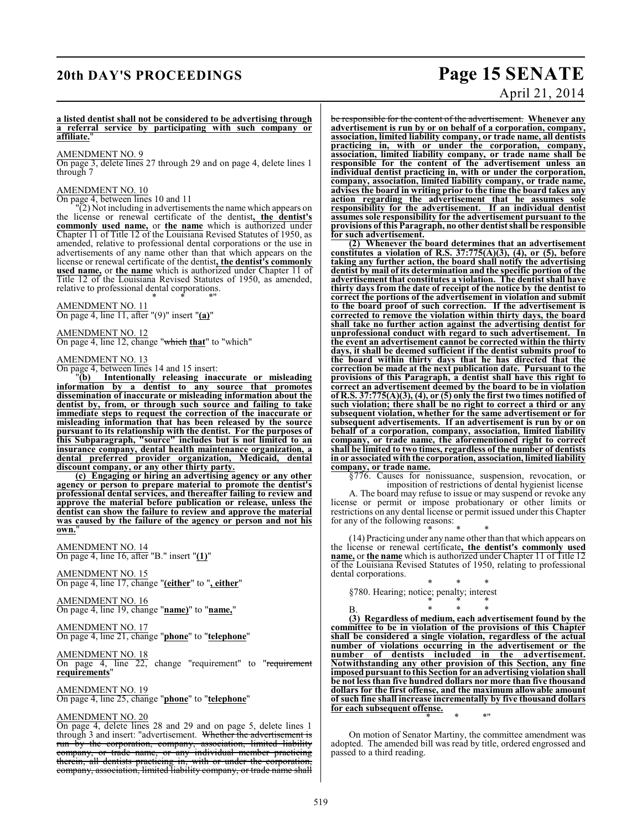## **20th DAY'S PROCEEDINGS Page 15 SENATE**

# April 21, 2014

### **a listed dentist shall not be considered to be advertising through a referral service by participating with such company or affiliate.**"

### AMENDMENT NO. 9

On page 3, delete lines 27 through 29 and on page 4, delete lines 1 through 7

### AMENDMENT NO. 10

On page 4, between lines 10 and 11

 $\sqrt{2}$ ) Not including in advertisements the name which appears on the license or renewal certificate of the dentist**, the dentist's commonly used name,** or **the name** which is authorized under Chapter 11 of Title 12 of the Louisiana Revised Statutes of 1950, as amended, relative to professional dental corporations or the use in advertisements of any name other than that which appears on the license or renewal certificate of the dentist**, the dentist's commonly used name,** or **the name** which is authorized under Chapter 11 of Title 12 of the Louisiana Revised Statutes of 1950, as amended, relative to professional dental corporations.

\* \* \*" AMENDMENT NO. 11 On page 4, line 11, after "(9)" insert "**(a)**"

AMENDMENT NO. 12 On page 4, line 12, change "which **that**" to "which"

### AMENDMENT NO. 13

 $\frac{1}{\text{On page 4, between lines 14 and 15 insert:}}$ <br>  $\frac{1}{\text{Ob}}$  Intentionally releasing inarch **Intentionally releasing inaccurate or misleading information by a dentist to any source that promotes dissemination of inaccurate or misleading information about the dentist by, from, or through such source and failing to take immediate steps to request the correction of the inaccurate or misleading information that has been released by the source pursuant to its relationship with the dentist. For the purposes of this Subparagraph, "source" includes but is not limited to an insurance company, dental health maintenance organization, a dental preferred provider organization, Medicaid, dental discount company, or any other thirty party.**

**(c) Engaging or hiring an advertising agency or any other agency or person to prepare material to promote the dentist's professional dental services, and thereafter failing to review and approve the material before publication or release, unless the dentist can show the failure to review and approve the material was caused by the failure of the agency or person and not his** own.

AMENDMENT NO. 14 On page 4, line 16, after "B." insert "**(1)**"

AMENDMENT NO. 15 On page 4, line 17, change "**(either**" to "**, either**"

AMENDMENT NO. 16 On page 4, line 19, change "**name)**" to "**name,**"

AMENDMENT NO. 17 On page 4, line 21, change "**phone**" to "**telephone**"

AMENDMENT NO. 18 On page 4, line 22, change "requirement" to "requirement **requirements**"

AMENDMENT NO. 19 On page 4, line 25, change "**phone**" to "**telephone**"

### AMENDMENT NO. 20

On page 4, delete lines 28 and 29 and on page 5, delete lines 1 through 3 and insert: "advertisement. Whether the advertisement is run by the corporation, company, association, limited liability company, or trade name, or any individual member practicing therein, all dentists practicing in, with or under the corporation, company, association, limited liability company, or trade name shall

be responsible for the content of the advertisement. **Whenever any advertisement is run by or on behalf of a corporation, company, association, limited liability company, or trade name, all dentists practicing in, with or under the corporation, company, association, limited liability company, or trade name shall be responsible for the content of the advertisement unless an individual dentist practicing in, with or under the corporation, company, association, limited liability company, or trade name, advises the board in writing prior to the time the board takes any action regarding the advertisement that he assumes sole responsibility for the advertisement. If an individual dentist assumes sole responsibility for the advertisement pursuant to the provisions of this Paragraph, no other dentist shall be responsible for such advertisement.**

**(2) Whenever the board determines that an advertisement constitutes a violation of R.S. 37:775(A)(3), (4), or (5), before taking any further action, the board shall notify the advertising dentist by mail of its determination and the specific portion of the advertisement that constitutes a violation. The dentist shall have thirty days from the date of receipt of the notice by the dentist to correct the portions of the advertisement in violation and submit to the board proof of such correction. If the advertisement is corrected to remove the violation within thirty days, the board shall take no further action against the advertising dentist for unprofessional conduct with regard to such advertisement. In the event an advertisement cannot be corrected within the thirty days, it shall be deemed sufficient if the dentist submits proof to the board within thirty days that he has directed that the correction be made at the next publication date. Pursuant to the provisions of this Paragraph, a dentist shall have this right to correct an advertisement deemed by the board to be in violation of R.S. 37:775(A)(3), (4), or (5) only the first two times notified of such violation; there shall be no right to correct a third or any subsequent violation, whether for the same advertisement or for subsequent advertisements. If an advertisement is run by or on behalf of a corporation, company, association, limited liability company, or trade name, the aforementioned right to correct shall be limited to two times, regardless of the number of dentists in or associated with the corporation, association, limited liability company, or trade name.**

§776. Causes for nonissuance, suspension, revocation, or imposition of restrictions of dental hygienist license A. The board may refuse to issue or may suspend or revoke any license or permit or impose probationary or other limits or restrictions on any dental license or permit issued under this Chapter for any of the following reasons:

\* \* \* (14) Practicing under any name other than that which appears on the license or renewal certificate**, the dentist's commonly used name,** or **the name** which is authorized under Chapter 11 of Title 12 of the Louisiana Revised Statutes of 1950, relating to professional dental corporations.

\* \* \*

\* \* \* §780. Hearing; notice; penalty; interest

B. \* \* \* **(3) Regardless of medium, each advertisement found by the committee to be in violation of the provisions of this Chapter shall be considered a single violation, regardless of the actual number of violations occurring in the advertisement or the number of dentists included in the advertisement. Notwithstanding any other provision of this Section, any fine imposed pursuant to this Section for an advertising violation shall be not less than five hundred dollars nor more than five thousand dollars for the first offense, and the maximum allowable amount of such fine shall increase incrementally by five thousand dollars for each subsequent offense.**

On motion of Senator Martiny, the committee amendment was adopted. The amended bill was read by title, ordered engrossed and passed to a third reading.

\* \* \*"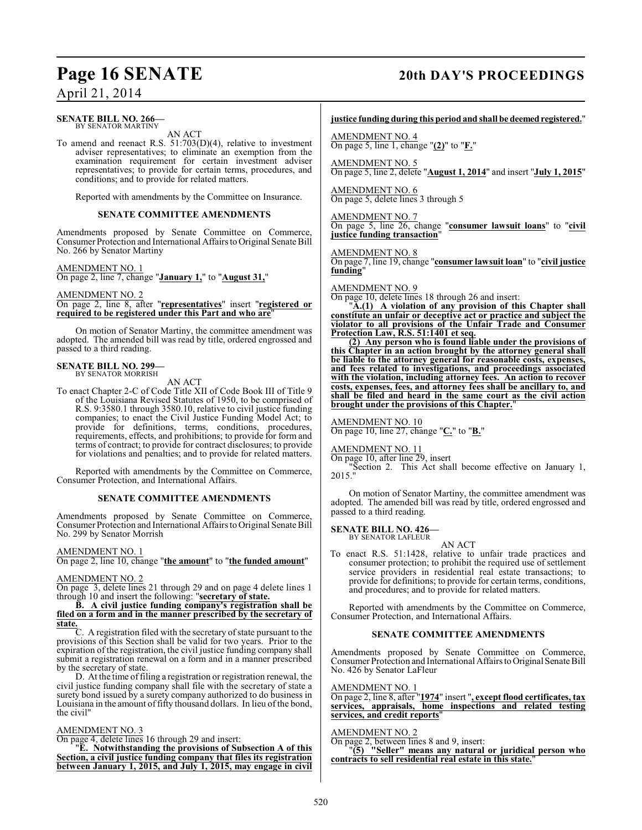### **Page 16 SENATE 20th DAY'S PROCEEDINGS**

### April 21, 2014

### **SENATE BILL NO. 266—** BY SENATOR MARTINY

AN ACT

To amend and reenact R.S. 51:703(D)(4), relative to investment adviser representatives; to eliminate an exemption from the examination requirement for certain investment adviser representatives; to provide for certain terms, procedures, and conditions; and to provide for related matters.

Reported with amendments by the Committee on Insurance.

### **SENATE COMMITTEE AMENDMENTS**

Amendments proposed by Senate Committee on Commerce, Consumer Protection and International Affairs to Original Senate Bill No. 266 by Senator Martiny

### AMENDMENT NO. 1

On page 2, line 7, change "**January 1,**" to "**August 31,**"

AMENDMENT NO. 2 On page 2, line 8, after "**representatives**" insert "**registered or required to be registered under this Part and who are**"

On motion of Senator Martiny, the committee amendment was adopted. The amended bill was read by title, ordered engrossed and passed to a third reading.

## **SENATE BILL NO. 299—** BY SENATOR MORRISH

AN ACT

To enact Chapter 2-C of Code Title XII of Code Book III of Title 9 of the Louisiana Revised Statutes of 1950, to be comprised of R.S. 9:3580.1 through 3580.10, relative to civil justice funding companies; to enact the Civil Justice Funding Model Act; to provide for definitions, terms, conditions, procedures, requirements, effects, and prohibitions; to provide for form and terms of contract; to provide for contract disclosures; to provide for violations and penalties; and to provide for related matters.

Reported with amendments by the Committee on Commerce, Consumer Protection, and International Affairs.

### **SENATE COMMITTEE AMENDMENTS**

Amendments proposed by Senate Committee on Commerce, Consumer Protection and International Affairs to Original Senate Bill No. 299 by Senator Morrish

### AMENDMENT NO. 1

On page 2, line 10, change "**the amount**" to "**the funded amount**"

### AMENDMENT NO. 2

On page 3, delete lines 21 through 29 and on page 4 delete lines 1 through 10 and insert the following: "**secretary of state.**

### **B. A civil justice funding company's registration shall be filed on a form and in the manner prescribed by the secretary of state.**

C. A registration filed with the secretary of state pursuant to the provisions of this Section shall be valid for two years. Prior to the expiration of the registration, the civil justice funding company shall submit a registration renewal on a form and in a manner prescribed by the secretary of state.

D. At the time offiling a registration or registration renewal, the civil justice funding company shall file with the secretary of state a surety bond issued by a surety company authorized to do business in Louisiana in the amount of fifty thousand dollars. In lieu of the bond, the civil"

### AMENDMENT NO. 3

On page 4, delete lines 16 through 29 and insert:

"**E. Notwithstanding the provisions of Subsection A of this Section, a civil justice funding company that files its registration between January 1, 2015, and July 1, 2015, may engage in civil**

### **justice funding during this period and shall be deemed registered.**"

AMENDMENT NO. 4 On page 5, line 1, change "**(2)**" to "**F.**"

AMENDMENT NO. 5 On page 5, line 2, delete "**August 1, 2014**" and insert "**July 1, 2015**"

AMENDMENT NO. 6 On page 5, delete lines 3 through 5

AMENDMENT NO. 7 On page 5, line 26, change "**consumer lawsuit loans**" to "**civil justice funding transaction**"

AMENDMENT NO. 8 On page 7, line 19, change "**consumer lawsuit loan**" to "**civil justice funding**"

AMENDMENT NO. 9

On page 10, delete lines 18 through 26 and insert:

"**A.(1) A violation of any provision of this Chapter shall constitute an unfair or deceptive act or practice and subject the violator to all provisions of the Unfair Trade and Consumer Protection Law, R.S. 51:1401 et seq.**

**(2) Any person who is found liable under the provisions of this Chapter in an action brought by the attorney general shall be liable to the attorney general for reasonable costs, expenses, and fees related to investigations, and proceedings associated with the violation, including attorney fees. An action to recover costs, expenses, fees, and attorney fees shall be ancillary to, and shall be filed and heard in the same court as the civil action brought under the provisions of this Chapter.**"

AMENDMENT NO. 10 On page 10, line 27, change "**C.**" to "**B.**"

### AMENDMENT NO. 11

On page 10, after line 29, insert

"Section 2. This Act shall become effective on January 1, 2015."

On motion of Senator Martiny, the committee amendment was adopted. The amended bill was read by title, ordered engrossed and passed to a third reading.

### **SENATE BILL NO. 426—**

BY SENATOR LAFLEUR

To enact R.S. 51:1428, relative to unfair trade practices and consumer protection; to prohibit the required use of settlement service providers in residential real estate transactions; to provide for definitions; to provide for certain terms, conditions, and procedures; and to provide for related matters.

AN ACT

Reported with amendments by the Committee on Commerce, Consumer Protection, and International Affairs.

### **SENATE COMMITTEE AMENDMENTS**

Amendments proposed by Senate Committee on Commerce, Consumer Protection and International Affairs to Original Senate Bill No. 426 by Senator LaFleur

AMENDMENT NO. 1

On page 2, line 8, after "**1974**" insert "**, except flood certificates, tax services, appraisals, home inspections and related testing services, and credit reports**"

### AMENDMENT NO. 2

On page 2, between lines 8 and 9, insert:

"**(5) "Seller" means any natural or juridical person who contracts to sell residential real estate in this state.**"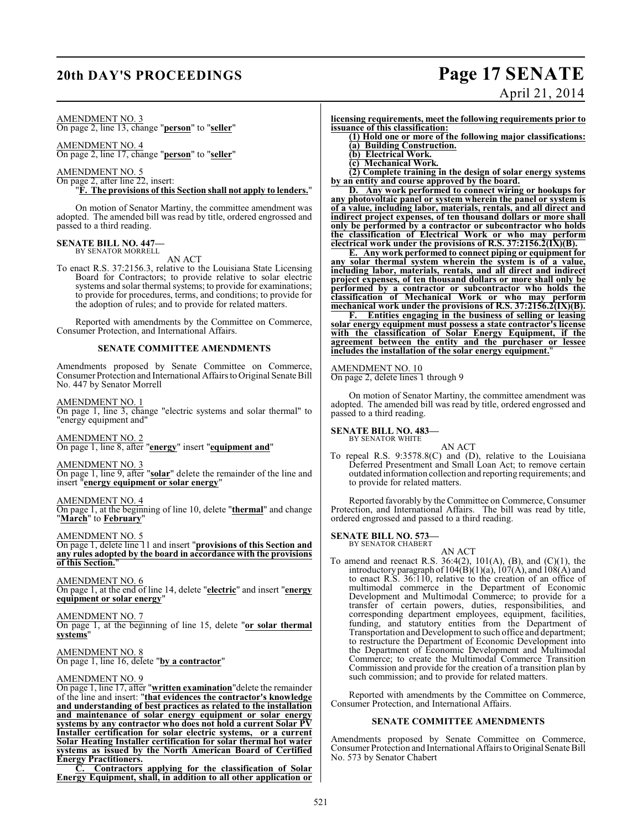## **20th DAY'S PROCEEDINGS Page 17 SENATE** April 21, 2014

### AMENDMENT NO. 3

On page 2, line 13, change "**person**" to "**seller**"

AMENDMENT NO. 4

On page 2, line 17, change "**person**" to "**seller**"

### AMENDMENT NO. 5

On page 2, after line 22, insert: "**F. The provisions of this Section shall not apply to lenders.**"

On motion of Senator Martiny, the committee amendment was adopted. The amended bill was read by title, ordered engrossed and passed to a third reading.

#### **SENATE BILL NO. 447—** BY SENATOR MORRELL

AN ACT

To enact R.S. 37:2156.3, relative to the Louisiana State Licensing Board for Contractors; to provide relative to solar electric systems and solar thermal systems; to provide for examinations; to provide for procedures, terms, and conditions; to provide for the adoption of rules; and to provide for related matters.

Reported with amendments by the Committee on Commerce, Consumer Protection, and International Affairs.

### **SENATE COMMITTEE AMENDMENTS**

Amendments proposed by Senate Committee on Commerce, Consumer Protection and International Affairs to Original Senate Bill No. 447 by Senator Morrell

AMENDMENT NO. 1

On page 1, line 3, change "electric systems and solar thermal" to "energy equipment and"

### AMENDMENT NO. 2 On page 1, line 8, after "**energy**" insert "**equipment and**"

AMENDMENT NO. 3

On page 1, line 9, after "**solar**" delete the remainder of the line and insert "**energy equipment or solar energy**"

AMENDMENT NO. 4

On page 1, at the beginning of line 10, delete "**thermal**" and change "**March**" to **February**"

AMENDMENT NO. 5

On page 1, delete line 11 and insert "**provisions of this Section and any rules adopted by the board in accordance with the provisions of this Section.** 

AMENDMENT NO. 6 On page 1, at the end of line 14, delete "**electric**" and insert "**energy equipment or solar energy**"

AMENDMENT NO. 7 On page 1, at the beginning of line 15, delete "**or solar thermal systems**"

AMENDMENT NO. 8 On page 1, line 16, delete "**by a contractor**"

### AMENDMENT NO. 9

On page 1, line 17, after "**written examination**"delete the remainder of the line and insert: "**that evidences the contractor's knowledge and understanding of best practices as related to the installation and maintenance of solar energy equipment or solar energy systems by any contractor who does not hold a current Solar PV Installer certification for solar electric systems, or a current Solar Heating Installer certification for solar thermal hot water systems as issued by the North American Board of Certified Energy Practitioners.**

**C. Contractors applying for the classification of Solar Energy Equipment, shall, in addition to all other application or** **licensing requirements, meet the following requirements prior to issuance of this classification:**

**(1) Hold one or more of the following major classifications: (a) Building Construction.**

- **(b) Electrical Work.**
- **(c) Mechanical Work.**

**(2) Complete training in the design of solar energy systems by an entity and course approved by the board.**

**D. Any work performed to connect wiring or hookups for any photovoltaic panel or system wherein the panel or system is of a value, including labor, materials, rentals, and all direct and indirect project expenses, of ten thousand dollars or more shall only be performed by a contractor or subcontractor who holds the classification of Electrical Work or who may perform electrical work under the provisions of R.S. 37:2156.2(IX)(B).**

**E. Any work performed to connect piping or equipment for any solar thermal system wherein the system is of a value, including labor, materials, rentals, and all direct and indirect project expenses, of ten thousand dollars or more shall only be performed by a contractor or subcontractor who holds the classification of Mechanical Work or who may perform mechanical work under the provisions of R.S. 37:2156.2(IX)(B).**

**F. Entities engaging in the business of selling or leasing solar energy equipment must possess a state contractor's license with the classification of Solar Energy Equipment, if the agreement between the entity and the purchaser or lessee includes the installation of the solar energy equipment.**"

AMENDMENT NO. 10 On page 2, delete lines 1 through 9

On motion of Senator Martiny, the committee amendment was adopted. The amended bill was read by title, ordered engrossed and passed to a third reading.

### **SENATE BILL NO. 483—**

BY SENATOR WHITE AN ACT

To repeal R.S. 9:3578.8(C) and (D), relative to the Louisiana Deferred Presentment and Small Loan Act; to remove certain outdated information collection and reporting requirements; and to provide for related matters.

Reported favorably by the Committee on Commerce, Consumer Protection, and International Affairs. The bill was read by title, ordered engrossed and passed to a third reading.

### **SENATE BILL NO. 573—**

BY SENATOR CHABERT

AN ACT To amend and reenact R.S.  $36:4(2)$ ,  $101(A)$ ,  $(B)$ , and  $(C)(1)$ , the introductory paragraph of  $104(B)(1)(a)$ ,  $107(A)$ , and  $108(A)$  and to enact R.S. 36:110, relative to the creation of an office of multimodal commerce in the Department of Economic Development and Multimodal Commerce; to provide for a transfer of certain powers, duties, responsibilities, and corresponding department employees, equipment, facilities, funding, and statutory entities from the Department of Transportation and Development to such office and department; to restructure the Department of Economic Development into the Department of Economic Development and Multimodal Commerce; to create the Multimodal Commerce Transition Commission and provide for the creation of a transition plan by such commission; and to provide for related matters.

Reported with amendments by the Committee on Commerce, Consumer Protection, and International Affairs.

### **SENATE COMMITTEE AMENDMENTS**

Amendments proposed by Senate Committee on Commerce, Consumer Protection and International Affairs to Original Senate Bill No. 573 by Senator Chabert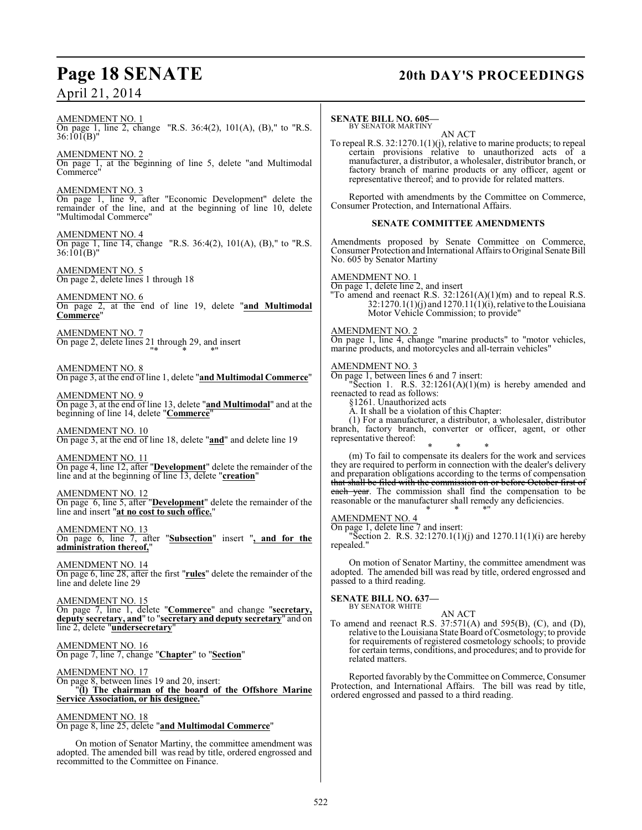**Page 18 SENATE 20th DAY'S PROCEEDINGS** AMENDMENT NO. 1 On page 1, line 2, change "R.S. 36:4(2), 101(A), (B)," to "R.S. 36:101(B)" AMENDMENT NO. 2 On page 1, at the beginning of line 5, delete "and Multimodal Commerce" AMENDMENT NO. 3 On page 1, line 9, after "Economic Development" delete the remainder of the line, and at the beginning of line 10, delete "Multimodal Commerce" AMENDMENT NO. 4 On page 1, line 14, change "R.S. 36:4(2), 101(A), (B)," to "R.S. 36:101(B)" AMENDMENT NO. 5 On page 2, delete lines 1 through 18 AMENDMENT NO. 6 On page 2, at the end of line 19, delete "**and Multimodal Commerce**" AMENDMENT NO. 7 On page 2, delete lines 21 through 29, and insert "\* \* \*" AMENDMENT NO. 8 On page 3, at the end of line 1, delete "**and Multimodal Commerce**" AMENDMENT NO. 9 On page 3, at the end of line 13, delete "**and Multimodal**" and at the beginning of line 14, delete "**Commerce**" AMENDMENT NO. 10 On page 3, at the end of line 18, delete "**and**" and delete line 19 AMENDMENT NO. 11 On page 4, line 12, after "**Development**" delete the remainder of the line and at the beginning of line 13, delete "**creation**" AMENDMENT NO. 12 On page 6, line 5, after "**Development**" delete the remainder of the line and insert "**at no cost to such office.**" AMENDMENT NO. 13 On page 6, line 7, after "**Subsection**" insert "**, and for the administration thereof,**" AMENDMENT NO. 14 On page 6, line 28, after the first "**rules**" delete the remainder of the line and delete line 29

AMENDMENT NO. 15 On page 7, line 1, delete "**Commerce**" and change "**secretary, deputy secretary, and**" to "**secretary and deputy secretary**" and on line 2, delete "**undersecretary**"

AMENDMENT NO. 16 On page 7, line 7, change "**Chapter**" to "**Section**"

AMENDMENT NO. 17 On page 8, between lines 19 and 20, insert: "**(l) The chairman of the board of the Offshore Marine Service Association, or his designee.**"

AMENDMENT NO. 18 On page 8, line 25, delete "**and Multimodal Commerce**"

On motion of Senator Martiny, the committee amendment was adopted. The amended bill was read by title, ordered engrossed and recommitted to the Committee on Finance.

### **SENATE BILL NO. 605—**

BY SENATOR MARTINY AN ACT

To repeal R.S. 32:1270.1(1)(j), relative to marine products; to repeal certain provisions relative to unauthorized acts of a manufacturer, a distributor, a wholesaler, distributor branch, or factory branch of marine products or any officer, agent or representative thereof; and to provide for related matters.

Reported with amendments by the Committee on Commerce, Consumer Protection, and International Affairs.

### **SENATE COMMITTEE AMENDMENTS**

Amendments proposed by Senate Committee on Commerce, Consumer Protection and International Affairs to Original Senate Bill No. 605 by Senator Martiny

### AMENDMENT NO. 1

On page 1, delete line 2, and insert "To amend and reenact R.S.  $32:1261(A)(1)(m)$  and to repeal R.S.  $32:1270.1(1)(j)$  and  $1270.11(1)(j)$ , relative to the Louisiana Motor Vehicle Commission; to provide"

### AMENDMENT NO. 2

On page 1, line 4, change "marine products" to "motor vehicles, marine products, and motorcycles and all-terrain vehicles"

### AMENDMENT NO. 3

On page 1, between lines 6 and 7 insert:

"Section 1. R.S.  $32:1261(A)(1)(m)$  is hereby amended and reenacted to read as follows:

§1261. Unauthorized acts

A. It shall be a violation of this Chapter:

(1) For a manufacturer, a distributor, a wholesaler, distributor branch, factory branch, converter or officer, agent, or other representative thereof:

\* \* \* (m) To fail to compensate its dealers for the work and services they are required to perform in connection with the dealer's delivery and preparation obligations according to the terms of compensation that shall be filed with the commission on or before October first of each year. The commission shall find the compensation to be reasonable or the manufacturer shall remedy any deficiencies. \* \* \*"

AMENDMENT NO. 4

On page 1, delete line 7 and insert:

"Section 2. R.S.  $32:1270.1(1)(j)$  and  $1270.11(1)(i)$  are hereby repealed."

On motion of Senator Martiny, the committee amendment was adopted. The amended bill was read by title, ordered engrossed and passed to a third reading.

### **SENATE BILL NO. 637—**<br>BY SENATOR WHITE

AN ACT To amend and reenact R.S. 37:571(A) and 595(B), (C), and (D), relative to the Louisiana State Board ofCosmetology; to provide for requirements of registered cosmetology schools; to provide for certain terms, conditions, and procedures; and to provide for related matters.

Reported favorably by the Committee on Commerce, Consumer Protection, and International Affairs. The bill was read by title, ordered engrossed and passed to a third reading.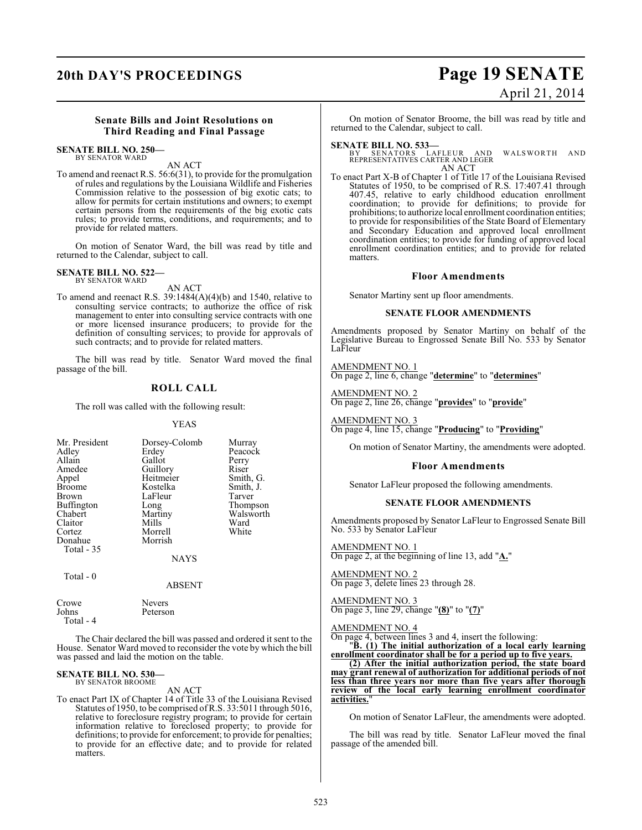## **20th DAY'S PROCEEDINGS Page 19 SENATE**

# April 21, 2014

### **Senate Bills and Joint Resolutions on Third Reading and Final Passage**

### **SENATE BILL NO. 250—** BY SENATOR WARD

AN ACT

To amend and reenact R.S. 56:6(31), to provide for the promulgation of rules and regulations by the Louisiana Wildlife and Fisheries Commission relative to the possession of big exotic cats; to allow for permits for certain institutions and owners; to exempt certain persons from the requirements of the big exotic cats rules; to provide terms, conditions, and requirements; and to provide for related matters.

On motion of Senator Ward, the bill was read by title and returned to the Calendar, subject to call.

#### **SENATE BILL NO. 522—** BY SENATOR WARD

AN ACT

To amend and reenact R.S. 39:1484(A)(4)(b) and 1540, relative to consulting service contracts; to authorize the office of risk management to enter into consulting service contracts with one or more licensed insurance producers; to provide for the definition of consulting services; to provide for approvals of such contracts; and to provide for related matters.

The bill was read by title. Senator Ward moved the final passage of the bill.

### **ROLL CALL**

The roll was called with the following result:

### YEAS

| Mr. President     | Dorsey-Colomb | Murray    |
|-------------------|---------------|-----------|
| Adley             | Erdey         | Peacock   |
| Allain            | Gallot        | Perry     |
| Amedee            | Guillory      | Riser     |
| Appel             | Heitmeier     | Smith, G. |
| <b>Broome</b>     | Kostelka      | Smith, J. |
| Brown             | LaFleur       | Tarver    |
| <b>Buffington</b> | Long          | Thompson  |
| Chabert           | Martiny       | Walsworth |
| Claitor           | Mills         | Ward      |
| Cortez            | Morrell       | White     |
| Donahue           | Morrish       |           |
| <b>Total - 35</b> |               |           |
|                   | <b>NAYS</b>   |           |
| Total - 0         |               |           |
|                   | ABSENT        |           |

| Crowe     | <b>Nevers</b> |
|-----------|---------------|
| Johns     | Peterson      |
| Total - 4 |               |

The Chair declared the bill was passed and ordered it sent to the House. Senator Ward moved to reconsider the vote by which the bill was passed and laid the motion on the table.

#### **SENATE BILL NO. 530—** BY SENATOR BROOME

AN ACT

To enact Part IX of Chapter 14 of Title 33 of the Louisiana Revised Statutes of 1950, to be comprised of R.S. 33:5011 through 5016, relative to foreclosure registry program; to provide for certain information relative to foreclosed property; to provide for definitions; to provide for enforcement; to provide for penalties; to provide for an effective date; and to provide for related matters.

On motion of Senator Broome, the bill was read by title and returned to the Calendar, subject to call.

**SENATE BILL NO. 533—**<br>BY SENATORS LAFLEUR AND WALSWORTH AND<br>REPRESENTATIVES CARTER AND LEGER AN ACT

To enact Part X-B of Chapter 1 of Title 17 of the Louisiana Revised Statutes of 1950, to be comprised of R.S. 17:407.41 through 407.45, relative to early childhood education enrollment coordination; to provide for definitions; to provide for prohibitions; to authorize local enrollment coordination entities; to provide for responsibilities of the State Board of Elementary and Secondary Education and approved local enrollment coordination entities; to provide for funding of approved local enrollment coordination entities; and to provide for related matters.

### **Floor Amendments**

Senator Martiny sent up floor amendments.

### **SENATE FLOOR AMENDMENTS**

Amendments proposed by Senator Martiny on behalf of the Legislative Bureau to Engrossed Senate Bill No. 533 by Senator LaFleur

AMENDMENT NO. 1 On page 2, line 6, change "**determine**" to "**determines**"

AMENDMENT NO. 2 On page 2, line 26, change "**provides**" to "**provide**"

AMENDMENT NO. 3 On page 4, line 15, change "**Producing**" to "**Providing**"

On motion of Senator Martiny, the amendments were adopted.

### **Floor Amendments**

Senator LaFleur proposed the following amendments.

### **SENATE FLOOR AMENDMENTS**

Amendments proposed by Senator LaFleur to Engrossed Senate Bill No. 533 by Senator LaFleur

AMENDMENT NO. 1

On page 2, at the beginning of line 13, add "**A.**"

AMENDMENT NO. 2

On page 3, delete lines 23 through 28.

### AMENDMENT NO. 3

On page 3, line 29, change "**(8)**" to "**(7)**"

AMENDMENT NO. 4

On page 4, between lines 3 and 4, insert the following:

"**B. (1) The initial authorization of a local early learning enrollment coordinator shall be for a period up to five years.**

**(2) After the initial authorization period, the state board may grant renewal of authorization for additional periods of not less than three years nor more than five years after thorough review of the local early learning enrollment coordinator activities.**"

On motion of Senator LaFleur, the amendments were adopted.

The bill was read by title. Senator LaFleur moved the final passage of the amended bill.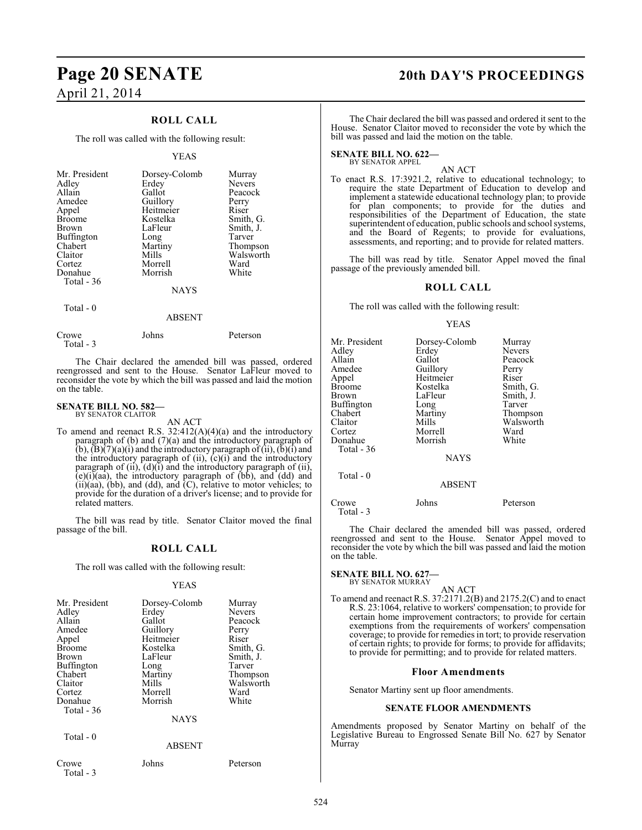### **ROLL CALL**

The roll was called with the following result:

### YEAS

| Mr. President     | Dorsey-Colomb | Murray    |
|-------------------|---------------|-----------|
| Adley             | Erdey         | Nevers    |
| Allain            | Gallot        | Peacock   |
| Amedee            | Guillory      | Perry     |
| Appel             | Heitmeier     | Riser     |
| <b>Broome</b>     | Kostelka      | Smith, G. |
| <b>Brown</b>      | LaFleur       | Smith, J. |
| <b>Buffington</b> | Long          | Tarver    |
| Chabert           | Martiny       | Thompson  |
| Claitor           | Mills         | Walsworth |
| Cortez            | Morrell       | Ward      |
| Donahue           | Morrish       | White     |
| Total - 36        |               |           |
|                   | <b>NAYS</b>   |           |

Total - 0

### ABSENT

| Crowe      | Johns | Peterson |
|------------|-------|----------|
| Total $-3$ |       |          |

The Chair declared the amended bill was passed, ordered reengrossed and sent to the House. Senator LaFleur moved to reconsider the vote by which the bill was passed and laid the motion on the table.

### **SENATE BILL NO. 582—** BY SENATOR CLAITOR

AN ACT

To amend and reenact R.S. 32:412(A)(4)(a) and the introductory paragraph of (b) and (7)(a) and the introductory paragraph of (b),  $\overline{(B)}$ (7)(a)(i) and the introductory paragraph of (ii),  $\overline{(b)}$ (i) and the introductory paragraph of  $(ii)$ ,  $(c)(i)$  and the introductory paragraph of  $(ii)$ ,  $(d)(i)$  and the introductory paragraph of  $(ii)$ ,  $(e)(i)$ (aa), the introductory paragraph of (bb), and (dd) and  $(ii)(aa)$ ,  $(bb)$ , and  $(dd)$ , and  $(C)$ , relative to motor vehicles; to provide for the duration of a driver's license; and to provide for related matters.

The bill was read by title. Senator Claitor moved the final passage of the bill.

### **ROLL CALL**

The roll was called with the following result:

#### YEAS

| Mr. President<br>Adley<br>Allain<br>Amedee<br>Appel<br><b>Broome</b><br><b>Brown</b><br>Buffington<br>Chabert<br>Claitor | Dorsey-Colomb<br>Erdey<br>Gallot<br>Guillory<br>Heitmeier<br>Kostelka<br>LaFleur<br>Long<br>Martiny<br>Mills | Murray<br><b>Nevers</b><br>Peacock<br>Perry<br>Riser<br>Smith, G.<br>Smith, J.<br>Tarver<br>Thompson<br>Walsworth |
|--------------------------------------------------------------------------------------------------------------------------|--------------------------------------------------------------------------------------------------------------|-------------------------------------------------------------------------------------------------------------------|
| Cortez<br>Donahue                                                                                                        | Morrell<br>Morrish                                                                                           | Ward<br>White                                                                                                     |
| Total - 36                                                                                                               |                                                                                                              |                                                                                                                   |
|                                                                                                                          | <b>NAYS</b>                                                                                                  |                                                                                                                   |
| Total $-0$                                                                                                               | <b>ABSENT</b>                                                                                                |                                                                                                                   |

Crowe Johns Peterson Total - 3

### **Page 20 SENATE 20th DAY'S PROCEEDINGS**

The Chair declared the bill was passed and ordered it sent to the House. Senator Claitor moved to reconsider the vote by which the bill was passed and laid the motion on the table.

#### **SENATE BILL NO. 622—** BY SENATOR APPEL

AN ACT

To enact R.S. 17:3921.2, relative to educational technology; to require the state Department of Education to develop and implement a statewide educational technology plan; to provide for plan components; to provide for the duties and responsibilities of the Department of Education, the state superintendent of education, public schools and school systems, and the Board of Regents; to provide for evaluations, assessments, and reporting; and to provide for related matters.

The bill was read by title. Senator Appel moved the final passage of the previously amended bill.

### **ROLL CALL**

The roll was called with the following result:

### YEAS

| Mr. President<br>Adley<br>Allain<br>Amedee<br>Appel<br>Broome<br>Brown<br>Buffington<br>Chabert<br>Claitor<br>Cortez<br>Donahue<br>Total - 36 | Dorsey-Colomb<br>Erdey<br>Gallot<br>Guillory<br>Heitmeier<br>Kostelka<br>LaFleur<br>Long<br>Martiny<br>Mills<br>Morrell<br>Morrish | Murray<br><b>Nevers</b><br>Peacock<br>Perry<br>Riser<br>Smith, G.<br>Smith, J.<br>Tarver<br>Thompson<br>Walsworth<br>Ward<br>White |
|-----------------------------------------------------------------------------------------------------------------------------------------------|------------------------------------------------------------------------------------------------------------------------------------|------------------------------------------------------------------------------------------------------------------------------------|
|                                                                                                                                               | <b>NAYS</b>                                                                                                                        |                                                                                                                                    |
| Total - 0                                                                                                                                     | <b>ABSENT</b>                                                                                                                      |                                                                                                                                    |
| Crowe<br>Total - 3                                                                                                                            | Johns                                                                                                                              | Peterson                                                                                                                           |

The Chair declared the amended bill was passed, ordered reengrossed and sent to the House. Senator Appel moved to reconsider the vote by which the bill was passed and laid the motion on the table.

### **SENATE BILL NO. 627—**

### BY SENATOR MURRAY

AN ACT To amend and reenact R.S. 37:2171.2(B) and 2175.2(C) and to enact R.S. 23:1064, relative to workers' compensation; to provide for certain home improvement contractors; to provide for certain exemptions from the requirements of workers' compensation coverage; to provide for remediesin tort; to provide reservation of certain rights; to provide for forms; to provide for affidavits; to provide for permitting; and to provide for related matters.

### **Floor Amendments**

Senator Martiny sent up floor amendments.

### **SENATE FLOOR AMENDMENTS**

Amendments proposed by Senator Martiny on behalf of the Legislative Bureau to Engrossed Senate Bill No. 627 by Senator Murray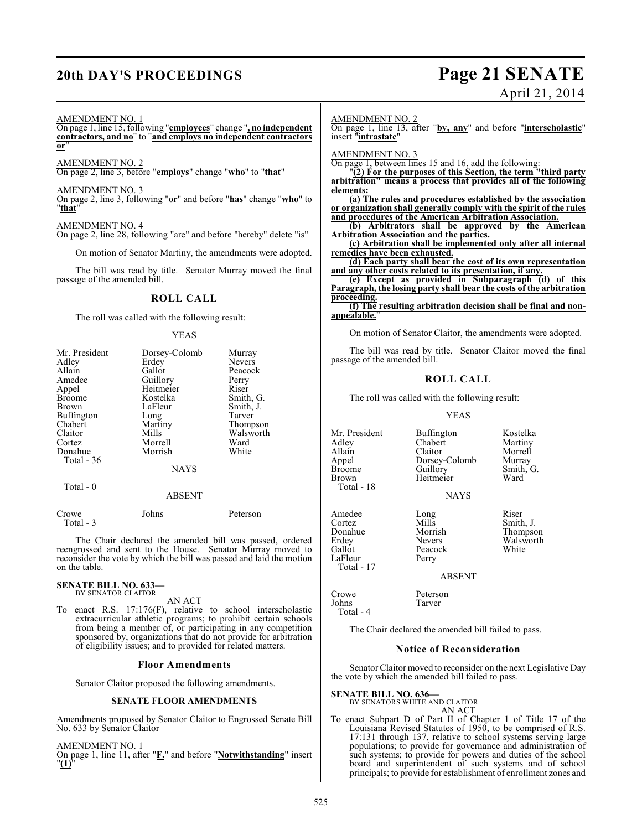### **20th DAY'S PROCEEDINGS Page 21 SENATE**

# April 21, 2014

### AMENDMENT NO. 1

On page 1, line 15, following "**employees**" change "**, no independent contractors, and no**" to "**and employs no independent contractors or**"

AMENDMENT NO. 2

On page 2, line 3, before "**employs**" change "**who**" to "**that**"

AMENDMENT NO. 3

On page 2, line 3, following "**or**" and before "**has**" change "**who**" to "**that**"

### AMENDMENT NO. 4

On page 2, line 28, following "are" and before "hereby" delete "is"

On motion of Senator Martiny, the amendments were adopted.

The bill was read by title. Senator Murray moved the final passage of the amended bill.

### **ROLL CALL**

The roll was called with the following result:

### YEAS

| Mr. President     | Dorsey-Colomb | Murray        |
|-------------------|---------------|---------------|
| Adley             | Erdey         | <b>Nevers</b> |
| Allain            | Gallot        | Peacock       |
| Amedee            | Guillory      | Perry         |
| Appel             | Heitmeier     | Riser         |
| <b>Broome</b>     | Kostelka      | Smith, G.     |
| Brown             | LaFleur       | Smith, J.     |
| <b>Buffington</b> | Long          | Tarver        |
| Chabert           | Martiny       | Thompson      |
| Claitor           | Mills         | Walsworth     |
| Cortez            | Morrell       | Ward          |
| Donahue           | Morrish       | White         |
| Total - 36        |               |               |
|                   | <b>NAYS</b>   |               |
| Total $-0$        |               |               |
|                   | <b>ABSENT</b> |               |
| Crowe             | Johns         | Peterson      |

The Chair declared the amended bill was passed, ordered reengrossed and sent to the House. Senator Murray moved to reconsider the vote by which the bill was passed and laid the motion on the table.

### **SENATE BILL NO. 633—** BY SENATOR CLAITOR

Total - 3

AN ACT

To enact R.S. 17:176(F), relative to school interscholastic extracurricular athletic programs; to prohibit certain schools from being a member of, or participating in any competition sponsored by, organizations that do not provide for arbitration of eligibility issues; and to provided for related matters.

### **Floor Amendments**

Senator Claitor proposed the following amendments.

### **SENATE FLOOR AMENDMENTS**

Amendments proposed by Senator Claitor to Engrossed Senate Bill No. 633 by Senator Claitor

AMENDMENT NO. 1

On page 1, line 11, after "**F.**" and before "**Notwithstanding**" insert "**(1)**"

### AMENDMENT NO. 2

On page 1, line 13, after "**by, any**" and before "**interscholastic**" insert "**intrastate**"

AMENDMENT NO. 3

On page 1, between lines 15 and 16, add the following:

"**(2) For the purposes of this Section, the term "third party arbitration" means a process that provides all of the following elements:**

**(a) The rules and procedures established by the association or organization shall generally comply with the spirit of the rules and procedures of the American Arbitration Association.**

**(b) Arbitrators shall be approved by the American Arbitration Association and the parties.**

**(c) Arbitration shall be implemented only after all internal remedies have been exhausted.**

**(d) Each party shall bear the cost of its own representation and any other costs related to its presentation, if any.**

**(e) Except as provided in Subparagraph (d) of this Paragraph, the losing party shall bear the costs of the arbitration proceeding.**

**(f) The resulting arbitration decision shall be final and nonappealable.**"

On motion of Senator Claitor, the amendments were adopted.

The bill was read by title. Senator Claitor moved the final passage of the amended bill.

### **ROLL CALL**

The roll was called with the following result:

YEAS

| Mr. President<br>Adley<br>Allain<br>Appel<br>Broome<br>Brown            | Buffington<br>Chabert<br>Claitor<br>Dorsey-Colomb<br>Guillory<br>Heitmeier | Kostelka<br>Martiny<br>Morrell<br>Murray<br>Smith, G.<br>Ward |
|-------------------------------------------------------------------------|----------------------------------------------------------------------------|---------------------------------------------------------------|
| Total - 18                                                              |                                                                            |                                                               |
|                                                                         | <b>NAYS</b>                                                                |                                                               |
| Amedee<br>Cortez<br>Donahue<br>Erdev<br>Gallot<br>LaFleur<br>Total - 17 | Long<br>Mills<br>Morrish<br>Nevers<br>Peacock<br>Perry                     | Riser<br>Smith, J.<br>Thompson<br>Walsworth<br>White          |
|                                                                         | <b>ABSENT</b>                                                              |                                                               |
| Crowe<br>Johns<br>Total - 4                                             | Peterson<br>Tarver                                                         |                                                               |

The Chair declared the amended bill failed to pass.

### **Notice of Reconsideration**

Senator Claitor moved to reconsider on the next Legislative Day the vote by which the amended bill failed to pass.

**SENATE BILL NO. 636—**

BY SENATORS WHITE AND CLAITOR

### AN ACT

To enact Subpart D of Part II of Chapter 1 of Title 17 of the Louisiana Revised Statutes of 1950, to be comprised of R.S. 17:131 through 137, relative to school systems serving large populations; to provide for governance and administration of such systems; to provide for powers and duties of the school board and superintendent of such systems and of school principals; to provide for establishment of enrollment zones and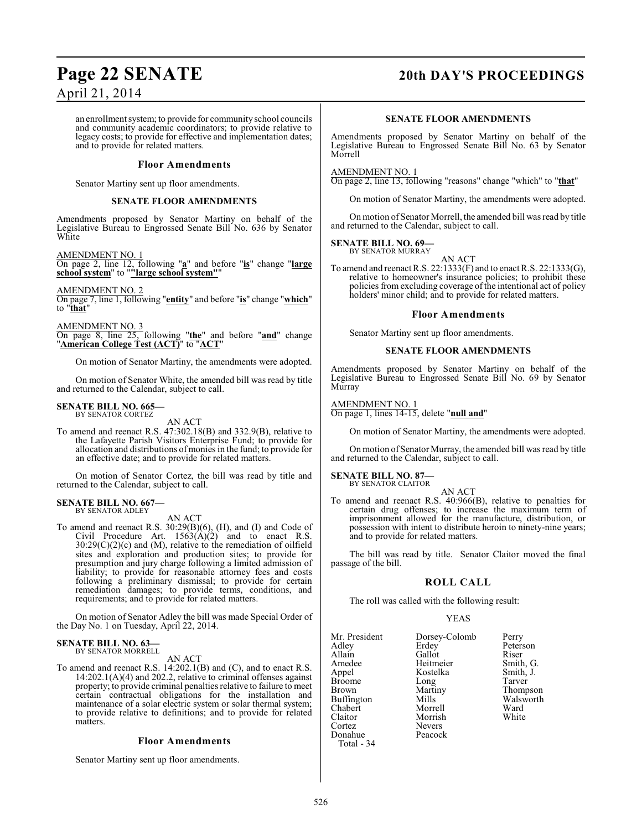### **Page 22 SENATE 20th DAY'S PROCEEDINGS**

April 21, 2014

an enrollment system; to provide for community school councils and community academic coordinators; to provide relative to legacy costs; to provide for effective and implementation dates; and to provide for related matters.

### **Floor Amendments**

Senator Martiny sent up floor amendments.

### **SENATE FLOOR AMENDMENTS**

Amendments proposed by Senator Martiny on behalf of the Legislative Bureau to Engrossed Senate Bill No. 636 by Senator White

AMENDMENT NO. 1 On page 2, line 12, following "**a**" and before "**is**" change "**large school system**" to "**"large school system"**"

AMENDMENT NO. 2 On page 7, line 1, following "**entity**" and before "**is**" change "**which**" to "**that**"

AMENDMENT NO. 3 On page 8, line 25, following "**the**" and before "**and**" change "**American College Test (ACT)**" to "**ACT**"

On motion of Senator Martiny, the amendments were adopted.

On motion of Senator White, the amended bill was read by title and returned to the Calendar, subject to call.

### **SENATE BILL NO. 665—** BY SENATOR CORTEZ

AN ACT

To amend and reenact R.S. 47:302.18(B) and 332.9(B), relative to the Lafayette Parish Visitors Enterprise Fund; to provide for allocation and distributions of monies in the fund; to provide for an effective date; and to provide for related matters.

On motion of Senator Cortez, the bill was read by title and returned to the Calendar, subject to call.

#### **SENATE BILL NO. 667—** BY SENATOR ADLEY

AN ACT

To amend and reenact R.S. 30:29(B)(6), (H), and (I) and Code of Civil Procedure Art.  $1563(A)(2)$  and to enact R.S.  $30:29(C)(2)(c)$  and (M), relative to the remediation of oilfield sites and exploration and production sites; to provide for presumption and jury charge following a limited admission of liability; to provide for reasonable attorney fees and costs following a preliminary dismissal; to provide for certain remediation damages; to provide terms, conditions, and requirements; and to provide for related matters.

On motion of Senator Adley the bill was made Special Order of the Day No. 1 on Tuesday, April 22, 2014.

### **SENATE BILL NO. 63—** BY SENATOR MORRELL

AN ACT

To amend and reenact R.S. 14:202.1(B) and (C), and to enact R.S. 14:202.1(A)(4) and 202.2, relative to criminal offenses against property; to provide criminal penalties relative to failure to meet certain contractual obligations for the installation and maintenance of a solar electric system or solar thermal system; to provide relative to definitions; and to provide for related matters.

### **Floor Amendments**

Senator Martiny sent up floor amendments.

### **SENATE FLOOR AMENDMENTS**

Amendments proposed by Senator Martiny on behalf of the Legislative Bureau to Engrossed Senate Bill No. 63 by Senator Morrell

AMENDMENT NO. 1

On page 2, line 13, following "reasons" change "which" to "**that**"

On motion of Senator Martiny, the amendments were adopted.

On motion of Senator Morrell, the amended bill was read by title and returned to the Calendar, subject to call.

#### **SENATE BILL NO. 69—** BY SENATOR MURRAY

AN ACT

To amend and reenact R.S. 22:1333(F) and to enact R.S. 22:1333(G), relative to homeowner's insurance policies; to prohibit these policies from excluding coverage of the intentional act of policy holders' minor child; and to provide for related matters.

### **Floor Amendments**

Senator Martiny sent up floor amendments.

### **SENATE FLOOR AMENDMENTS**

Amendments proposed by Senator Martiny on behalf of the Legislative Bureau to Engrossed Senate Bill No. 69 by Senator Murray

AMENDMENT NO. 1 On page 1, lines 14-15, delete "**null and**"

On motion of Senator Martiny, the amendments were adopted.

On motion of Senator Murray, the amended bill was read by title and returned to the Calendar, subject to call.

### **SENATE BILL NO. 87—** BY SENATOR CLAITOR

AN ACT

To amend and reenact R.S. 40:966(B), relative to penalties for certain drug offenses; to increase the maximum term of imprisonment allowed for the manufacture, distribution, or possession with intent to distribute heroin to ninety-nine years; and to provide for related matters.

The bill was read by title. Senator Claitor moved the final passage of the bill.

### **ROLL CALL**

The roll was called with the following result:

Morrish<br>Nevers

### YEAS

Mr. President Dorsey-Colomb Perry<br>Adley Erdey Peter Adley Erdey Peterson<br>Allain Gallot Riser Allain Gallot Riser<br>
Amedee Heitmeier Smith, G. Amedee Heitmeier Smith, G. Broome Long<br>Brown Martiny Buffington Mills Walsworth Mills<br>Chabert Morrell Ward Chabert Morrell Ward Cortez Nevers<br>Donahue Peacock Donahue Total - 34

Kostelka Smith,<br>Long Tarver Martiny Thompson<br>Mills Walsworth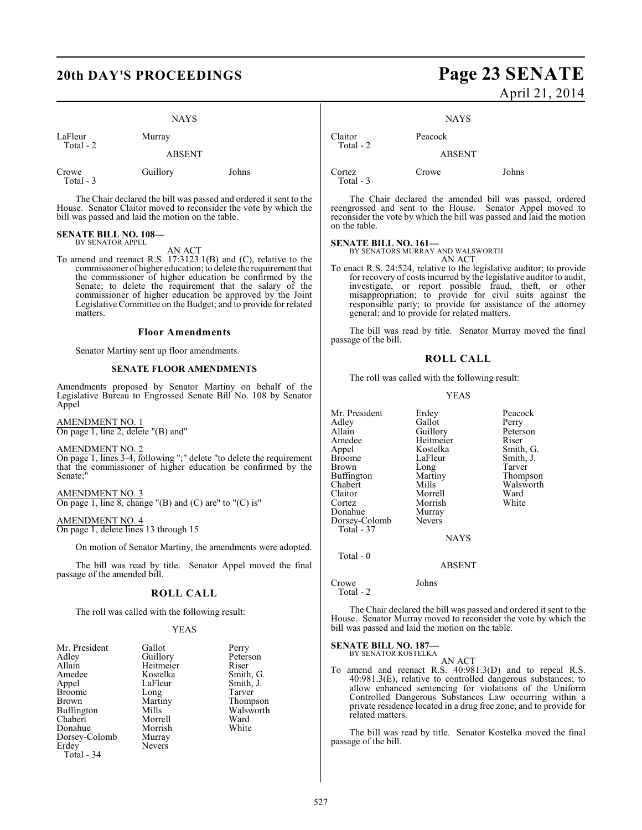### NAYS

LaFleur Murray Total - 2

ABSENT

| Johns    |
|----------|
|          |
| Guillory |

The Chair declared the bill was passed and ordered it sent to the House. Senator Claitor moved to reconsider the vote by which the bill was passed and laid the motion on the table.

### **SENATE BILL NO. 108—** BY SENATOR APPEL

AN ACT

To amend and reenact R.S. 17:3123.1(B) and (C), relative to the commissioner of higher education; to delete the requirement that the commissioner of higher education be confirmed by the Senate; to delete the requirement that the salary of the commissioner of higher education be approved by the Joint Legislative Committee on the Budget; and to provide for related matters.

### **Floor Amendments**

Senator Martiny sent up floor amendments.

### **SENATE FLOOR AMENDMENTS**

Amendments proposed by Senator Martiny on behalf of the Legislative Bureau to Engrossed Senate Bill No. 108 by Senator Appel

AMENDMENT NO. 1 On page 1, line 2, delete "(B) and"

AMENDMENT NO. 2

On page 1, lines 3-4, following ";" delete "to delete the requirement that the commissioner of higher education be confirmed by the Senate;

AMENDMENT NO. 3 On page 1, line 8, change  $'(B)$  and  $(C)$  are" to  $'(C)$  is"

AMENDMENT NO. 4 On page 1, delete lines 13 through 15

On motion of Senator Martiny, the amendments were adopted.

The bill was read by title. Senator Appel moved the final passage of the amended bill.

### **ROLL CALL**

The roll was called with the following result:

### YEAS

| Gallot   | Perry             |
|----------|-------------------|
| Guillory | Peterson          |
|          | Riser             |
| Kostelka | Smith, G.         |
| LaFleur  | Smith, J.         |
|          | Tarver            |
| Martiny  | Thompson          |
| Mills    | Walsworth         |
| Morrell  | Ward              |
| Morrish  | White             |
| Murray   |                   |
| Nevers   |                   |
|          |                   |
|          | Heitmeier<br>Long |

### **20th DAY'S PROCEEDINGS Page 23 SENATE** April 21, 2014

**NAYS** 

Claitor Peacock

Cortez Crowe Johns Total - 3

Total - 2

The Chair declared the amended bill was passed, ordered reengrossed and sent to the House. Senator Appel moved to reconsider the vote by which the bill was passed and laid the motion on the table.

ABSENT

### **SENATE BILL NO. 161—**

BY SENATORS MURRAY AND WALSWORTH AN ACT

To enact R.S. 24:524, relative to the legislative auditor; to provide for recovery of costs incurred by the legislative auditor to audit, investigate, or report possible fraud, theft, or other misappropriation; to provide for civil suits against the responsible party; to provide for assistance of the attorney general; and to provide for related matters.

The bill was read by title. Senator Murray moved the final passage of the bill.

### **ROLL CALL**

The roll was called with the following result:

### YEAS

| Mr. President<br>Adley<br>Allain<br>Amedee<br>Appel<br><b>Broome</b><br><b>Brown</b><br><b>Buffington</b><br>Chabert<br>Claitor<br>Cortez<br>Donahue<br>Dorsey-Colomb<br>Total - 37 | Erdey<br>Gallot<br>Guillory<br>Heitmeier<br>Kostelka<br>LaFleur<br>Long<br>Martiny<br>Mills<br>Morrell<br>Morrish<br>Murray<br><b>Nevers</b> | Peacock<br>Perry<br>Peterson<br>Riser<br>Smith, G.<br>Smith, J.<br>Tarver<br>Thompson<br>Walsworth<br>Ward<br>White |
|-------------------------------------------------------------------------------------------------------------------------------------------------------------------------------------|----------------------------------------------------------------------------------------------------------------------------------------------|---------------------------------------------------------------------------------------------------------------------|
|                                                                                                                                                                                     | <b>NAYS</b>                                                                                                                                  |                                                                                                                     |
| Total - 0                                                                                                                                                                           |                                                                                                                                              |                                                                                                                     |

ABSENT

Crowe Johns Total - 2

The Chair declared the bill was passed and ordered it sent to the House. Senator Murray moved to reconsider the vote by which the bill was passed and laid the motion on the table.

**SENATE BILL NO. 187—** BY SENATOR KOSTELKA

### AN ACT

To amend and reenact R.S. 40:981.3(D) and to repeal R.S. 40:981.3(E), relative to controlled dangerous substances; to allow enhanced sentencing for violations of the Uniform Controlled Dangerous Substances Law occurring within a private residence located in a drug free zone; and to provide for related matters.

The bill was read by title. Senator Kostelka moved the final passage of the bill.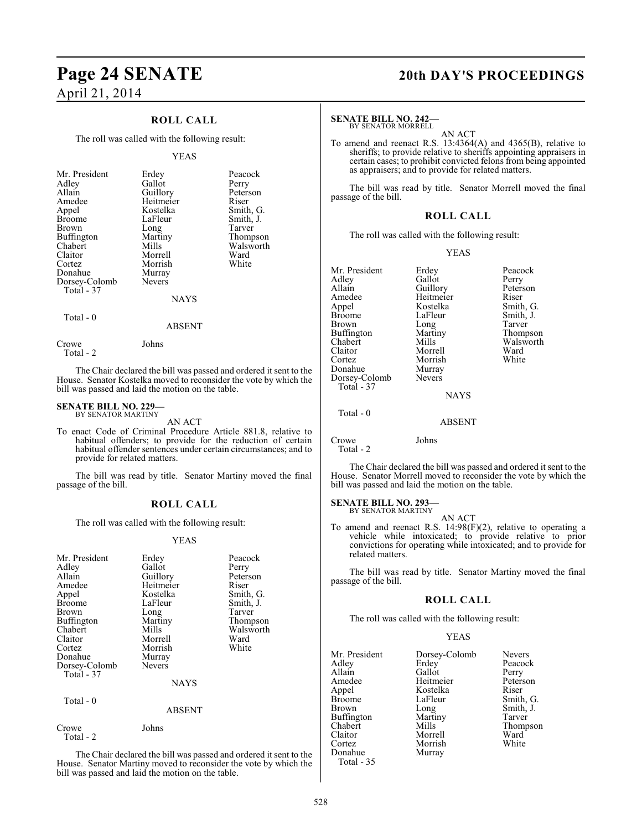# **Page 24 SENATE 20th DAY'S PROCEEDINGS** April 21, 2014

### **ROLL CALL**

The roll was called with the following result:

### YEAS

| Mr. President<br>Adley<br>Allain<br>Amedee<br>Appel<br><b>Broome</b><br><b>Brown</b><br>Buffington<br>Chabert<br>Claitor<br>Cortez<br>Donahue<br>Dorsey-Colomb<br>Total - 37 | Erdey<br>Gallot<br>Guillory<br>Heitmeier<br>Kostelka<br>LaFleur<br>Long<br>Martiny<br>Mills<br>Morrell<br>Morrish<br>Murray<br><b>Nevers</b><br><b>NAYS</b> | Peacock<br>Perry<br>Peterson<br>Riser<br>Smith, G.<br>Smith, J.<br>Tarver<br>Thompson<br>Walsworth<br>Ward<br>White |
|------------------------------------------------------------------------------------------------------------------------------------------------------------------------------|-------------------------------------------------------------------------------------------------------------------------------------------------------------|---------------------------------------------------------------------------------------------------------------------|
|                                                                                                                                                                              |                                                                                                                                                             |                                                                                                                     |

Total - 0

Total - 2

Crowe Johns

The Chair declared the bill was passed and ordered it sent to the House. Senator Kostelka moved to reconsider the vote by which the bill was passed and laid the motion on the table.

ABSENT

### **SENATE BILL NO. 229—** BY SENATOR MARTINY

AN ACT

To enact Code of Criminal Procedure Article 881.8, relative to habitual offenders; to provide for the reduction of certain habitual offender sentences under certain circumstances; and to provide for related matters.

The bill was read by title. Senator Martiny moved the final passage of the bill.

### **ROLL CALL**

The roll was called with the following result:

### YEAS

| Mr. President<br>Adley<br>Allain<br>Amedee<br>Appel<br>Broome<br>Brown<br>Buffington<br>Chabert<br>Claitor<br>Cortez<br>Donahue<br>Dorsey-Colomb<br>Total - 37<br>Total - 0 | Erdey<br>Gallot<br>Guillory<br>Heitmeier<br>Kostelka<br>LaFleur<br>Long<br>Martiny<br>Mills<br>Morrell<br>Morrish<br>Murray<br><b>Nevers</b><br>NAYS<br><b>ABSENT</b> | Peacock<br>Perry<br>Peterson<br>Riser<br>Smith, G.<br>Smith, J.<br>Tarver<br>Thompson<br>Walsworth<br>Ward<br>White |
|-----------------------------------------------------------------------------------------------------------------------------------------------------------------------------|-----------------------------------------------------------------------------------------------------------------------------------------------------------------------|---------------------------------------------------------------------------------------------------------------------|
| Crowe<br>Total - 2                                                                                                                                                          | Johns                                                                                                                                                                 |                                                                                                                     |

The Chair declared the bill was passed and ordered it sent to the House. Senator Martiny moved to reconsider the vote by which the bill was passed and laid the motion on the table.

### **SENATE BILL NO. 242—**

BY SENATOR MORRELL

AN ACT To amend and reenact R.S. 13:4364(A) and 4365(B), relative to sheriffs; to provide relative to sheriffs appointing appraisers in certain cases; to prohibit convicted felons from being appointed as appraisers; and to provide for related matters.

The bill was read by title. Senator Morrell moved the final passage of the bill.

### **ROLL CALL**

The roll was called with the following result:

### YEAS

| Erdey         | Peacock                         |
|---------------|---------------------------------|
|               | Perry                           |
|               | Peterson                        |
|               | Riser                           |
| Kostelka      | Smith, G.                       |
| LaFleur       | Smith, J.                       |
| Long          | Tarver                          |
| Martiny       | Thompson                        |
| Mills         | Walsworth                       |
| Morrell       | Ward                            |
| Morrish       | White                           |
| Murray        |                                 |
| <b>Nevers</b> |                                 |
|               |                                 |
| <b>NAYS</b>   |                                 |
|               |                                 |
| <b>ABSENT</b> |                                 |
| Johns         |                                 |
|               | Gallot<br>Guillory<br>Heitmeier |

Total - 2

The Chair declared the bill was passed and ordered it sent to the House. Senator Morrell moved to reconsider the vote by which the bill was passed and laid the motion on the table.

### **SENATE BILL NO. 293—**

BY SENATOR MARTINY AN ACT

To amend and reenact R.S. 14:98(F)(2), relative to operating a vehicle while intoxicated; to provide relative to prior convictions for operating while intoxicated; and to provide for related matters.

The bill was read by title. Senator Martiny moved the final passage of the bill.

### **ROLL CALL**

The roll was called with the following result:

### YEAS

| Mr. President     | Dorsey-Colomb | <b>Nevers</b> |
|-------------------|---------------|---------------|
| Adley             | Erdey         | Peacock       |
| Allain            | Gallot        | Perry         |
| Amedee            | Heitmeier     | Peterson      |
| Appel             | Kostelka      | Riser         |
| <b>Broome</b>     | LaFleur       | Smith, G.     |
| Brown             | Long          | Smith, J.     |
| <b>Buffington</b> | Martiny       | Tarver        |
| Chabert           | Mills         | Thompson      |
| Claitor           | Morrell       | Ward          |
| Cortez            | Morrish       | White         |
| Donahue           | Murray        |               |
| Total - 35        |               |               |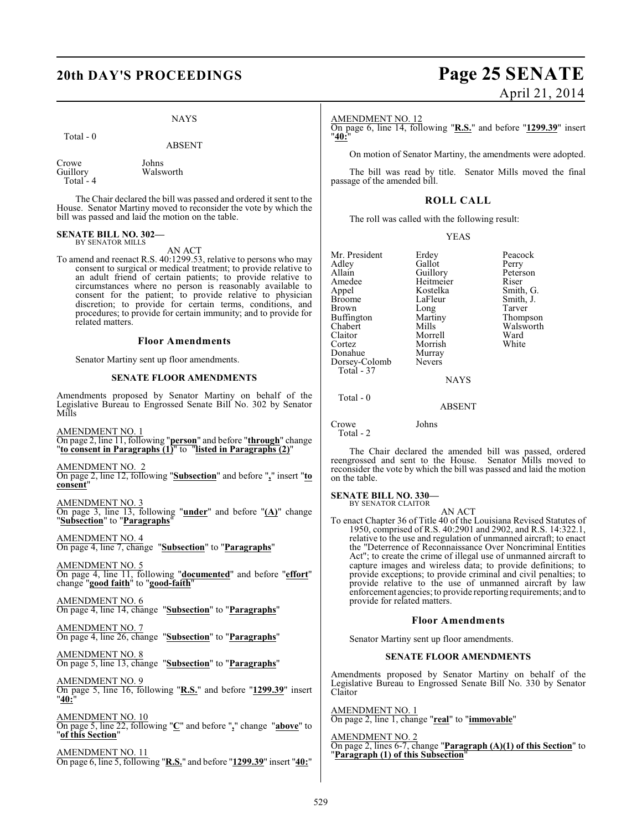### **20th DAY'S PROCEEDINGS Page 25 SENATE**

### NAYS

Total - 0

ABSENT

Crowe Johns<br>
Guillory Walsw Walsworth Total - 4

The Chair declared the bill was passed and ordered it sent to the House. Senator Martiny moved to reconsider the vote by which the bill was passed and laid the motion on the table.

### **SENATE BILL NO. 302—** BY SENATOR MILLS

AN ACT

To amend and reenact R.S. 40:1299.53, relative to persons who may consent to surgical or medical treatment; to provide relative to an adult friend of certain patients; to provide relative to circumstances where no person is reasonably available to consent for the patient; to provide relative to physician discretion; to provide for certain terms, conditions, and procedures; to provide for certain immunity; and to provide for related matters.

### **Floor Amendments**

Senator Martiny sent up floor amendments.

### **SENATE FLOOR AMENDMENTS**

Amendments proposed by Senator Martiny on behalf of the Legislative Bureau to Engrossed Senate Bill No. 302 by Senator Mills

AMENDMENT NO. 1 On page 2, line 11, following "**person**" and before "**through**" change "**to consent in Paragraphs (1)**" to "**listed in Paragraphs (2)**"

AMENDMENT NO. 2 On page 2, line 12, following "**Subsection**" and before "**,**" insert "**to consent**"

AMENDMENT NO. 3 On page 3, line 13, following "**under**" and before "**(A)**" change "**Subsection**" to "**Paragraphs**"

AMENDMENT NO. 4 On page 4, line 7, change "**Subsection**" to "**Paragraphs**"

AMENDMENT NO. 5 On page 4, line 11, following "**documented**" and before "**effort**" change "**good faith**" to "**good-faith**"

AMENDMENT NO. 6 On page 4, line 14, change "**Subsection**" to "**Paragraphs**"

AMENDMENT NO. 7 On page 4, line 26, change "**Subsection**" to "**Paragraphs**"

AMENDMENT NO. 8 On page 5, line 13, change "**Subsection**" to "**Paragraphs**"

AMENDMENT NO. 9 On page 5, line 16, following "**R.S.**" and before "**1299.39**" insert "**40:**"

AMENDMENT NO. 10 On page 5, line 22, following "**C**" and before "**,**" change "**above**" to "**of this Section**"

AMENDMENT NO. 11 On page 6, line 5, following "**R.S.**" and before "**1299.39**" insert "**40:**"

# April 21, 2014

AMENDMENT NO. 12

On page 6, line 14, following "**R.S.**" and before "**1299.39**" insert "**40:**"

On motion of Senator Martiny, the amendments were adopted.

The bill was read by title. Senator Mills moved the final passage of the amended bill.

### **ROLL CALL**

The roll was called with the following result:

YEAS

Mr. President Erdey Peacock<br>Adley Gallot Perry Adley Gallot Perry<br>Allain Guillory Peterson Allain Guillory Peter<br>Amedee Heitmeier Riser Amedee Heitmeier<br>Appel Kostelka Appel Kostelka Smith, G. Broome LaFleur Smith, J.<br>Brown Long Tarver Long Tarver<br>
Martiny Thompson Buffington Martin<br>Chabert Mills Chabert Mills Mills Walsworth<br>Claitor Morrell Ward Claitor Morrell Ward Morrish<br>Murray Donahue Murray<br>Dorsey-Colomb Nevers Dorsey-Colomb Total - 37 **NAYS** 

ABSENT

Crowe Johns Total - 2

Total - 0

The Chair declared the amended bill was passed, ordered reengrossed and sent to the House. Senator Mills moved to reconsider the vote by which the bill was passed and laid the motion on the table.

### **SENATE BILL NO. 330—** BY SENATOR CLAITOR

AN ACT

To enact Chapter 36 of Title 40 of the Louisiana Revised Statutes of 1950, comprised of R.S. 40:2901 and 2902, and R.S. 14:322.1, relative to the use and regulation of unmanned aircraft; to enact the "Deterrence of Reconnaissance Over Noncriminal Entities Act"; to create the crime of illegal use of unmanned aircraft to capture images and wireless data; to provide definitions; to provide exceptions; to provide criminal and civil penalties; to provide relative to the use of unmanned aircraft by law enforcement agencies; to provide reporting requirements; and to provide for related matters.

### **Floor Amendments**

Senator Martiny sent up floor amendments.

### **SENATE FLOOR AMENDMENTS**

Amendments proposed by Senator Martiny on behalf of the Legislative Bureau to Engrossed Senate Bill No. 330 by Senator Claitor

AMENDMENT NO. 1 On page 2, line 1, change "**real**" to "**immovable**"

AMENDMENT NO. 2 On page 2, lines 6-7, change "**Paragraph (A)(1) of this Section**" to "**Paragraph (1) of this Subsection**"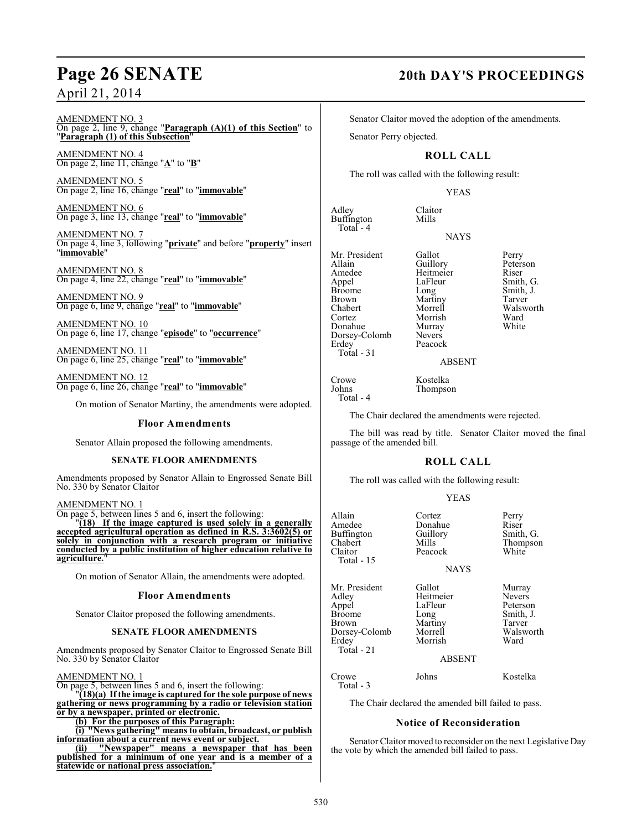# **Page 26 SENATE 20th DAY'S PROCEEDINGS**

### April 21, 2014

### AMENDMENT NO. 3 On page 2, line 9, change "**Paragraph (A)(1) of this Section**" to "**Paragraph (1) of this Subsection**"

AMENDMENT NO. 4 On page 2, line 11, change "**A**" to "**B**"

AMENDMENT NO. 5 On page 2, line 16, change "**real**" to "**immovable**"

AMENDMENT NO. 6 On page 3, line 13, change "**real**" to "**immovable**"

AMENDMENT NO. 7 On page 4, line 3, following "**private**" and before "**property**" insert "**immovable**"

AMENDMENT NO. 8 On page 4, line 22, change "**real**" to "**immovable**"

AMENDMENT NO. 9 On page 6, line 9, change "**real**" to "**immovable**"

AMENDMENT NO. 10 On page 6, line 17, change "**episode**" to "**occurrence**"

AMENDMENT NO. 11 On page 6, line 25, change "**real**" to "**immovable**"

AMENDMENT NO. 12 On page 6, line 26, change "**real**" to "**immovable**"

On motion of Senator Martiny, the amendments were adopted.

### **Floor Amendments**

Senator Allain proposed the following amendments.

### **SENATE FLOOR AMENDMENTS**

Amendments proposed by Senator Allain to Engrossed Senate Bill No. 330 by Senator Claitor

### AMENDMENT NO. 1

On page 5, between lines 5 and 6, insert the following:

"**(18) If the image captured is used solely in a generally accepted agricultural operation as defined in R.S. 3:3602(5) or solely in conjunction with a research program or initiative conducted by a public institution of higher education relative to agriculture.**"

On motion of Senator Allain, the amendments were adopted.

### **Floor Amendments**

Senator Claitor proposed the following amendments.

### **SENATE FLOOR AMENDMENTS**

Amendments proposed by Senator Claitor to Engrossed Senate Bill No. 330 by Senator Claitor

### AMENDMENT NO. 1

On page 5, between lines 5 and 6, insert the following:

"**(18)(a) If the image is captured for the sole purpose of news gathering or news programming by a radio or television station or by a newspaper, printed or electronic.**

**(b) For the purposes of this Paragraph:**

**(i) "News gathering" means to obtain, broadcast, or publish information about a current news event or subject.**

**(ii) "Newspaper" means a newspaper that has been published for a minimum of one year and is a member of a statewide or national press association.**"

Senator Claitor moved the adoption of the amendments.

Senator Perry objected.

### **ROLL CALL**

The roll was called with the following result:

### YEAS

Adley Claitor<br>Buffington Mills

**NAYS** 

Mr. President Gallot Perry<br>Allain Guillory Peters Allain Guillory Peterson<br>Amedee Heitmeier Riser Amedee Heitmeier<br>
Appel LaFleur Appel LaFleur Smith, G.<br>Broome Long Smith, J. Broome Long Smith, J.<br>Brown Martiny Tarver Brown Martiny<br>
Chabert Morrell Chabert Morrell Walsworth Donahue Murray<br>Dorsey-Colomb Nevers Dorsey-Colomb<br>Erdey Total - 31

Buffington Total - 4

Peacock

Morrish Ward<br>
Murray White

### ABSENT

Crowe Kostelka<br>Johns Thompso **Thompson** Total - 4

The Chair declared the amendments were rejected.

The bill was read by title. Senator Claitor moved the final passage of the amended bill.

### **ROLL CALL**

The roll was called with the following result:

### YEAS

| Allain<br>Amedee<br>Buffington<br>Chabert<br>Claitor<br><b>Total - 15</b>                  | Cortez<br>Donahue<br>Guillory<br>Mills<br>Peacock<br><b>NAYS</b>                         | Perry<br>Riser<br>Smith, G.<br>Thompson<br>White                         |
|--------------------------------------------------------------------------------------------|------------------------------------------------------------------------------------------|--------------------------------------------------------------------------|
| Mr. President<br>Adlev<br>Appel<br>Broome<br>Brown<br>Dorsey-Colomb<br>Erdey<br>Total - 21 | Gallot<br>Heitmeier<br>LaFleur<br>Long<br>Martiny<br>Morrell<br>Morrish<br><b>ABSENT</b> | Murray<br>Nevers<br>Peterson<br>Smith, J.<br>Tarver<br>Walsworth<br>Ward |
| Crowe<br>Total - 3                                                                         | Johns                                                                                    | Kostelka                                                                 |
|                                                                                            | The Chair declared the emended bill feiled to nego                                       |                                                                          |

The Chair declared the amended bill failed to pass.

### **Notice of Reconsideration**

Senator Claitor moved to reconsider on the next Legislative Day the vote by which the amended bill failed to pass.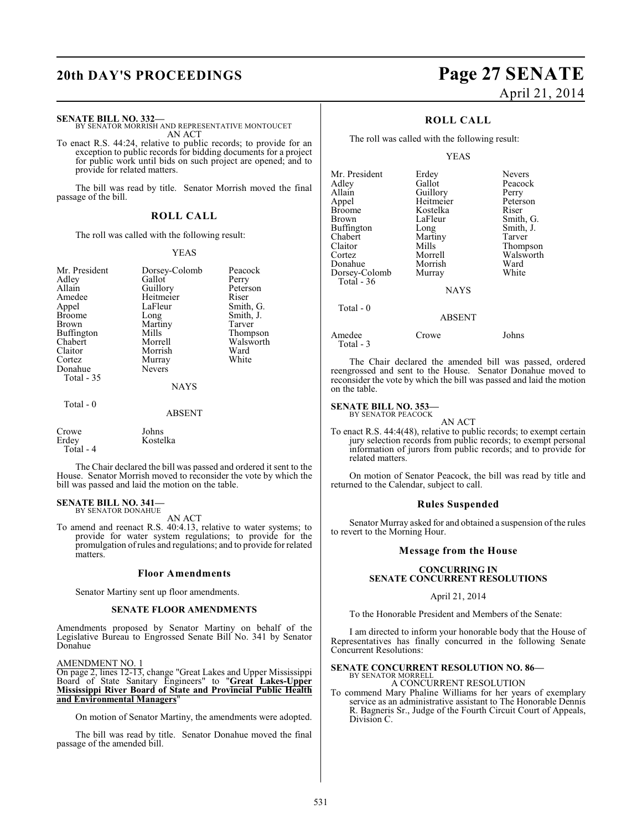### **SENATE BILL NO. 332—**

BY SENATOR MORRISH AND REPRESENTATIVE MONTOUCET AN ACT

To enact R.S. 44:24, relative to public records; to provide for an exception to public records for bidding documents for a project for public work until bids on such project are opened; and to provide for related matters.

The bill was read by title. Senator Morrish moved the final passage of the bill.

### **ROLL CALL**

The roll was called with the following result:

### YEAS

| Mr. President<br>Adley<br>Allain<br>Amedee<br>Appel<br><b>Broome</b><br>Brown<br>Buffington<br>Chabert<br>Claitor<br>Cortez<br>Donahue<br>Total - 35 | Dorsey-Colomb<br>Gallot<br>Guillory<br>Heitmeier<br>LaFleur<br>Long<br>Martiny<br>Mills<br>Morrell<br>Morrish<br>Murray<br><b>Nevers</b> | Peacock<br>Perry<br>Peterson<br>Riser<br>Smith, G.<br>Smith, J.<br>Tarver<br>Thompson<br>Walsworth<br>Ward<br>White |
|------------------------------------------------------------------------------------------------------------------------------------------------------|------------------------------------------------------------------------------------------------------------------------------------------|---------------------------------------------------------------------------------------------------------------------|
|                                                                                                                                                      | <b>NAYS</b>                                                                                                                              |                                                                                                                     |
| Total - 0                                                                                                                                            | <b>ABSENT</b>                                                                                                                            |                                                                                                                     |
| $\sim$                                                                                                                                               | $T = 1$                                                                                                                                  |                                                                                                                     |

Crowe Johns

Total - 4

The Chair declared the bill was passed and ordered it sent to the House. Senator Morrish moved to reconsider the vote by which the bill was passed and laid the motion on the table.

### **SENATE BILL NO. 341—** BY SENATOR DONAHUE

AN ACT

To amend and reenact R.S. 40:4.13, relative to water systems; to provide for water system regulations; to provide for the promulgation of rules and regulations; and to provide for related matters.

### **Floor Amendments**

Senator Martiny sent up floor amendments.

Kostelka

### **SENATE FLOOR AMENDMENTS**

Amendments proposed by Senator Martiny on behalf of the Legislative Bureau to Engrossed Senate Bill No. 341 by Senator Donahue

### AMENDMENT NO. 1

On page 2, lines 12-13, change "Great Lakes and Upper Mississippi Board of State Sanitary Engineers" to "**Great Lakes-Upper Mississippi River Board of State and Provincial Public Health and Environmental Managers**"

On motion of Senator Martiny, the amendments were adopted.

The bill was read by title. Senator Donahue moved the final passage of the amended bill.

# **20th DAY'S PROCEEDINGS Page 27 SENATE** April 21, 2014

### **ROLL CALL**

The roll was called with the following result:

### YEAS

| Mr. President     | Erdey         | <b>Nevers</b> |
|-------------------|---------------|---------------|
| Adley             | Gallot        | Peacock       |
| Allain            | Guillory      | Perry         |
| Appel             | Heitmeier     | Peterson      |
| <b>Broome</b>     | Kostelka      | Riser         |
| Brown             | LaFleur       | Smith, G.     |
| <b>Buffington</b> | Long          | Smith, J.     |
| Chabert           | Martiny       | Tarver        |
| Claitor           | Mills         | Thompson      |
| Cortez            | Morrell       | Walsworth     |
| Donahue           | Morrish       | Ward          |
| Dorsey-Colomb     | Murray        | White         |
| Total $-36$       |               |               |
|                   | <b>NAYS</b>   |               |
| Total - 0         |               |               |
|                   | <b>ABSENT</b> |               |
|                   |               |               |

Amedee Crowe Johns Total - 3

The Chair declared the amended bill was passed, ordered reengrossed and sent to the House. Senator Donahue moved to reconsider the vote by which the bill was passed and laid the motion on the table.

### **SENATE BILL NO. 353—** BY SENATOR PEACOCK

AN ACT

To enact R.S. 44:4(48), relative to public records; to exempt certain jury selection records from public records; to exempt personal information of jurors from public records; and to provide for related matters.

On motion of Senator Peacock, the bill was read by title and returned to the Calendar, subject to call.

### **Rules Suspended**

Senator Murray asked for and obtained a suspension of the rules to revert to the Morning Hour.

### **Message from the House**

### **CONCURRING IN SENATE CONCURRENT RESOLUTIONS**

### April 21, 2014

To the Honorable President and Members of the Senate:

I am directed to inform your honorable body that the House of Representatives has finally concurred in the following Senate Concurrent Resolutions:

#### **SENATE CONCURRENT RESOLUTION NO. 86—** BY SENATOR MORRELL

A CONCURRENT RESOLUTION

To commend Mary Phaline Williams for her years of exemplary service as an administrative assistant to The Honorable Dennis R. Bagneris Sr., Judge of the Fourth Circuit Court of Appeals, Division C.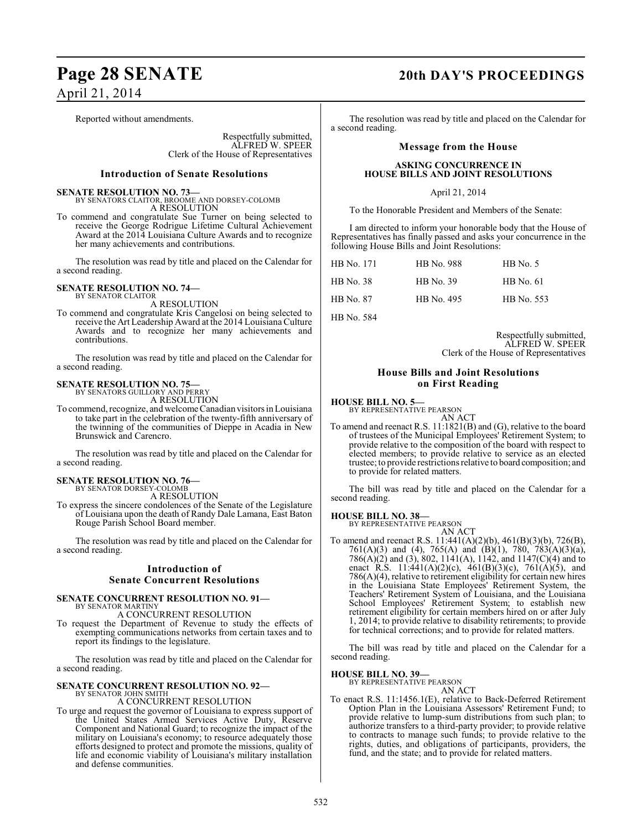Reported without amendments.

Respectfully submitted, ALFRED W. SPEER Clerk of the House of Representatives

### **Introduction of Senate Resolutions**

**SENATE RESOLUTION NO. 73—**<br>BY SENATORS CLAITOR, BROOME AND DORSEY-COLOMB A RESOLUTION

To commend and congratulate Sue Turner on being selected to receive the George Rodrigue Lifetime Cultural Achievement Award at the 2014 Louisiana Culture Awards and to recognize her many achievements and contributions.

The resolution was read by title and placed on the Calendar for a second reading.

## **SENATE RESOLUTION NO. 74—** BY SENATOR CLAITOR

A RESOLUTION

To commend and congratulate Kris Cangelosi on being selected to receive the Art Leadership Award at the 2014 Louisiana Culture Awards and to recognize her many achievements and contributions.

The resolution was read by title and placed on the Calendar for a second reading.

**SENATE RESOLUTION NO. 75—**

BY SENATORS GUILLORY AND PERRY A RESOLUTION

To commend, recognize, and welcome Canadian visitors in Louisiana to take part in the celebration of the twenty-fifth anniversary of the twinning of the communities of Dieppe in Acadia in New Brunswick and Carencro.

The resolution was read by title and placed on the Calendar for a second reading.

# **SENATE RESOLUTION NO. 76—** BY SENATOR DORSEY-COLOMB

A RESOLUTION

To express the sincere condolences of the Senate of the Legislature of Louisiana upon the death of Randy Dale Lamana, East Baton Rouge Parish School Board member.

The resolution was read by title and placed on the Calendar for a second reading.

### **Introduction of**

### **Senate Concurrent Resolutions**

### **SENATE CONCURRENT RESOLUTION NO. 91—**

BY SENATOR MARTINY A CONCURRENT RESOLUTION

To request the Department of Revenue to study the effects of exempting communications networks from certain taxes and to report its findings to the legislature.

The resolution was read by title and placed on the Calendar for a second reading.

### **SENATE CONCURRENT RESOLUTION NO. 92—** BY SENATOR JOHN SMITH

A CONCURRENT RESOLUTION

To urge and request the governor of Louisiana to express support of the United States Armed Services Active Duty, Reserve Component and National Guard; to recognize the impact of the military on Louisiana's economy; to resource adequately those efforts designed to protect and promote the missions, quality of life and economic viability of Louisiana's military installation and defense communities.

### **Page 28 SENATE 20th DAY'S PROCEEDINGS**

The resolution was read by title and placed on the Calendar for a second reading.

### **Message from the House**

### **ASKING CONCURRENCE IN HOUSE BILLS AND JOINT RESOLUTIONS**

### April 21, 2014

To the Honorable President and Members of the Senate:

I am directed to inform your honorable body that the House of Representatives has finally passed and asks your concurrence in the following House Bills and Joint Resolutions:

| HB No. 171 | <b>HB</b> No. 988 | $HB$ No. 5       |
|------------|-------------------|------------------|
| HB No. 38  | HB No. 39         | <b>HB</b> No. 61 |
| HB No. 87  | HB No. 495        | HB No. 553       |

HB No. 584

Respectfully submitted, ALFRED W. SPEER Clerk of the House of Representatives

### **House Bills and Joint Resolutions on First Reading**

**HOUSE BILL NO. 5—** BY REPRESENTATIVE PEARSON

AN ACT

To amend and reenact R.S. 11:1821(B) and (G), relative to the board of trustees of the Municipal Employees' Retirement System; to provide relative to the composition of the board with respect to elected members; to provide relative to service as an elected trustee; to provide restrictions relative to board composition; and to provide for related matters.

The bill was read by title and placed on the Calendar for a second reading.

### **HOUSE BILL NO. 38—**

BY REPRESENTATIVE PEARSON AN ACT

To amend and reenact R.S. 11:441(A)(2)(b), 461(B)(3)(b), 726(B), 761(A)(3) and (4), 765(A) and (B)(1), 780, 783(A)(3)(a), 786(A)(2) and (3), 802, 1141(A), 1142, and 1147(C)(4) and to enact R.S. 11:441(A)(2)(c), 461(B)(3)(c), 761(A)(5), and 786(A)(4), relative to retirement eligibility for certain new hires in the Louisiana State Employees' Retirement System, the Teachers' Retirement System of Louisiana, and the Louisiana School Employees' Retirement System; to establish new retirement eligibility for certain members hired on or after July 1, 2014; to provide relative to disability retirements; to provide for technical corrections; and to provide for related matters.

The bill was read by title and placed on the Calendar for a second reading.

### **HOUSE BILL NO. 39—**

BY REPRESENTATIVE PEARSON AN ACT

To enact R.S. 11:1456.1(E), relative to Back-Deferred Retirement Option Plan in the Louisiana Assessors' Retirement Fund; to provide relative to lump-sum distributions from such plan; to authorize transfers to a third-party provider; to provide relative to contracts to manage such funds; to provide relative to the rights, duties, and obligations of participants, providers, the fund, and the state; and to provide for related matters.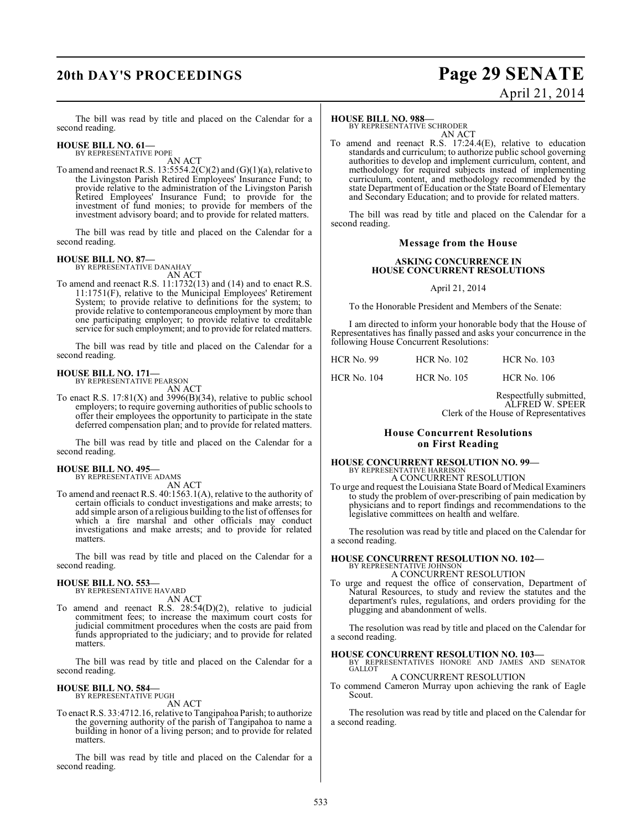### **20th DAY'S PROCEEDINGS Page 29 SENATE** April 21, 2014

The bill was read by title and placed on the Calendar for a second reading.

### **HOUSE BILL NO. 61—** BY REPRESENTATIVE POPE

AN ACT

To amend and reenact R.S. 13:5554.2(C)(2) and  $(G)(1)(a)$ , relative to the Livingston Parish Retired Employees' Insurance Fund; to provide relative to the administration of the Livingston Parish Retired Employees' Insurance Fund; to provide for the investment of fund monies; to provide for members of the investment advisory board; and to provide for related matters.

The bill was read by title and placed on the Calendar for a second reading.

# **HOUSE BILL NO. 87—** BY REPRESENTATIVE DANAHAY

AN ACT

To amend and reenact R.S. 11:1732(13) and (14) and to enact R.S. 11:1751(F), relative to the Municipal Employees' Retirement System; to provide relative to definitions for the system; to provide relative to contemporaneous employment by more than one participating employer; to provide relative to creditable service for such employment; and to provide for related matters.

The bill was read by title and placed on the Calendar for a second reading.

### **HOUSE BILL NO. 171—** BY REPRESENTATIVE PEARSON

AN ACT

To enact R.S.  $17:81(X)$  and  $3996(B)(34)$ , relative to public school employers; to require governing authorities of public schools to offer their employees the opportunity to participate in the state deferred compensation plan; and to provide for related matters.

The bill was read by title and placed on the Calendar for a second reading.

### **HOUSE BILL NO. 495—**

BY REPRESENTATIVE ADAMS

AN ACT

To amend and reenact R.S. 40:1563.1(A), relative to the authority of certain officials to conduct investigations and make arrests; to add simple arson of a religious building to the list of offenses for which a fire marshal and other officials may conduct investigations and make arrests; and to provide for related matters.

The bill was read by title and placed on the Calendar for a second reading.

### **HOUSE BILL NO. 553—** BY REPRESENTATIVE HAVARD

AN ACT

To amend and reenact R.S. 28:54(D)(2), relative to judicial commitment fees; to increase the maximum court costs for judicial commitment procedures when the costs are paid from funds appropriated to the judiciary; and to provide for related matters.

The bill was read by title and placed on the Calendar for a second reading.

### **HOUSE BILL NO. 584—** BY REPRESENTATIVE PUGH

AN ACT

To enact R.S. 33:4712.16, relative to Tangipahoa Parish; to authorize the governing authority of the parish of Tangipahoa to name a building in honor of a living person; and to provide for related matters.

The bill was read by title and placed on the Calendar for a second reading.

### **HOUSE BILL NO. 988—**

BY REPRESENTATIVE SCHRODER AN ACT

To amend and reenact R.S. 17:24.4(E), relative to education standards and curriculum; to authorize public school governing authorities to develop and implement curriculum, content, and methodology for required subjects instead of implementing curriculum, content, and methodology recommended by the state Department of Education or the State Board of Elementary and Secondary Education; and to provide for related matters.

The bill was read by title and placed on the Calendar for a second reading.

### **Message from the House**

### **ASKING CONCURRENCE IN HOUSE CONCURRENT RESOLUTIONS**

### April 21, 2014

To the Honorable President and Members of the Senate:

I am directed to inform your honorable body that the House of Representatives has finally passed and asks your concurrence in the following House Concurrent Resolutions:

| <b>HCR No. 99</b>  | <b>HCR No. 102</b> | <b>HCR No. 103</b> |
|--------------------|--------------------|--------------------|
| <b>HCR No. 104</b> | <b>HCR No. 105</b> | <b>HCR No. 106</b> |

Respectfully submitted, ALFRED W. SPEER Clerk of the House of Representatives

### **House Concurrent Resolutions on First Reading**

#### **HOUSE CONCURRENT RESOLUTION NO. 99—** BY REPRESENTATIVE HARRISON A CONCURRENT RESOLUTION

To urge and request the Louisiana State Board of Medical Examiners to study the problem of over-prescribing of pain medication by physicians and to report findings and recommendations to the legislative committees on health and welfare.

The resolution was read by title and placed on the Calendar for a second reading.

### **HOUSE CONCURRENT RESOLUTION NO. 102—** BY REPRESENTATIVE JOHNSON

A CONCURRENT RESOLUTION

To urge and request the office of conservation, Department of Natural Resources, to study and review the statutes and the department's rules, regulations, and orders providing for the plugging and abandonment of wells.

The resolution was read by title and placed on the Calendar for a second reading.

**HOUSE CONCURRENT RESOLUTION NO. 103—** BY REPRESENTATIVES HONORE AND JAMES AND SENATOR **GALLOT** A CONCURRENT RESOLUTION

### To commend Cameron Murray upon achieving the rank of Eagle Scout.

The resolution was read by title and placed on the Calendar for a second reading.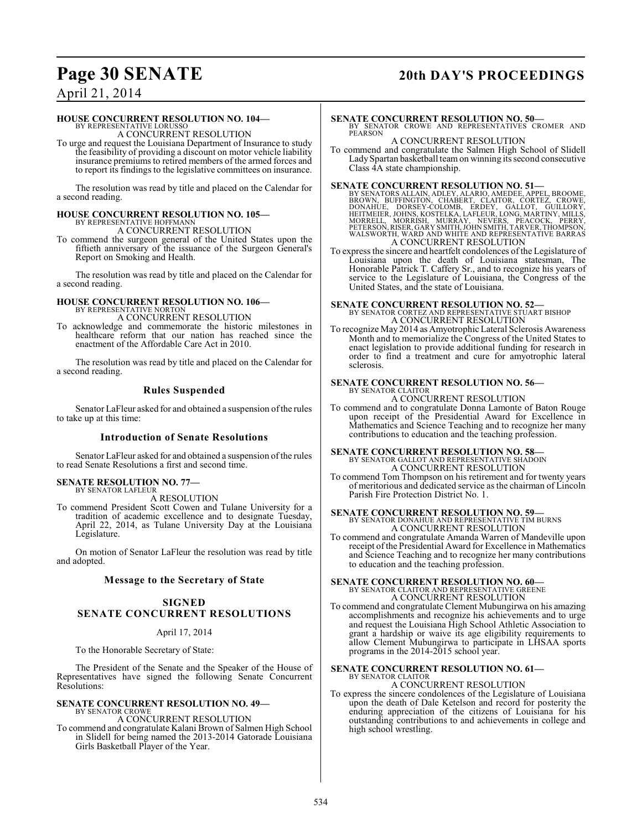## **Page 30 SENATE 20th DAY'S PROCEEDINGS**

### April 21, 2014

### **HOUSE CONCURRENT RESOLUTION NO. 104—**

BY REPRESENTATIVE LORUSSO A CONCURRENT RESOLUTION

To urge and request the Louisiana Department of Insurance to study the feasibility of providing a discount on motor vehicle liability insurance premiums to retired members of the armed forces and to report its findings to the legislative committees on insurance.

The resolution was read by title and placed on the Calendar for a second reading.

# **HOUSE CONCURRENT RESOLUTION NO. 105—** BY REPRESENTATIVE HOFFMANN

A CONCURRENT RESOLUTION

To commend the surgeon general of the United States upon the fiftieth anniversary of the issuance of the Surgeon General's Report on Smoking and Health.

The resolution was read by title and placed on the Calendar for a second reading.

### **HOUSE CONCURRENT RESOLUTION NO. 106—** BY REPRESENTATIVE NORTON

A CONCURRENT RESOLUTION

To acknowledge and commemorate the historic milestones in healthcare reform that our nation has reached since the enactment of the Affordable Care Act in 2010.

The resolution was read by title and placed on the Calendar for a second reading.

### **Rules Suspended**

Senator LaFleur asked for and obtained a suspension of the rules to take up at this time:

### **Introduction of Senate Resolutions**

Senator LaFleur asked for and obtained a suspension of the rules to read Senate Resolutions a first and second time.

# **SENATE RESOLUTION NO. 77—** BY SENATOR LAFLEUR

A RESOLUTION

To commend President Scott Cowen and Tulane University for a tradition of academic excellence and to designate Tuesday, April 22, 2014, as Tulane University Day at the Louisiana Legislature.

On motion of Senator LaFleur the resolution was read by title and adopted.

### **Message to the Secretary of State**

### **SIGNED SENATE CONCURRENT RESOLUTIONS**

### April 17, 2014

To the Honorable Secretary of State:

The President of the Senate and the Speaker of the House of Representatives have signed the following Senate Concurrent Resolutions:

### **SENATE CONCURRENT RESOLUTION NO. 49—** BY SENATOR CROWE

A CONCURRENT RESOLUTION

To commend and congratulate Kalani Brown of Salmen High School in Slidell for being named the 2013-2014 Gatorade Louisiana Girls Basketball Player of the Year.

### **SENATE CONCURRENT RESOLUTION NO. 50—**

BY SENATOR CROWE AND REPRESENTATIVES CROMER AND PEARSON

### A CONCURRENT RESOLUTION

To commend and congratulate the Salmen High School of Slidell LadySpartan basketball team on winning its second consecutive Class 4A state championship.

**SENATE CONCURRENT RESOLUTION NO. 51—**<br>BY SENATORS ALLAIN, ADLEY, ALARIO, AMEDEE, APPEL, BROOME, BROOM, UFFINGTON, CHABERT, CLAITOR, CORTEZ, CROWE,<br>DONAHUE, DORSEY-COLOMB, ERDEY, GALLOT, GUILLORY,<br>HEITMEIER, JOHNS, KOSTELK A CONCURRENT RESOLUTION

To express the sincere and heartfelt condolences of the Legislature of Louisiana upon the death of Louisiana statesman, The Honorable Patrick T. Caffery Sr., and to recognize his years of service to the Legislature of Louisiana, the Congress of the United States, and the state of Louisiana.

## **SENATE CONCURRENT RESOLUTION NO. 52—**<br>BY SENATOR CORTEZ AND REPRESENTATIVE STUART BISHOP

A CONCURRENT RESOLUTION

To recognize May 2014 as Amyotrophic Lateral Sclerosis Awareness Month and to memorialize the Congress of the United States to enact legislation to provide additional funding for research in order to find a treatment and cure for amyotrophic lateral sclerosis.

### **SENATE CONCURRENT RESOLUTION NO. 56—** BY SENATOR CLAITOR

A CONCURRENT RESOLUTION

To commend and to congratulate Donna Lamonte of Baton Rouge upon receipt of the Presidential Award for Excellence in Mathematics and Science Teaching and to recognize her many contributions to education and the teaching profession.

# **SENATE CONCURRENT RESOLUTION NO. 58—**<br>BY SENATOR GALLOT AND REPRESENTATIVE SHADOIN

A CONCURRENT RESOLUTION

To commend Tom Thompson on his retirement and for twenty years of meritorious and dedicated service as the chairman of Lincoln Parish Fire Protection District No. 1.

# **SENATE CONCURRENT RESOLUTION NO. 59—** BY SENATOR DONAHUE AND REPRESENTATIVE TIM BURNS

A CONCURRENT RESOLUTION

To commend and congratulate Amanda Warren of Mandeville upon receipt of the Presidential Award for Excellence in Mathematics and Science Teaching and to recognize her many contributions to education and the teaching profession.

# **SENATE CONCURRENT RESOLUTION NO. 60—** BY SENATOR CLAITOR AND REPRESENTATIVE GREENE

A CONCURRENT RESOLUTION

To commend and congratulate Clement Mubungirwa on his amazing accomplishments and recognize his achievements and to urge and request the Louisiana High School Athletic Association to grant a hardship or waive its age eligibility requirements to allow Clement Mubungirwa to participate in LHSAA sports programs in the 2014-2015 school year.

### **SENATE CONCURRENT RESOLUTION NO. 61—** BY SENATOR CLAITOR

A CONCURRENT RESOLUTION

To express the sincere condolences of the Legislature of Louisiana upon the death of Dale Ketelson and record for posterity the enduring appreciation of the citizens of Louisiana for his outstanding contributions to and achievements in college and high school wrestling.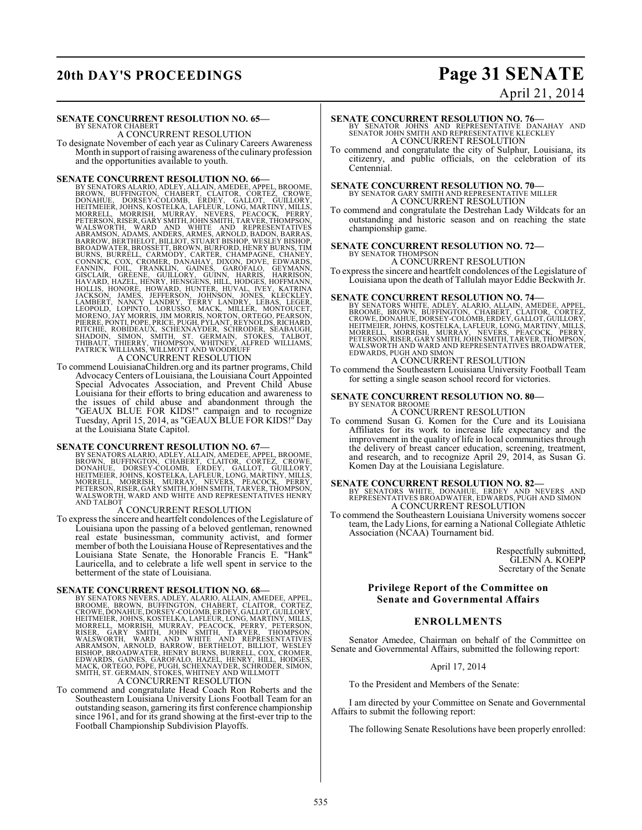# **20th DAY'S PROCEEDINGS Page 31 SENATE**

# April 21, 2014

**SENATE CONCURRENT RESOLUTION NO. 65—**

BY SENATOR CHABERT A CONCURRENT RESOLUTION

To designate November of each year as Culinary Careers Awareness Month in support of raising awareness of the culinary profession and the opportunities available to youth.

**SENATE CONCURRENT RESOLUTION NO. 66-**<br>BY SENATORS ALARIO, ADLEY, ALLAIN, AMEDEE, APPEL, BROWNE, BROWN, BUFFINGTON, CHABERT, CLAITOR, CORTEZ, CROWE,<br>DONAHUE, DORSEY-COLOMB, ERDEY, GALICOT, GUILLORY, SHETTMEIER, JOHNS, KOST

To commend LouisianaChildren.org and its partner programs, Child Advocacy Centers of Louisiana, the Louisiana Court Appointed Special Advocates Association, and Prevent Child Abuse Louisiana for their efforts to bring education and awareness to the issues of child abuse and abandonment through the "GEAUX BLUE FOR KIDS!" campaign and to recognize Tuesday, April 15, 2014, as "GEAUX BLUE FOR KIDS!" Day at the Louisiana State Capitol.

**SENATE CONCURRENT RESOLUTION NO. 67—**<br>BY SENATORS ALARIO, ADLEY, ALLAIN, AMEDEE, APPEL, BROOME, BROOM, UFFINGTON, CHABERT, CLAITOR, CORTEZ, CROWE,<br>DONAHUE, DORSEY-COLOMB, ERDEY, GALLOT, GUILLORY,<br>HEITMEIER, JOHNS, KOSTELK AND TALBOT

### A CONCURRENT RESOLUTION

To express the sincere and heartfelt condolences of the Legislature of Louisiana upon the passing of a beloved gentleman, renowned real estate businessman, community activist, and former member of both the Louisiana House of Representatives and the Louisiana State Senate, the Honorable Francis E. "Hank" Lauricella, and to celebrate a life well spent in service to the betterment of the state of Louisiana.

**SENATE CONCURRENT RESOLUTION NO. 68**<br>BY SENATORS NEVERS, ADLEY, ALARIO, ALLAIN, AMEDEE, APPEL, BROOME, BROWN, BUFFINGTON, CHABERT, CLAITOR, CORTEZ,<br>CROWE, DONAHUE, DORSEY-COLOMB, ERDEY, GALLOT, GUILLORY, HEITMEIER, JOHNS,

To commend and congratulate Head Coach Ron Roberts and the Southeastern Louisiana University Lions Football Team for an outstanding season, garnering its first conference championship since 1961, and for its grand showing at the first-ever trip to the Football Championship Subdivision Playoffs.

**SENATE CONCURRENT RESOLUTION NO. 76—**<br>BY SENATOR JOHNS AND REPRESENTATIVE DANAHAY AND<br>SENATOR JOHN SMITH AND REPRESENTATIVE KLECKLEY A CONCURRENT RESOLUTION

To commend and congratulate the city of Sulphur, Louisiana, its citizenry, and public officials, on the celebration of its Centennial.

#### **SENATE CONCURRENT RESOLUTION NO. 70—** BY SENATOR GARY SMITH AND REPRESENTATIVE MILLER A CONCURRENT RESOLUTION

To commend and congratulate the Destrehan Lady Wildcats for an outstanding and historic season and on reaching the state championship game.

### **SENATE CONCURRENT RESOLUTION NO. 72—** BY SENATOR THOMPSON

### A CONCURRENT RESOLUTION

To express the sincere and heartfelt condolences of the Legislature of Louisiana upon the death of Tallulah mayor Eddie Beckwith Jr.

**SENATE CONCURRENT RESOLUTION NO. 74—**<br>BY SENATORS WHITE, ADLEY, ALARIO, ALLAIN, AMEDEE, APPEL,<br>BROOME, BROWE, DORSEY-COLOMB, ERDEY, GALLOT, GUILLORY,<br>CROWE, DONAHUE, DORSEY-COLOMB, ERDEY, GALLOT, GUILLORY, HEITMEIER, JOHNS, KOSTELKA, LAFLEUR, LONG, MARTINY, MILLS,<br>MORRELL, MORRISH, MURRAY, NEVERS, PEACOCK, PERRY,<br>PETERSON,RISER, GARY SMITH, JOHN SMITH,TARVER,THOMPSON,<br>WALSWORTH AND WARD AND REPRESENTATIVES BROADWATER,<br>EDWARD

### A CONCURRENT RESOLUTION

To commend the Southeastern Louisiana University Football Team for setting a single season school record for victories.

### **SENATE CONCURRENT RESOLUTION NO. 80—** BY SENATOR BROOME A CONCURRENT RESOLUTION

To commend Susan G. Komen for the Cure and its Louisiana Affiliates for its work to increase life expectancy and the improvement in the quality of life in local communities through the delivery of breast cancer education, screening, treatment, and research, and to recognize April 29, 2014, as Susan G. Komen Day at the Louisiana Legislature.

**SENATE CONCURRENT RESOLUTION NO. 82—**<br>BY SENATORS WHITE, DONAHUE, ERDEY AND NEVERS AND<br>REPRESENTATIVES BROADWATER, EDWARDS, PUGH AND SIMON A CONCURRENT RESOLUTION

To commend the Southeastern Louisiana University womens soccer team, the Lady Lions, for earning a National Collegiate Athletic Association (NCAA) Tournament bid.

> Respectfully submitted, GLENN A. KOEPP Secretary of the Senate

### **Privilege Report of the Committee on Senate and Governmental Affairs**

### **ENROLLMENTS**

Senator Amedee, Chairman on behalf of the Committee on Senate and Governmental Affairs, submitted the following report:

### April 17, 2014

To the President and Members of the Senate:

I am directed by your Committee on Senate and Governmental Affairs to submit the following report:

The following Senate Resolutions have been properly enrolled: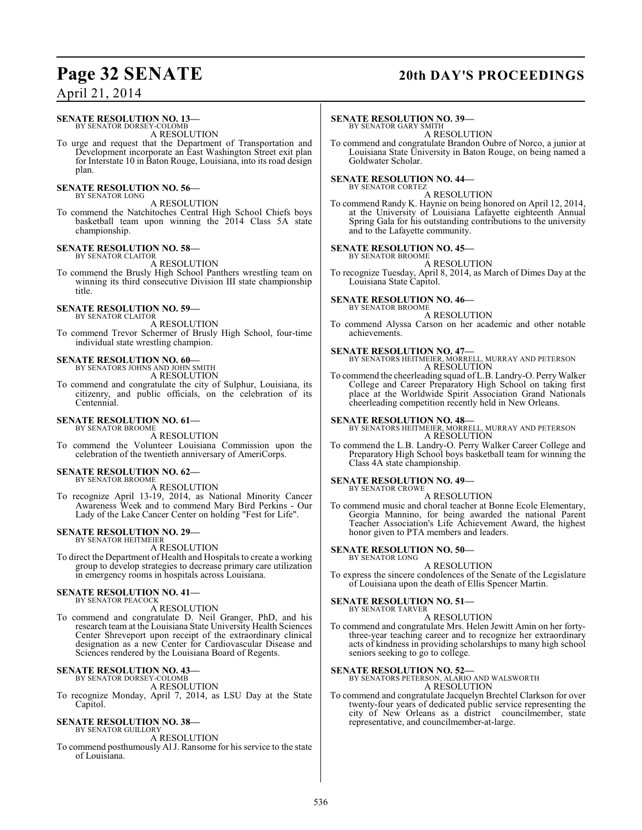### **Page 32 SENATE 20th DAY'S PROCEEDINGS**

### April 21, 2014

### **SENATE RESOLUTION NO. 13—** BY SENATOR DORSEY-COLOMB

A RESOLUTION

To urge and request that the Department of Transportation and Development incorporate an East Washington Street exit plan for Interstate 10 in Baton Rouge, Louisiana, into its road design plan.

### **SENATE RESOLUTION NO. 56—** BY SENATOR LONG

A RESOLUTION

To commend the Natchitoches Central High School Chiefs boys basketball team upon winning the 2014 Class 5A state championship.

### **SENATE RESOLUTION NO. 58—** BY SENATOR CLAITOR

A RESOLUTION

To commend the Brusly High School Panthers wrestling team on winning its third consecutive Division III state championship title.

### **SENATE RESOLUTION NO. 59—**

BY SENATOR CLAITOR A RESOLUTION

To commend Trevor Schermer of Brusly High School, four-time individual state wrestling champion.

## **SENATE RESOLUTION NO. 60—** BY SENATORS JOHNS AND JOHN SMITH

A RESOLUTION

To commend and congratulate the city of Sulphur, Louisiana, its citizenry, and public officials, on the celebration of its Centennial.

### **SENATE RESOLUTION NO. 61—** BY SENATOR BROOME

A RESOLUTION

To commend the Volunteer Louisiana Commission upon the celebration of the twentieth anniversary of AmeriCorps.

### **SENATE RESOLUTION NO. 62—** BY SENATOR BROOME

A RESOLUTION

To recognize April 13-19, 2014, as National Minority Cancer Awareness Week and to commend Mary Bird Perkins - Our Lady of the Lake Cancer Center on holding "Fest for Life".

### **SENATE RESOLUTION NO. 29—** BY SENATOR HEITMEIER

A RESOLUTION

To direct the Department of Health and Hospitals to create a working group to develop strategies to decrease primary care utilization in emergency rooms in hospitals across Louisiana.

### **SENATE RESOLUTION NO. 41—** BY SENATOR PEACOCK

A RESOLUTION

To commend and congratulate D. Neil Granger, PhD, and his research team at the Louisiana State University Health Sciences Center Shreveport upon receipt of the extraordinary clinical designation as a new Center for Cardiovascular Disease and Sciences rendered by the Louisiana Board of Regents.

### **SENATE RESOLUTION NO. 43—**

BY SENATOR DORSEY-COLOMB A RESOLUTION

To recognize Monday, April 7, 2014, as LSU Day at the State Capitol.

### **SENATE RESOLUTION NO. 38—** BY SENATOR GUILLORY

A RESOLUTION

To commend posthumously Al J. Ransome for his service to the state of Louisiana.

### **SENATE RESOLUTION NO. 39—**

BY SENATOR GARY SMITH A RESOLUTION

To commend and congratulate Brandon Oubre of Norco, a junior at Louisiana State University in Baton Rouge, on being named a Goldwater Scholar.

### **SENATE RESOLUTION NO. 44—**

BY SENATOR CORTEZ A RESOLUTION

To commend Randy K. Haynie on being honored on April 12, 2014, at the University of Louisiana Lafayette eighteenth Annual Spring Gala for his outstanding contributions to the university and to the Lafayette community.

### **SENATE RESOLUTION NO. 45—**

BY SENATOR BROOME A RESOLUTION

To recognize Tuesday, April 8, 2014, as March of Dimes Day at the Louisiana State Capitol.

**SENATE RESOLUTION NO. 46—**

BY SENATOR BROOME A RESOLUTION

To commend Alyssa Carson on her academic and other notable achievements.

### **SENATE RESOLUTION NO. 47—**

BY SENATORS HEITMEIER, MORRELL, MURRAY AND PETERSON A RESOLUTION

To commend the cheerleading squad of L.B. Landry-O. Perry Walker College and Career Preparatory High School on taking first place at the Worldwide Spirit Association Grand Nationals cheerleading competition recently held in New Orleans.

### **SENATE RESOLUTION NO. 48—**

BY SENATORS HEITMEIER, MORRELL, MURRAY AND PETERSON A RESOLUTION

To commend the L.B. Landry-O. Perry Walker Career College and Preparatory High School boys basketball team for winning the Class 4A state championship.

### **SENATE RESOLUTION NO. 49—** BY SENATOR CROWE

A RESOLUTION

To commend music and choral teacher at Bonne Ecole Elementary, Georgia Mannino, for being awarded the national Parent Teacher Association's Life Achievement Award, the highest honor given to PTA members and leaders.

### **SENATE RESOLUTION NO. 50—** BY SENATOR LONG

A RESOLUTION

To express the sincere condolences of the Senate of the Legislature of Louisiana upon the death of Ellis Spencer Martin.

# **SENATE RESOLUTION NO. 51—** BY SENATOR TARVER

### A RESOLUTION

To commend and congratulate Mrs. Helen Jewitt Amin on her fortythree-year teaching career and to recognize her extraordinary acts of kindness in providing scholarships to many high school seniors seeking to go to college.

### **SENATE RESOLUTION NO. 52—**

BY SENATORS PETERSON, ALARIO AND WALSWORTH A RESOLUTION

To commend and congratulate Jacquelyn Brechtel Clarkson for over twenty-four years of dedicated public service representing the city of New Orleans as a district councilmember, state representative, and councilmember-at-large.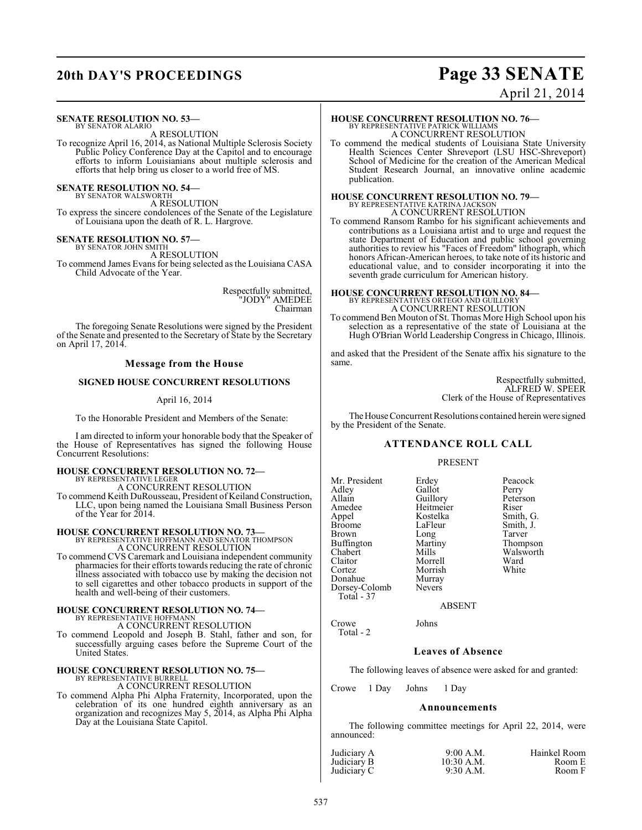### **20th DAY'S PROCEEDINGS Page 33 SENATE** April 21, 2014

### **SENATE RESOLUTION NO. 53—** BY SENATOR ALARIO

A RESOLUTION

To recognize April 16, 2014, as National Multiple Sclerosis Society Public Policy Conference Day at the Capitol and to encourage efforts to inform Louisianians about multiple sclerosis and efforts that help bring us closer to a world free of MS.

**SENATE RESOLUTION NO. 54—**

BY SENATOR WALSWORTH A RESOLUTION

To express the sincere condolences of the Senate of the Legislature of Louisiana upon the death of R. L. Hargrove.

### **SENATE RESOLUTION NO. 57—**

BY SENATOR JOHN SMITH A RESOLUTION

To commend James Evans for being selected as the Louisiana CASA Child Advocate of the Year.

> Respectfully submitted, "JODY" AMEDEE Chairman

The foregoing Senate Resolutions were signed by the President of the Senate and presented to the Secretary of State by the Secretary on April 17, 2014.

### **Message from the House**

### **SIGNED HOUSE CONCURRENT RESOLUTIONS**

### April 16, 2014

To the Honorable President and Members of the Senate:

I am directed to inform your honorable body that the Speaker of the House of Representatives has signed the following House Concurrent Resolutions:

### **HOUSE CONCURRENT RESOLUTION NO. 72—** BY REPRESENTATIVE LEGER A CONCURRENT RESOLUTION

To commend Keith DuRousseau, President of Keiland Construction, LLC, upon being named the Louisiana Small Business Person of the Year for 2014.

### **HOUSE CONCURRENT RESOLUTION NO. 73—** BY REPRESENTATIVE HOFFMANN AND SENATOR THOMPSON A CONCURRENT RESOLUTION

To commend CVS Caremark and Louisiana independent community pharmacies for their efforts towards reducing the rate of chronic illness associated with tobacco use by making the decision not to sell cigarettes and other tobacco products in support of the health and well-being of their customers.

### **HOUSE CONCURRENT RESOLUTION NO. 74—** BY REPRESENTATIVE HOFFMANN A CONCURRENT RESOLUTION

To commend Leopold and Joseph B. Stahl, father and son, for successfully arguing cases before the Supreme Court of the United States.

# **HOUSE CONCURRENT RESOLUTION NO. 75—** BY REPRESENTATIVE BURRELL

A CONCURRENT RESOLUTION

To commend Alpha Phi Alpha Fraternity, Incorporated, upon the celebration of its one hundred eighth anniversary as an organization and recognizes May 5, 2014, as Alpha Phi Alpha Day at the Louisiana State Capitol.

### **HOUSE CONCURRENT RESOLUTION NO. 76—** BY REPRESENTATIVE PATRICK WILLIAMS A CONCURRENT RESOLUTION

To commend the medical students of Louisiana State University Health Sciences Center Shreveport (LSU HSC-Shreveport) School of Medicine for the creation of the American Medical Student Research Journal, an innovative online academic publication.

### **HOUSE CONCURRENT RESOLUTION NO. 79—** BY REPRESENTATIVE KATRINA JACKSON A CONCURRENT RESOLUTION

To commend Ransom Rambo for his significant achievements and contributions as a Louisiana artist and to urge and request the state Department of Education and public school governing authorities to review his "Faces of Freedom" lithograph, which honors African-American heroes, to take note of its historic and educational value, and to consider incorporating it into the seventh grade curriculum for American history.

### **HOUSE CONCURRENT RESOLUTION NO. 84—** BY REPRESENTATIVES ORTEGO AND GUILLORY A CONCURRENT RESOLUTION

To commend Ben Mouton of St. Thomas More High School upon his selection as a representative of the state of Louisiana at the Hugh O'Brian World Leadership Congress in Chicago, Illinois.

and asked that the President of the Senate affix his signature to the same.

> Respectfully submitted, ALFRED W. SPEER Clerk of the House of Representatives

The House Concurrent Resolutions contained herein were signed by the President of the Senate.

### **ATTENDANCE ROLL CALL**

### PRESENT

| Mr. President<br>Adley<br>Allain<br>Amedee<br>Appel<br><b>Broome</b><br><b>Brown</b><br>Buffington<br>Chabert<br>Claitor<br>Cortez<br>Donahue<br>Dorsey-Colomb<br>Total - 37 | Erdey<br>Gallot<br>Guillory<br>Heitmeier<br>Kostelka<br>LaFleur<br>Long<br>Martiny<br>Mills<br>Morrell<br>Morrish<br>Murray<br><b>Nevers</b> | Peacock<br>Perry<br>Peterson<br>Riser<br>Smith, G.<br>Smith, J.<br>Tarver<br>Thompson<br>Walsworth<br>Ward<br>White |
|------------------------------------------------------------------------------------------------------------------------------------------------------------------------------|----------------------------------------------------------------------------------------------------------------------------------------------|---------------------------------------------------------------------------------------------------------------------|
|                                                                                                                                                                              |                                                                                                                                              |                                                                                                                     |

Crowe Johns

Total - 2

ABSENT

### **Leaves of Absence**

The following leaves of absence were asked for and granted:

Crowe 1 Day Johns 1 Day

### **Announcements**

The following committee meetings for April 22, 2014, were announced:

|                            | $9:00$ A.M. | Hainkel Room |
|----------------------------|-------------|--------------|
| Judiciary A<br>Judiciary B | 10:30 A.M.  | Room E       |
| Judiciary C                | $9:30$ A.M. | Room F       |